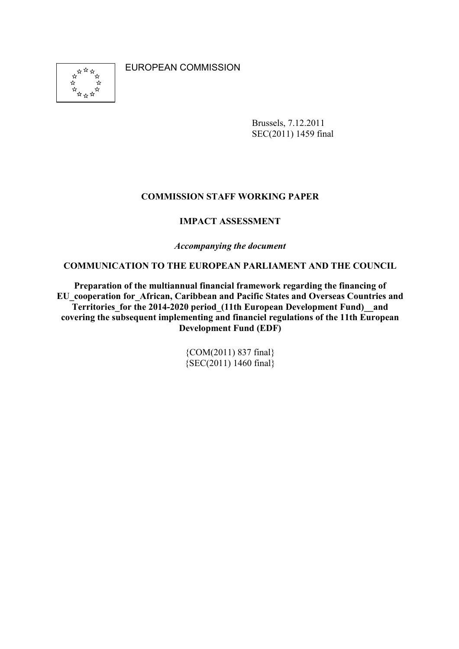EUROPEAN COMMISSION



Brussels, 7.12.2011 SEC(2011) 1459 final

### **COMMISSION STAFF WORKING PAPER**

### **IMPACT ASSESSMENT**

*Accompanying the document* 

**COMMUNICATION TO THE EUROPEAN PARLIAMENT AND THE COUNCIL** 

**Preparation of the multiannual financial framework regarding the financing of EU\_cooperation for\_African, Caribbean and Pacific States and Overseas Countries and**  Territories for the 2014-2020 period (11th European Development Fund) and **covering the subsequent implementing and financiel regulations of the 11th European Development Fund (EDF)** 

> {COM(2011) 837 final} {SEC(2011) 1460 final}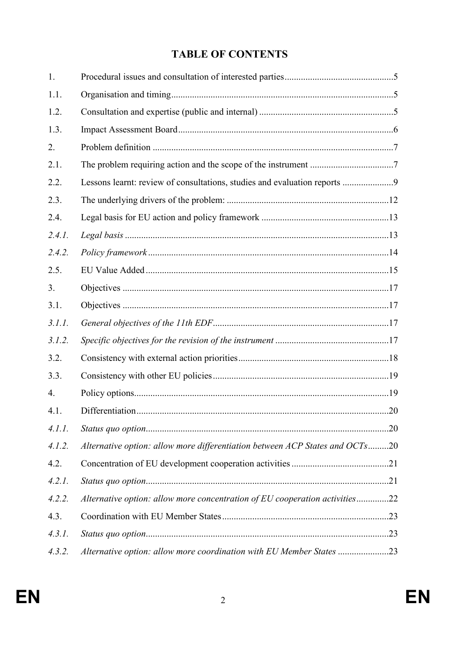# **TABLE OF CONTENTS**

| 1.     |                                                                              |  |
|--------|------------------------------------------------------------------------------|--|
| 1.1.   |                                                                              |  |
| 1.2.   |                                                                              |  |
| 1.3.   |                                                                              |  |
| 2.     |                                                                              |  |
| 2.1.   |                                                                              |  |
| 2.2.   | Lessons learnt: review of consultations, studies and evaluation reports 9    |  |
| 2.3.   |                                                                              |  |
| 2.4.   |                                                                              |  |
| 2.4.1. |                                                                              |  |
| 2.4.2. |                                                                              |  |
| 2.5.   |                                                                              |  |
| 3.     |                                                                              |  |
| 3.1.   |                                                                              |  |
| 3.1.1. |                                                                              |  |
| 3.1.2. |                                                                              |  |
| 3.2.   |                                                                              |  |
| 3.3.   |                                                                              |  |
| 4.     |                                                                              |  |
| 4.1.   |                                                                              |  |
| 4.1.1. |                                                                              |  |
| 4.1.2. | Alternative option: allow more differentiation between ACP States and OCTs20 |  |
| 4.2.   |                                                                              |  |
| 4.2.1. |                                                                              |  |
| 4.2.2. | Alternative option: allow more concentration of EU cooperation activities22  |  |
| 4.3.   |                                                                              |  |
| 4.3.1. |                                                                              |  |
| 4.3.2. | Alternative option: allow more coordination with EU Member States 23         |  |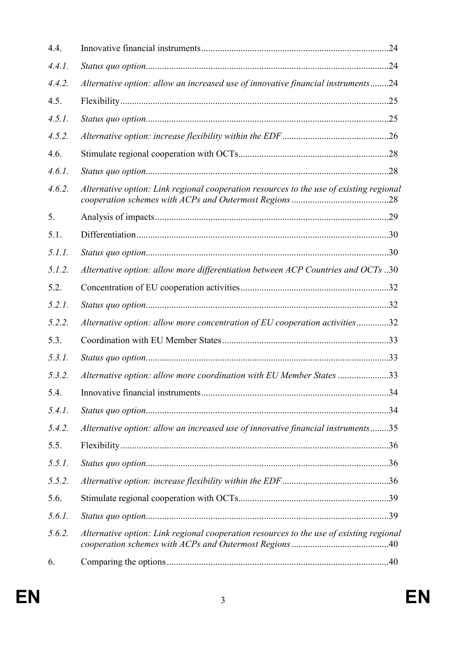| 4.4.   |                                                                                         |  |
|--------|-----------------------------------------------------------------------------------------|--|
| 4.4.1. |                                                                                         |  |
| 4.4.2. | Alternative option: allow an increased use of innovative financial instruments24        |  |
| 4.5.   |                                                                                         |  |
| 4.5.1. |                                                                                         |  |
| 4.5.2. |                                                                                         |  |
| 4.6.   |                                                                                         |  |
| 4.6.1. |                                                                                         |  |
| 4.6.2. | Alternative option: Link regional cooperation resources to the use of existing regional |  |
| 5.     |                                                                                         |  |
| 5.1.   |                                                                                         |  |
| 5.1.1. |                                                                                         |  |
| 5.1.2. | Alternative option: allow more differentiation between ACP Countries and OCTs 30        |  |
| 5.2.   |                                                                                         |  |
| 5.2.1. |                                                                                         |  |
| 5.2.2. | Alternative option: allow more concentration of EU cooperation activities32             |  |
| 5.3.   |                                                                                         |  |
| 5.3.1. |                                                                                         |  |
| 5.3.2. | Alternative option: allow more coordination with EU Member States 33                    |  |
| 5.4.   |                                                                                         |  |
| 5.4.1. |                                                                                         |  |
| 5.4.2. | Alternative option: allow an increased use of innovative financial instruments35        |  |
| 5.5.   |                                                                                         |  |
| 5.5.1. |                                                                                         |  |
| 5.5.2. |                                                                                         |  |
| 5.6.   |                                                                                         |  |
| 5.6.1. |                                                                                         |  |
| 5.6.2. | Alternative option: Link regional cooperation resources to the use of existing regional |  |
| 6.     |                                                                                         |  |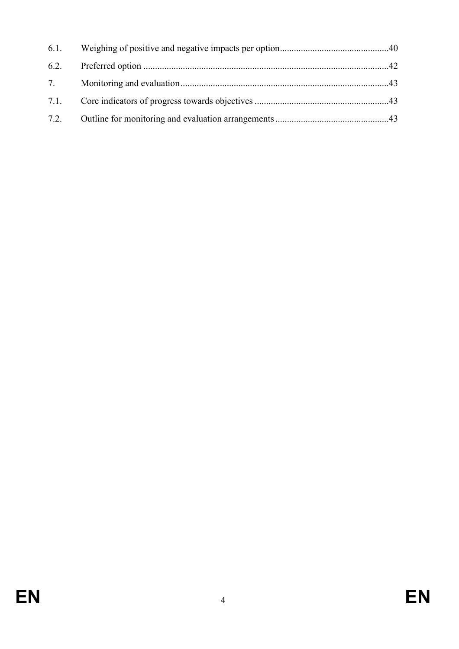| 6.1. |  |
|------|--|
|      |  |
| 7.   |  |
| 7.1. |  |
|      |  |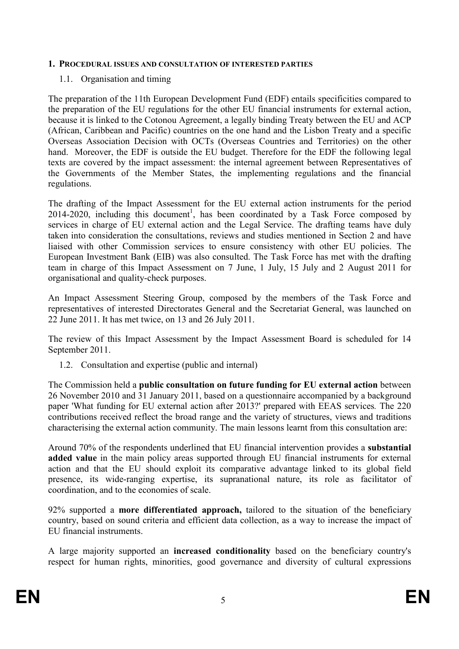#### <span id="page-4-0"></span>1. PROCEDURAL ISSUES AND CONSULTATION OF INTERESTED PARTIES

#### 1.1. Organisation and timing

The preparation of the 11th European Development Fund (EDF) entails specificities compared to the preparation of the EU regulations for the other EU financial instruments for external action, because it is linked to the Cotonou Agreement, a legally binding Treaty between the EU and ACP (African, Caribbean and Pacific) countries on the one hand and the Lisbon Treaty and a specific Overseas Association Decision with OCTs (Overseas Countries and Territories) on the other hand. Moreover, the EDF is outside the EU budget. Therefore for the EDF the following legal texts are covered by the impact assessment: the internal agreement between Representatives of the Governments of the Member States, the implementing regulations and the financial regulations.

The drafting of the Impact Assessment for the EU external action instruments for the period 2014-2020, including this document<sup>1</sup>, has been coordinated by a Task Force composed by services in charge of EU external action and the Legal Service. The drafting teams have duly taken into consideration the consultations, reviews and studies mentioned in Section 2 and have liaised with other Commission services to ensure consistency with other EU policies. The European Investment Bank (EIB) was also consulted. The Task Force has met with the drafting team in charge of this Impact Assessment on 7 June, 1 July, 15 July and 2 August 2011 for organisational and quality-check purposes.

An Impact Assessment Steering Group, composed by the members of the Task Force and representatives of interested Directorates General and the Secretariat General, was launched on 22 June 2011. It has met twice, on 13 and 26 July 2011.

The review of this Impact Assessment by the Impact Assessment Board is scheduled for 14 September 2011.

1.2. Consultation and expertise (public and internal)

The Commission held a **public consultation on future funding for EU external action** between 26 November 2010 and 31 January 2011, based on a questionnaire accompanied by a background paper 'What funding for EU external action after 2013?' prepared with EEAS services*.* The 220 contributions received reflect the broad range and the variety of structures, views and traditions characterising the external action community. The main lessons learnt from this consultation are:

Around 70% of the respondents underlined that EU financial intervention provides a **substantial added value** in the main policy areas supported through EU financial instruments for external action and that the EU should exploit its comparative advantage linked to its global field presence, its wide-ranging expertise, its supranational nature, its role as facilitator of coordination, and to the economies of scale.

92% supported a **more differentiated approach,** tailored to the situation of the beneficiary country, based on sound criteria and efficient data collection, as a way to increase the impact of EU financial instruments.

A large majority supported an **increased conditionality** based on the beneficiary country's respect for human rights, minorities, good governance and diversity of cultural expressions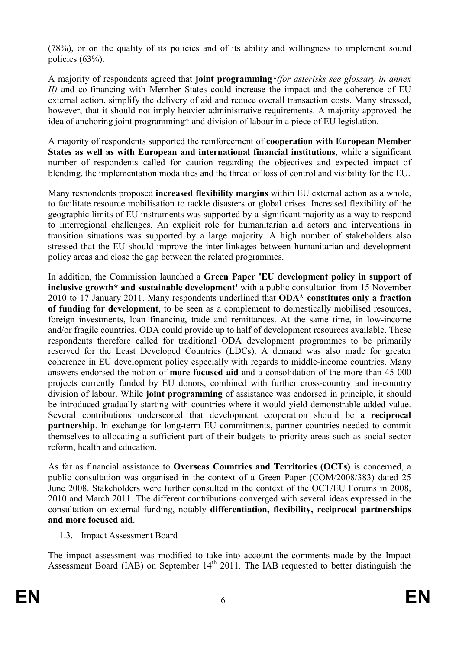<span id="page-5-0"></span>(78%), or on the quality of its policies and of its ability and willingness to implement sound policies (63%).

A majority of respondents agreed that **joint programming***\*(for asterisks see glossary in annex II)* and co-financing with Member States could increase the impact and the coherence of EU external action, simplify the delivery of aid and reduce overall transaction costs. Many stressed, however, that it should not imply heavier administrative requirements. A majority approved the idea of anchoring joint programming\* and division of labour in a piece of EU legislation.

A majority of respondents supported the reinforcement of **cooperation with European Member States as well as with European and international financial institutions**, while a significant number of respondents called for caution regarding the objectives and expected impact of blending, the implementation modalities and the threat of loss of control and visibility for the EU.

Many respondents proposed **increased flexibility margins** within EU external action as a whole, to facilitate resource mobilisation to tackle disasters or global crises. Increased flexibility of the geographic limits of EU instruments was supported by a significant majority as a way to respond to interregional challenges. An explicit role for humanitarian aid actors and interventions in transition situations was supported by a large majority. A high number of stakeholders also stressed that the EU should improve the inter-linkages between humanitarian and development policy areas and close the gap between the related programmes.

In addition, the Commission launched a **Green Paper 'EU development policy in support of inclusive growth\* and sustainable development'** with a public consultation from 15 November 2010 to 17 January 2011. Many respondents underlined that **ODA\* constitutes only a fraction of funding for development**, to be seen as a complement to domestically mobilised resources, foreign investments, loan financing, trade and remittances. At the same time, in low-income and/or fragile countries, ODA could provide up to half of development resources available. These respondents therefore called for traditional ODA development programmes to be primarily reserved for the Least Developed Countries (LDCs). A demand was also made for greater coherence in EU development policy especially with regards to middle-income countries. Many answers endorsed the notion of **more focused aid** and a consolidation of the more than 45 000 projects currently funded by EU donors, combined with further cross-country and in-country division of labour. While **joint programming** of assistance was endorsed in principle, it should be introduced gradually starting with countries where it would yield demonstrable added value. Several contributions underscored that development cooperation should be a **reciprocal partnership**. In exchange for long-term EU commitments, partner countries needed to commit themselves to allocating a sufficient part of their budgets to priority areas such as social sector reform, health and education.

As far as financial assistance to **Overseas Countries and Territories (OCTs)** is concerned, a public consultation was organised in the context of a Green Paper (COM/2008/383) dated 25 June 2008. Stakeholders were further consulted in the context of the OCT/EU Forums in 2008, 2010 and March 2011. The different contributions converged with several ideas expressed in the consultation on external funding, notably **differentiation, flexibility, reciprocal partnerships and more focused aid**.

1.3. Impact Assessment Board

The impact assessment was modified to take into account the comments made by the Impact Assessment Board (IAB) on September  $14<sup>th</sup>$  2011. The IAB requested to better distinguish the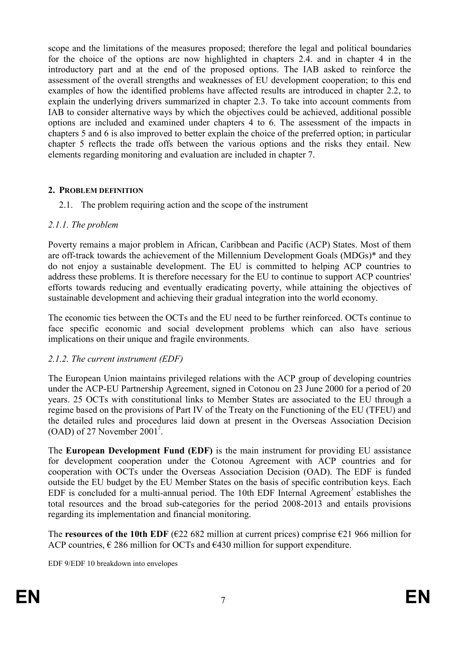<span id="page-6-0"></span>scope and the limitations of the measures proposed; therefore the legal and political boundaries for the choice of the options are now highlighted in chapters 2.4. and in chapter 4 in the introductory part and at the end of the proposed options. The IAB asked to reinforce the assessment of the overall strengths and weaknesses of EU development cooperation; to this end examples of how the identified problems have affected results are introduced in chapter 2.2, to explain the underlying drivers summarized in chapter 2.3. To take into account comments from IAB to consider alternative ways by which the objectives could be achieved, additional possible options are included and examined under chapters 4 to 6. The assessment of the impacts in chapters 5 and 6 is also improved to better explain the choice of the preferred option; in particular chapter 5 reflects the trade offs between the various options and the risks they entail. New elements regarding monitoring and evaluation are included in chapter 7.

#### **2. PROBLEM DEFINITION**

2.1. The problem requiring action and the scope of the instrument

#### *2.1.1. The problem*

Poverty remains a major problem in African, Caribbean and Pacific (ACP) States. Most of them are off-track towards the achievement of the [Millennium Development Goals \(MDGs\)\\*](http://ec.europa.eu/europeaid/what/millenium-development-goals/index_en.htm) and they do not enjoy a sustainable development. The EU is committed to helping ACP countries to address these problems. It is therefore necessary for the EU to continue to support ACP countries' efforts towards reducing and eventually eradicating poverty, while attaining the objectives of sustainable development and achieving their gradual integration into the world economy.

The economic ties between the OCTs and the EU need to be further reinforced. OCTs continue to face specific economic and social development problems which can also have serious implications on their unique and fragile environments.

### *2.1.2. The current instrument (EDF)*

The European Union maintains privileged relations with the ACP group of developing countries under the ACP-EU Partnership Agreement, signed in Cotonou on 23 June 2000 for a period of 20 years. 25 OCTs with constitutional links to Member States are associated to the EU through a regime based on the provisions of Part IV of the Treaty on the Functioning of the EU (TFEU) and the detailed rules and procedures laid down at present in the Overseas Association Decision  $(OAD)$  of 27 November 2001<sup>2</sup>.

The **[European Development Fund \(EDF\)](http://ec.europa.eu/development/how/source-funding/edf_en.cfm)** is the main instrument for providing EU assistance for development cooperation under the Cotonou Agreement with ACP countries and for cooperation with OCTs under the Overseas Association Decision (OAD). The EDF is funded outside the EU budget by the EU Member States on the basis of specific contribution keys. Each EDF is concluded for a multi-annual period. The 10th EDF Internal Agreement<sup>3</sup> establishes the total resources and the broad sub-categories for the period 2008-2013 and entails provisions regarding its implementation and financial monitoring.

The **resources of the 10th EDF** ( $\epsilon$ 22 682 million at current prices) comprise  $\epsilon$ 21 966 million for ACP countries,  $\epsilon$  286 million for OCTs and  $\epsilon$ 430 million for support expenditure.

EDF 9/EDF 10 breakdown into envelopes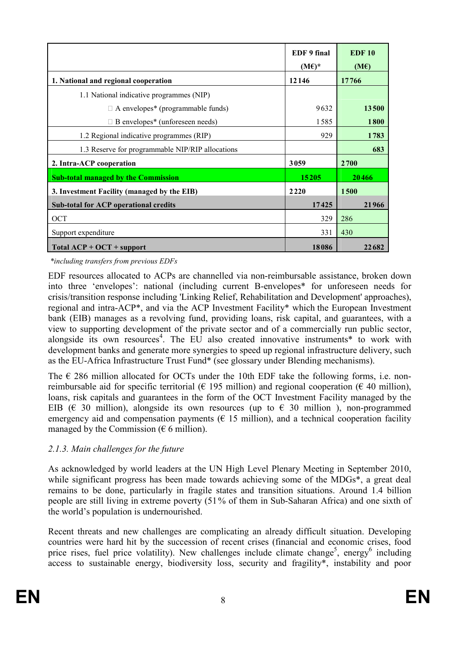|                                                              | EDF 9 final<br>$(M\epsilon)^*$ | <b>EDF 10</b><br>(ME) |
|--------------------------------------------------------------|--------------------------------|-----------------------|
| 1. National and regional cooperation                         | 12146                          | 17766                 |
| 1.1 National indicative programmes (NIP)                     |                                |                       |
| $\mathsf{L}\;$ A envelopes <sup>*</sup> (programmable funds) | 9632                           | 13500                 |
| L B envelopes <sup>*</sup> (unforeseen needs)                | 1585                           | <b>1800</b>           |
| 1.2 Regional indicative programmes (RIP)                     | 929                            | 1783                  |
| 1.3 Reserve for programmable NIP/RIP allocations             |                                | 683                   |
| 2. Intra-ACP cooperation                                     | 3059                           | 2700                  |
| <b>Sub-total managed by the Commission</b>                   | 15205                          | 20466                 |
| 3. Investment Facility (managed by the EIB)                  | 2220                           | 1500                  |
| Sub-total for ACP operational credits                        | 17425                          | 21966                 |
| OCT                                                          | 329                            | 286                   |
| Support expenditure                                          | 331                            | 430                   |
| $Total ACP + OCT + support$                                  | 18086                          | 22682                 |

 *\*including transfers from previous EDFs* 

EDF resources allocated to ACPs are channelled via non-reimbursable assistance, broken down into three 'envelopes': national (including current B-envelopes\* for unforeseen needs for crisis/transition response including 'Linking Relief, Rehabilitation and Development' approaches), regional and intra-ACP\*, and via the ACP Investment Facility\* which the European Investment bank (EIB) manages as a revolving fund, providing loans, risk capital, and guarantees, with a view to supporting development of the private sector and of a commercially run public sector, alongside its own resources<sup>4</sup>. The EU also created innovative instruments\* to work with development banks and generate more synergies to speed up regional infrastructure delivery, such as the EU-Africa Infrastructure Trust Fund\* (see glossary under Blending mechanisms).

The  $\epsilon$  286 million allocated for OCTs under the 10th EDF take the following forms, i.e. nonreimbursable aid for specific territorial ( $\epsilon$  195 million) and regional cooperation ( $\epsilon$  40 million), loans, risk capitals and guarantees in the form of the OCT Investment Facility managed by the EIB ( $\epsilon$  30 million), alongside its own resources (up to  $\epsilon$  30 million), non-programmed emergency aid and compensation payments ( $\epsilon$  15 million), and a technical cooperation facility managed by the Commission ( $\epsilon$  6 million).

### *2.1.3. Main challenges for the future*

As acknowledged by world leaders at the UN High Level Plenary Meeting in September 2010, while significant progress has been made towards achieving some of the MDGs<sup>\*</sup>, a great deal remains to be done, particularly in fragile states and transition situations. Around 1.4 billion people are still living in extreme poverty (51% of them in Sub-Saharan Africa) and one sixth of the world's population is undernourished.

Recent threats and new challenges are complicating an already difficult situation. Developing countries were hard hit by the succession of recent crises (financial and economic crises, food price rises, fuel price volatility). New challenges include climate change<sup>5</sup>, energy<sup>6</sup> including access to sustainable energy, biodiversity loss, security and fragility\*, instability and poor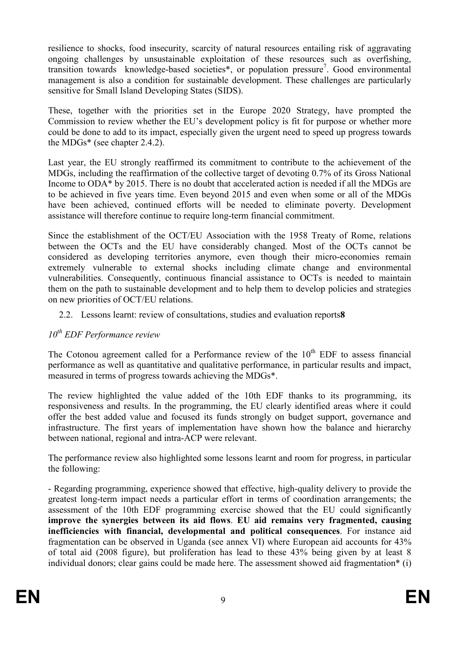<span id="page-8-0"></span>resilience to shocks, food insecurity, scarcity of natural resources entailing risk of aggravating ongoing challenges by unsustainable exploitation of these resources such as overfishing, transition towards knowledge-based societies\*, or population pressure<sup>7</sup>. Good environmental management is also a condition for sustainable development. These challenges are particularly sensitive for Small Island Developing States (SIDS).

These, together with the priorities set in the Europe 2020 Strategy, have prompted the Commission to review whether the EU's development policy is fit for purpose or whether more could be done to add to its impact, especially given the urgent need to speed up progress towards the MDGs\* (see chapter 2.4.2).

Last year, the EU strongly reaffirmed its commitment to contribute to the achievement of the MDGs, including the reaffirmation of the collective target of devoting 0.7% of its Gross National Income to ODA\* by 2015. There is no doubt that accelerated action is needed if all the MDGs are to be achieved in five years time. Even beyond 2015 and even when some or all of the MDGs have been achieved, continued efforts will be needed to eliminate poverty. Development assistance will therefore continue to require long-term financial commitment.

Since the establishment of the OCT/EU Association with the 1958 Treaty of Rome, relations between the OCTs and the EU have considerably changed. Most of the OCTs cannot be considered as developing territories anymore, even though their micro-economies remain extremely vulnerable to external shocks including climate change and environmental vulnerabilities. Consequently, continuous financial assistance to OCTs is needed to maintain them on the path to sustainable development and to help them to develop policies and strategies on new priorities of OCT/EU relations.

2.2. Lessons learnt: review of consultations, studies and evaluation reports**8**

### *10th EDF Performance review*

The Cotonou agreement called for a Performance review of the  $10<sup>th</sup>$  EDF to assess financial performance as well as quantitative and qualitative performance, in particular results and impact, measured in terms of progress towards achieving the MDGs\*.

The review highlighted the value added of the 10th EDF thanks to its programming, its responsiveness and results. In the programming, the EU clearly identified areas where it could offer the best added value and focused its funds strongly on budget support, governance and infrastructure. The first years of implementation have shown how the balance and hierarchy between national, regional and intra-ACP were relevant.

The performance review also highlighted some lessons learnt and room for progress, in particular the following:

- Regarding programming, experience showed that effective, high-quality delivery to provide the greatest long-term impact needs a particular effort in terms of coordination arrangements; the assessment of the 10th EDF programming exercise showed that the EU could significantly **improve the synergies between its aid flows**. **EU aid remains very fragmented, causing inefficiencies with financial, developmental and political consequences**. For instance aid fragmentation can be observed in Uganda (see annex VI) where European aid accounts for 43% of total aid (2008 figure), but proliferation has lead to these 43% being given by at least 8 individual donors; clear gains could be made here. The assessment showed aid fragmentation\* (i)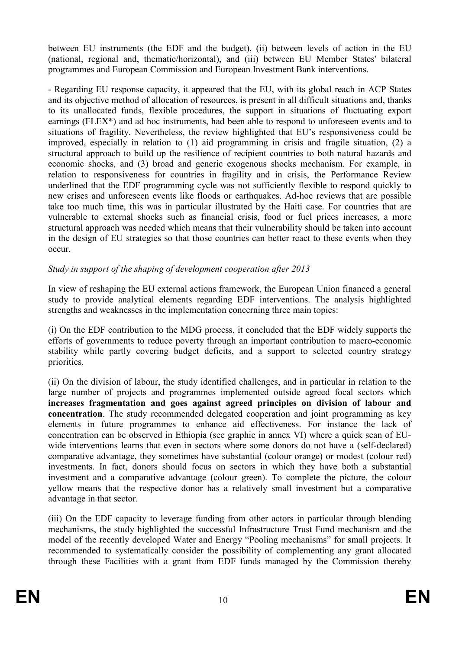between EU instruments (the EDF and the budget), (ii) between levels of action in the EU (national, regional and, thematic/horizontal), and (iii) between EU Member States' bilateral programmes and European Commission and European Investment Bank interventions.

- Regarding EU response capacity, it appeared that the EU, with its global reach in ACP States and its objective method of allocation of resources, is present in all difficult situations and, thanks to its unallocated funds, flexible procedures, the support in situations of fluctuating export earnings (FLEX\*) and ad hoc instruments, had been able to respond to unforeseen events and to situations of fragility. Nevertheless, the review highlighted that EU's responsiveness could be improved, especially in relation to (1) aid programming in crisis and fragile situation, (2) a structural approach to build up the resilience of recipient countries to both natural hazards and economic shocks, and (3) broad and generic exogenous shocks mechanism. For example, in relation to responsiveness for countries in fragility and in crisis, the Performance Review underlined that the EDF programming cycle was not sufficiently flexible to respond quickly to new crises and unforeseen events like floods or earthquakes. Ad-hoc reviews that are possible take too much time, this was in particular illustrated by the Haiti case. For countries that are vulnerable to external shocks such as financial crisis, food or fuel prices increases, a more structural approach was needed which means that their vulnerability should be taken into account in the design of EU strategies so that those countries can better react to these events when they occur.

#### *Study in support of the shaping of development cooperation after 2013*

In view of reshaping the EU external actions framework, the European Union financed a general study to provide analytical elements regarding EDF interventions. The analysis highlighted strengths and weaknesses in the implementation concerning three main topics:

(i) On the EDF contribution to the MDG process, it concluded that the EDF widely supports the efforts of governments to reduce poverty through an important contribution to macro-economic stability while partly covering budget deficits, and a support to selected country strategy priorities.

(ii) On the division of labour, the study identified challenges, and in particular in relation to the large number of projects and programmes implemented outside agreed focal sectors which **increases fragmentation and goes against agreed principles on division of labour and concentration**. The study recommended delegated cooperation and joint programming as key elements in future programmes to enhance aid effectiveness. For instance the lack of concentration can be observed in Ethiopia (see graphic in annex VI) where a quick scan of EUwide interventions learns that even in sectors where some donors do not have a (self-declared) comparative advantage, they sometimes have substantial (colour orange) or modest (colour red) investments. In fact, donors should focus on sectors in which they have both a substantial investment and a comparative advantage (colour green). To complete the picture, the colour yellow means that the respective donor has a relatively small investment but a comparative advantage in that sector.

(iii) On the EDF capacity to leverage funding from other actors in particular through blending mechanisms, the study highlighted the successful Infrastructure Trust Fund mechanism and the model of the recently developed Water and Energy "Pooling mechanisms" for small projects. It recommended to systematically consider the possibility of complementing any grant allocated through these Facilities with a grant from EDF funds managed by the Commission thereby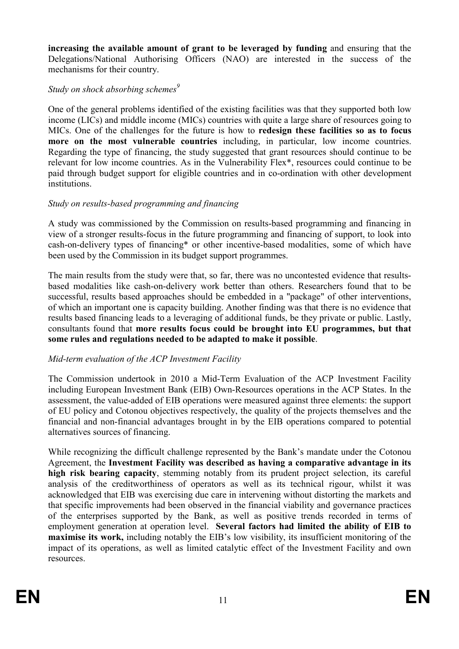**increasing the available amount of grant to be leveraged by funding** and ensuring that the Delegations/National Authorising Officers (NAO) are interested in the success of the mechanisms for their country.

### *Study on shock absorbing schemes<sup>9</sup>*

One of the general problems identified of the existing facilities was that they supported both low income (LICs) and middle income (MICs) countries with quite a large share of resources going to MICs. One of the challenges for the future is how to **redesign these facilities so as to focus more on the most vulnerable countries** including, in particular, low income countries. Regarding the type of financing, the study suggested that grant resources should continue to be relevant for low income countries. As in the Vulnerability Flex\*, resources could continue to be paid through budget support for eligible countries and in co-ordination with other development institutions.

### *Study on results-based programming and financing*

A study was commissioned by the Commission on results-based programming and financing in view of a stronger results-focus in the future programming and financing of support, to look into cash-on-delivery types of financing\* or other incentive-based modalities, some of which have been used by the Commission in its budget support programmes.

The main results from the study were that, so far, there was no uncontested evidence that resultsbased modalities like cash-on-delivery work better than others. Researchers found that to be successful, results based approaches should be embedded in a "package" of other interventions, of which an important one is capacity building. Another finding was that there is no evidence that results based financing leads to a leveraging of additional funds, be they private or public. Lastly, consultants found that **more results focus could be brought into EU programmes, but that some rules and regulations needed to be adapted to make it possible**.

### *Mid-term evaluation of the ACP Investment Facility*

The Commission undertook in 2010 a Mid-Term Evaluation of the ACP Investment Facility including European Investment Bank (EIB) Own-Resources operations in the ACP States. In the assessment, the value-added of EIB operations were measured against three elements: the support of EU policy and Cotonou objectives respectively, the quality of the projects themselves and the financial and non-financial advantages brought in by the EIB operations compared to potential alternatives sources of financing.

While recognizing the difficult challenge represented by the Bank's mandate under the Cotonou Agreement, the **Investment Facility was described as having a comparative advantage in its high risk bearing capacity**, stemming notably from its prudent project selection, its careful analysis of the creditworthiness of operators as well as its technical rigour, whilst it was acknowledged that EIB was exercising due care in intervening without distorting the markets and that specific improvements had been observed in the financial viability and governance practices of the enterprises supported by the Bank, as well as positive trends recorded in terms of employment generation at operation level. **Several factors had limited the ability of EIB to maximise its work,** including notably the EIB's low visibility, its insufficient monitoring of the impact of its operations, as well as limited catalytic effect of the Investment Facility and own resources.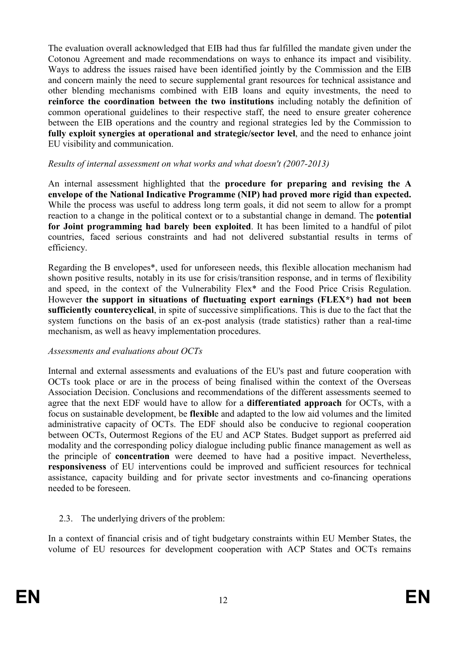<span id="page-11-0"></span>The evaluation overall acknowledged that EIB had thus far fulfilled the mandate given under the Cotonou Agreement and made recommendations on ways to enhance its impact and visibility. Ways to address the issues raised have been identified jointly by the Commission and the EIB and concern mainly the need to secure supplemental grant resources for technical assistance and other blending mechanisms combined with EIB loans and equity investments, the need to **reinforce the coordination between the two institutions** including notably the definition of common operational guidelines to their respective staff, the need to ensure greater coherence between the EIB operations and the country and regional strategies led by the Commission to **fully exploit synergies at operational and strategic/sector level**, and the need to enhance joint EU visibility and communication.

#### *Results of internal assessment on what works and what doesn't (2007-2013)*

An internal assessment highlighted that the **procedure for preparing and revising the A**  envelope of the National Indicative Programme (NIP) had proved more rigid than expected. While the process was useful to address long term goals, it did not seem to allow for a prompt reaction to a change in the political context or to a substantial change in demand. The **potential for Joint programming had barely been exploited**. It has been limited to a handful of pilot countries, faced serious constraints and had not delivered substantial results in terms of efficiency.

Regarding the B envelopes\*, used for unforeseen needs, this flexible allocation mechanism had shown positive results, notably in its use for crisis/transition response, and in terms of flexibility and speed, in the context of the Vulnerability Flex\* and the Food Price Crisis Regulation. However **the support in situations of fluctuating export earnings (FLEX\*) had not been sufficiently countercyclical**, in spite of successive simplifications. This is due to the fact that the system functions on the basis of an ex-post analysis (trade statistics) rather than a real-time mechanism, as well as heavy implementation procedures.

#### *Assessments and evaluations about OCTs*

Internal and external assessments and evaluations of the EU's past and future cooperation with OCTs took place or are in the process of being finalised within the context of the Overseas Association Decision. Conclusions and recommendations of the different assessments seemed to agree that the next EDF would have to allow for a **differentiated approach** for OCTs, with a focus on sustainable development, be **flexibl**e and adapted to the low aid volumes and the limited administrative capacity of OCTs. The EDF should also be conducive to regional cooperation between OCTs, Outermost Regions of the EU and ACP States. Budget support as preferred aid modality and the corresponding policy dialogue including public finance management as well as the principle of **concentration** were deemed to have had a positive impact. Nevertheless, **responsiveness** of EU interventions could be improved and sufficient resources for technical assistance, capacity building and for private sector investments and co-financing operations needed to be foreseen.

2.3. The underlying drivers of the problem:

In a context of financial crisis and of tight budgetary constraints within EU Member States, the volume of EU resources for development cooperation with ACP States and OCTs remains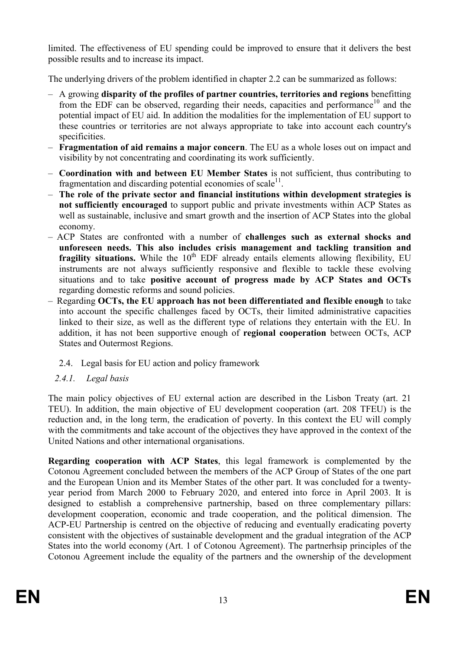<span id="page-12-0"></span>limited. The effectiveness of EU spending could be improved to ensure that it delivers the best possible results and to increase its impact.

The underlying drivers of the problem identified in chapter 2.2 can be summarized as follows:

- A growing **disparity of the profiles of partner countries, territories and regions** benefitting from the EDF can be observed, regarding their needs, capacities and performance<sup>10</sup> and the potential impact of EU aid. In addition the modalities for the implementation of EU support to these countries or territories are not always appropriate to take into account each country's specificities.
- **Fragmentation of aid remains a major concern**. The EU as a whole loses out on impact and visibility by not concentrating and coordinating its work sufficiently.
- **Coordination with and between EU Member States** is not sufficient, thus contributing to fragmentation and discarding potential economies of scale $<sup>11</sup>$ .</sup>
- **The role of the private sector and financial institutions within development strategies is not sufficiently encouraged** to support public and private investments within ACP States as well as sustainable, inclusive and smart growth and the insertion of ACP States into the global economy.
- ACP States are confronted with a number of **challenges such as external shocks and unforeseen needs. This also includes crisis management and tackling transition and fragility situations.** While the 10<sup>th</sup> EDF already entails elements allowing flexibility, EU instruments are not always sufficiently responsive and flexible to tackle these evolving situations and to take **positive account of progress made by ACP States and OCTs**  regarding domestic reforms and sound policies.
- Regarding **OCTs, the EU approach has not been differentiated and flexible enough** to take into account the specific challenges faced by OCTs, their limited administrative capacities linked to their size, as well as the different type of relations they entertain with the EU. In addition, it has not been supportive enough of **regional cooperation** between OCTs, ACP States and Outermost Regions.
	- 2.4. Legal basis for EU action and policy framework
	- *2.4.1. Legal basis*

The main policy objectives of EU external action are described in the Lisbon Treaty (art. 21 TEU). In addition, the main objective of EU development cooperation (art. 208 TFEU) is the reduction and, in the long term, the eradication of poverty. In this context the EU will comply with the commitments and take account of the objectives they have approved in the context of the United Nations and other international organisations.

**Regarding cooperation with ACP States**, this legal framework is complemented by the Cotonou Agreement concluded between the members of the ACP Group of States of the one part and the European Union and its Member States of the other part. It was concluded for a twentyyear period from March 2000 to February 2020, and entered into force in April 2003. It is designed to establish a comprehensive partnership, based on three complementary pillars: development cooperation, economic and trade cooperation, and the political dimension. The ACP-EU Partnership is centred on the objective of reducing and eventually eradicating poverty consistent with the objectives of sustainable development and the gradual integration of the ACP States into the world economy (Art. 1 of Cotonou Agreement). The partnerhsip principles of the Cotonou Agreement include the equality of the partners and the ownership of the development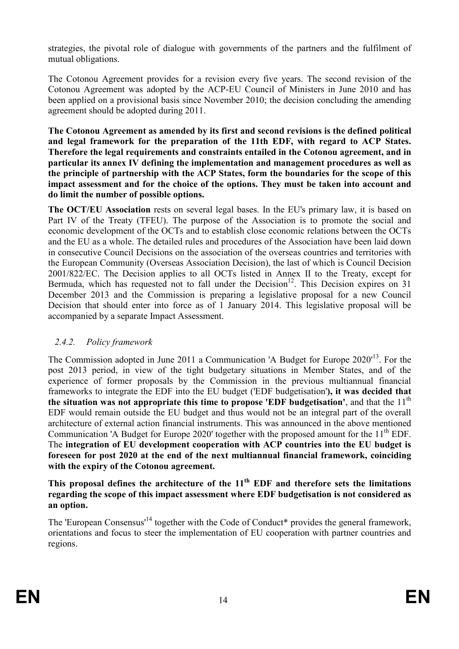<span id="page-13-0"></span>strategies, the pivotal role of dialogue with governments of the partners and the fulfilment of mutual obligations.

The Cotonou Agreement provides for a revision every five years. [The second revision](http://ec.europa.eu/development/icenter/repository/second_revision_cotonou_agreement_20100311.pdf) of the Cotonou Agreement was adopted by the ACP-EU Council of Ministers in June 2010 and has been applied on a provisional basis since November 2010; the decision concluding the amending agreement should be adopted during 2011.

**The Cotonou Agreement as amended by its first and second revisions is the defined political and legal framework for the preparation of the 11th EDF, with regard to ACP States. Therefore the legal requirements and constraints entailed in the Cotonou agreement, and in particular its annex IV defining the implementation and management procedures as well as the principle of partnership with the ACP States, form the boundaries for the scope of this impact assessment and for the choice of the options. They must be taken into account and do limit the number of possible options.** 

**The OCT/EU Association** rests on several legal bases. In the EU's primary law, it is based on Part IV of the Treaty (TFEU). The purpose of the Association is to promote the social and economic development of the OCTs and to establish close economic relations between the OCTs and the EU as a whole. The detailed rules and procedures of the Association have been laid down in consecutive Council Decisions on the association of the overseas countries and territories with the European Community (Overseas Association Decision), the last of which is Council Decision 2001/822/EC. The Decision applies to all OCTs listed in Annex II to the Treaty, except for Bermuda, which has requested not to fall under the Decision<sup>12</sup>. This Decision expires on 31 December 2013 and the Commission is preparing a legislative proposal for a new Council Decision that should enter into force as of 1 January 2014. This legislative proposal will be accompanied by a separate Impact Assessment.

### *2.4.2. Policy framework*

The Commission adopted in June 2011 a Communication 'A Budget for Europe 2020'<sup>13</sup>. For the post 2013 period, in view of the tight budgetary situations in Member States, and of the experience of former proposals by the Commission in the previous multiannual financial frameworks to integrate the EDF into the EU budget ('EDF budgetisation'**), it was decided that**  the situation was not appropriate this time to propose 'EDF budgetisation', and that the  $11<sup>th</sup>$ EDF would remain outside the EU budget and thus would not be an integral part of the overall architecture of external action financial instruments. This was announced in the above mentioned Communication 'A Budget for Europe 2020' together with the proposed amount for the  $11<sup>th</sup>$  EDF. The **integration of EU development cooperation with ACP countries into the EU budget is foreseen for post 2020 at the end of the next multiannual financial framework, coinciding with the expiry of the Cotonou agreement.**

**This proposal defines the architecture of the 11th EDF and therefore sets the limitations regarding the scope of this impact assessment where EDF budgetisation is not considered as an option.** 

The 'European Consensus'<sup>14</sup> together with the Code of Conduct<sup>\*</sup> provides the general framework, orientations and focus to steer the implementation of EU cooperation with partner countries and regions.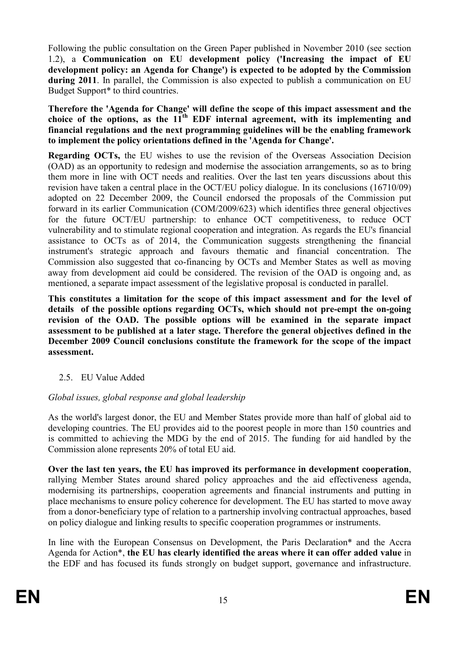<span id="page-14-0"></span>Following the public consultation on the Green Paper published in November 2010 (see section 1.2), a **Communication on EU development policy ('Increasing the impact of EU development policy: an Agenda for Change') is expected to be adopted by the Commission during 2011**. In parallel, the Commission is also expected to publish a communication on EU Budget Support\* to third countries.

**Therefore the 'Agenda for Change' will define the scope of this impact assessment and the**  choice of the options, as the  $11^{th}$  EDF internal agreement, with its implementing and **financial regulations and the next programming guidelines will be the enabling framework to implement the policy orientations defined in the 'Agenda for Change'.** 

**Regarding OCTs,** the EU wishes to use the revision of the Overseas Association Decision (OAD) as an opportunity to redesign and modernise the association arrangements, so as to bring them more in line with OCT needs and realities. Over the last ten years discussions about this revision have taken a central place in the OCT/EU policy dialogue. In its conclusions (16710/09) adopted on 22 December 2009, the Council endorsed the proposals of the Commission put forward in its earlier Communication (COM/2009/623) which identifies three general objectives for the future OCT/EU partnership: to enhance OCT competitiveness, to reduce OCT vulnerability and to stimulate regional cooperation and integration. As regards the EU's financial assistance to OCTs as of 2014, the Communication suggests strengthening the financial instrument's strategic approach and favours thematic and financial concentration. The Commission also suggested that co-financing by OCTs and Member States as well as moving away from development aid could be considered. The revision of the OAD is ongoing and, as mentioned, a separate impact assessment of the legislative proposal is conducted in parallel.

**This constitutes a limitation for the scope of this impact assessment and for the level of details of the possible options regarding OCTs, which should not pre-empt the on-going revision of the OAD. The possible options will be examined in the separate impact assessment to be published at a later stage. Therefore the general objectives defined in the December 2009 Council conclusions constitute the framework for the scope of the impact assessment.** 

### 2.5. EU Value Added

### *Global issues, global response and global leadership*

As the world's largest donor, the EU and Member States provide more than half of global aid to developing countries. The EU provides aid to the poorest people in more than 150 countries and is committed to achieving the MDG by the end of 2015. The funding for aid handled by the Commission alone represents 20% of total EU aid.

**Over the last ten years, the EU has improved its performance in development cooperation**, rallying Member States around shared policy approaches and the aid effectiveness agenda, modernising its partnerships, cooperation agreements and financial instruments and putting in place mechanisms to ensure policy coherence for development. The EU has started to move away from a donor-beneficiary type of relation to a partnership involving contractual approaches, based on policy dialogue and linking results to specific cooperation programmes or instruments.

In line with the European Consensus on Development, the Paris Declaration\* and the Accra Agenda for Action\*, **the EU has clearly identified the areas where it can offer added value** in the EDF and has focused its funds strongly on budget support, governance and infrastructure.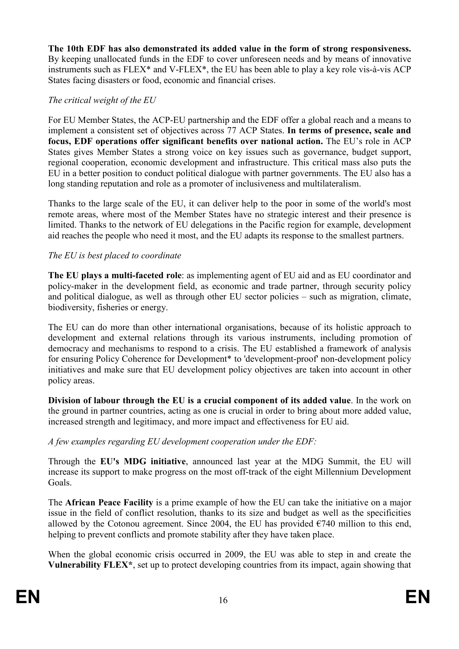**The 10th EDF has also demonstrated its added value in the form of strong responsiveness.** By keeping unallocated funds in the EDF to cover unforeseen needs and by means of innovative instruments such as FLEX\* and V-FLEX\*, the EU has been able to play a key role vis-à-vis ACP States facing disasters or food, economic and financial crises.

### *The critical weight of the EU*

For EU Member States, the ACP-EU partnership and the EDF offer a global reach and a means to implement a consistent set of objectives across 77 ACP States. **In terms of presence, scale and focus, EDF operations offer significant benefits over national action.** The EU's role in ACP States gives Member States a strong voice on key issues such as governance, budget support, regional cooperation, economic development and infrastructure. This critical mass also puts the EU in a better position to conduct political dialogue with partner governments. The EU also has a long standing reputation and role as a promoter of inclusiveness and multilateralism.

Thanks to the large scale of the EU, it can deliver help to the poor in some of the world's most remote areas, where most of the Member States have no strategic interest and their presence is limited. Thanks to the network of EU delegations in the Pacific region for example, development aid reaches the people who need it most, and the EU adapts its response to the smallest partners.

### *The EU is best placed to coordinate*

**The EU plays a multi-faceted role**: as implementing agent of EU aid and as EU coordinator and policy-maker in the development field, as economic and trade partner, through security policy and political dialogue, as well as through other EU sector policies – such as migration, climate, biodiversity, fisheries or energy.

The EU can do more than other international organisations, because of its holistic approach to development and external relations through its various instruments, including promotion of democracy and mechanisms to respond to a crisis. The EU established a framework of analysis for ensuring Policy Coherence for Development\* to 'development-proof' non-development policy initiatives and make sure that EU development policy objectives are taken into account in other policy areas.

**Division of labour through the EU is a crucial component of its added value**. In the work on the ground in partner countries, acting as one is crucial in order to bring about more added value, increased strength and legitimacy, and more impact and effectiveness for EU aid.

*A few examples regarding EU development cooperation under the EDF:* 

Through the **EU's MDG initiative**, announced last year at the MDG Summit, the EU will increase its support to make progress on the most off-track of the eight Millennium Development Goals.

The **African Peace Facility** is a prime example of how the EU can take the initiative on a major issue in the field of conflict resolution, thanks to its size and budget as well as the specificities allowed by the Cotonou agreement. Since 2004, the EU has provided  $\epsilon$ 740 million to this end, helping to prevent conflicts and promote stability after they have taken place.

When the global economic crisis occurred in 2009, the EU was able to step in and create the **Vulnerability FLEX\***, set up to protect developing countries from its impact, again showing that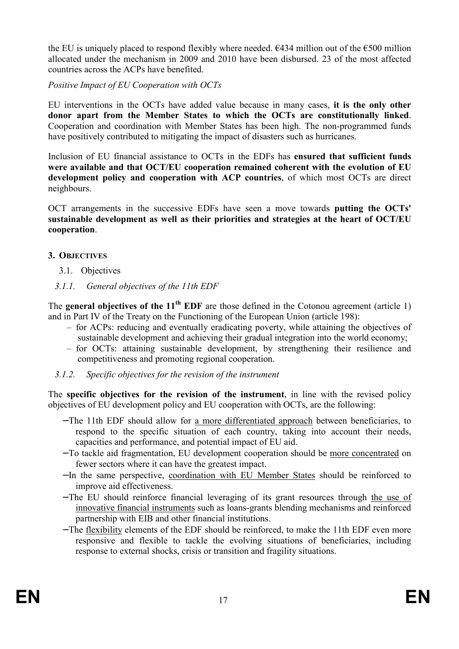<span id="page-16-0"></span>the EU is uniquely placed to respond flexibly where needed.  $\epsilon$ 434 million out of the  $\epsilon$ 500 million allocated under the mechanism in 2009 and 2010 have been disbursed. 23 of the most affected countries across the ACPs have benefited.

*Positive Impact of EU Cooperation with OCTs* 

EU interventions in the OCTs have added value because in many cases, **it is the only other donor apart from the Member States to which the OCTs are constitutionally linked**. Cooperation and coordination with Member States has been high. The non-programmed funds have positively contributed to mitigating the impact of disasters such as hurricanes.

Inclusion of EU financial assistance to OCTs in the EDFs has **ensured that sufficient funds were available and that OCT/EU cooperation remained coherent with the evolution of EU development policy and cooperation with ACP countries**, of which most OCTs are direct neighbours.

OCT arrangements in the successive EDFs have seen a move towards **putting the OCTs' sustainable development as well as their priorities and strategies at the heart of OCT/EU cooperation**.

#### **3. OBJECTIVES**

- 3.1. Objectives
- *3.1.1. General objectives of the 11th EDF*

The **general objectives of the 11<sup>th</sup> EDF** are those defined in the Cotonou agreement (article 1) and in Part IV of the Treaty on the Functioning of the European Union (article 198):

- for ACPs: reducing and eventually eradicating poverty, while attaining the objectives of sustainable development and achieving their gradual integration into the world economy;
- for OCTs: attaining sustainable development, by strengthening their resilience and competitiveness and promoting regional cooperation.
- *3.1.2. Specific objectives for the revision of the instrument*

The **specific objectives for the revision of the instrument**, in line with the revised policy objectives of EU development policy and EU cooperation with OCTs, are the following:

- − The 11th EDF should allow for a more differentiated approach between beneficiaries, to respond to the specific situation of each country, taking into account their needs, capacities and performance, and potential impact of EU aid.
- − To tackle aid fragmentation, EU development cooperation should be more concentrated on fewer sectors where it can have the greatest impact.
- − In the same perspective, coordination with EU Member States should be reinforced to improve aid effectiveness.
- − The EU should reinforce financial leveraging of its grant resources through the use of innovative financial instruments such as loans-grants blending mechanisms and reinforced partnership with EIB and other financial institutions.
- − The flexibility elements of the EDF should be reinforced, to make the 11th EDF even more responsive and flexible to tackle the evolving situations of beneficiaries, including response to external shocks, crisis or transition and fragility situations.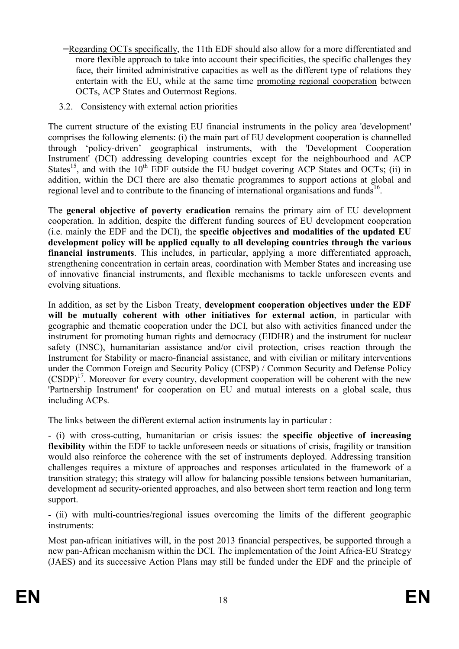- <span id="page-17-0"></span>− Regarding OCTs specifically, the 11th EDF should also allow for a more differentiated and more flexible approach to take into account their specificities, the specific challenges they face, their limited administrative capacities as well as the different type of relations they entertain with the EU, while at the same time promoting regional cooperation between OCTs, ACP States and Outermost Regions.
- 3.2. Consistency with external action priorities

The current structure of the existing EU financial instruments in the policy area 'development' comprises the following elements: (i) the main part of EU development cooperation is channelled through 'policy-driven' geographical instruments, with the 'Development Cooperation Instrument' (DCI) addressing developing countries except for the neighbourhood and ACP States<sup>15</sup>, and with the 10<sup>th</sup> EDF outside the EU budget covering ACP States and OCTs; (ii) in addition, within the DCI there are also thematic programmes to support actions at global and regional level and to contribute to the financing of international organisations and funds<sup>16</sup>.

The **general objective of poverty eradication** remains the primary aim of EU development cooperation. In addition, despite the different funding sources of EU development cooperation (i.e. mainly the EDF and the DCI), the **specific objectives and modalities of the updated EU development policy will be applied equally to all developing countries through the various financial instruments**. This includes, in particular, applying a more differentiated approach, strengthening concentration in certain areas, coordination with Member States and increasing use of innovative financial instruments, and flexible mechanisms to tackle unforeseen events and evolving situations.

In addition, as set by the Lisbon Treaty, **development cooperation objectives under the EDF will be mutually coherent with other initiatives for external action**, in particular with geographic and thematic cooperation under the DCI, but also with activities financed under the instrument for promoting human rights and democracy (EIDHR) and the instrument for nuclear safety (INSC), humanitarian assistance and/or civil protection, crises reaction through the Instrument for Stability or macro-financial assistance, and with civilian or military interventions under the Common Foreign and Security Policy (CFSP) / Common Security and Defense Policy  $(CSDP)^{17}$ . Moreover for every country, development cooperation will be coherent with the new 'Partnership Instrument' for cooperation on EU and mutual interests on a global scale, thus including ACPs.

The links between the different external action instruments lay in particular :

- (i) with cross-cutting, humanitarian or crisis issues: the **specific objective of increasing flexibility** within the EDF to tackle unforeseen needs or situations of crisis, fragility or transition would also reinforce the coherence with the set of instruments deployed. Addressing transition challenges requires a mixture of approaches and responses articulated in the framework of a transition strategy; this strategy will allow for balancing possible tensions between humanitarian, development ad security-oriented approaches, and also between short term reaction and long term support.

- (ii) with multi-countries/regional issues overcoming the limits of the different geographic instruments:

Most pan-african initiatives will, in the post 2013 financial perspectives, be supported through a new pan-African mechanism within the DCI. The implementation of the Joint Africa-EU Strategy (JAES) and its successive Action Plans may still be funded under the EDF and the principle of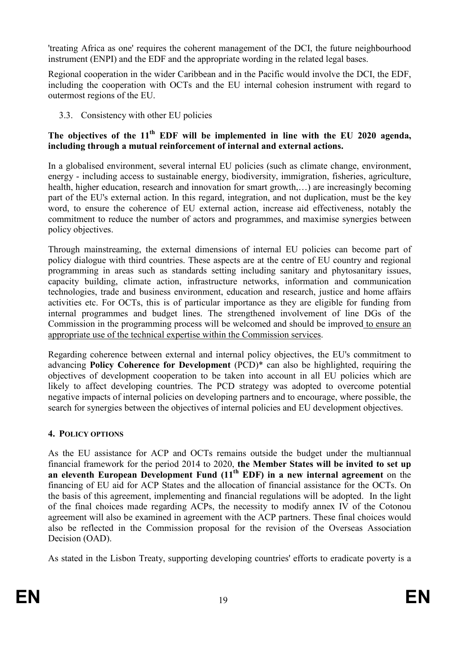<span id="page-18-0"></span>'treating Africa as one' requires the coherent management of the DCI, the future neighbourhood instrument (ENPI) and the EDF and the appropriate wording in the related legal bases.

Regional cooperation in the wider Caribbean and in the Pacific would involve the DCI, the EDF, including the cooperation with OCTs and the EU internal cohesion instrument with regard to outermost regions of the EU.

3.3. Consistency with other EU policies

### **The objectives of the 11th EDF will be implemented in line with the EU 2020 agenda, including through a mutual reinforcement of internal and external actions.**

In a globalised environment, several internal EU policies (such as climate change, environment, energy - including access to sustainable energy, biodiversity, immigration, fisheries, agriculture, health, higher education, research and innovation for smart growth,...) are increasingly becoming part of the EU's external action. In this regard, integration, and not duplication, must be the key word, to ensure the coherence of EU external action, increase aid effectiveness, notably the commitment to reduce the number of actors and programmes, and maximise synergies between policy objectives.

Through mainstreaming, the external dimensions of internal EU policies can become part of policy dialogue with third countries. These aspects are at the centre of EU country and regional programming in areas such as standards setting including sanitary and phytosanitary issues, capacity building, climate action, infrastructure networks, information and communication technologies, trade and business environment, education and research, justice and home affairs activities etc. For OCTs, this is of particular importance as they are eligible for funding from internal programmes and budget lines. The strengthened involvement of line DGs of the Commission in the programming process will be welcomed and should be improved to ensure an appropriate use of the technical expertise within the Commission services.

Regarding coherence between external and internal policy objectives, the EU's commitment to advancing **Policy Coherence for Development** (PCD)\* can also be highlighted, requiring the objectives of development cooperation to be taken into account in all EU policies which are likely to affect developing countries. The PCD strategy was adopted to overcome potential negative impacts of internal policies on developing partners and to encourage, where possible, the search for synergies between the objectives of internal policies and EU development objectives.

### **4. POLICY OPTIOS**

As the EU assistance for ACP and OCTs remains outside the budget under the multiannual financial framework for the period 2014 to 2020, **the Member States will be invited to set up an eleventh European Development Fund (11th EDF) in a new internal agreement** on the financing of EU aid for ACP States and the allocation of financial assistance for the OCTs. On the basis of this agreement, implementing and financial regulations will be adopted. In the light of the final choices made regarding ACPs, the necessity to modify annex IV of the Cotonou agreement will also be examined in agreement with the ACP partners. These final choices would also be reflected in the Commission proposal for the revision of the Overseas Association Decision (OAD).

As stated in the Lisbon Treaty, supporting developing countries' efforts to eradicate poverty is a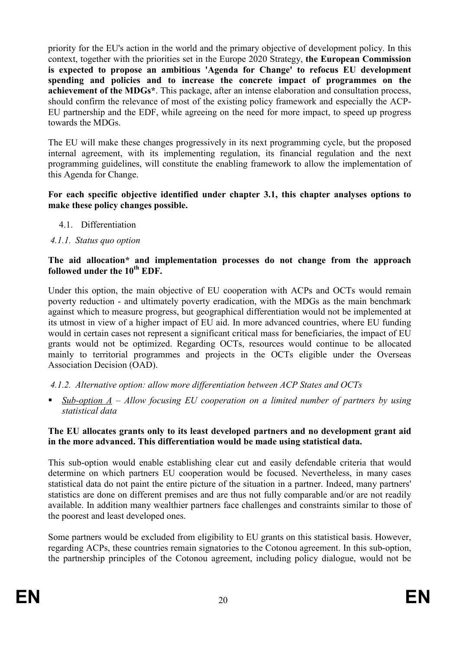<span id="page-19-0"></span>priority for the EU's action in the world and the primary objective of development policy. In this context, together with the priorities set in the Europe 2020 Strategy, **the European Commission is expected to propose an ambitious 'Agenda for Change' to refocus EU development spending and policies and to increase the concrete impact of programmes on the achievement of the MDGs\***. This package, after an intense elaboration and consultation process, should confirm the relevance of most of the existing policy framework and especially the ACP-EU partnership and the EDF, while agreeing on the need for more impact, to speed up progress towards the MDGs.

The EU will make these changes progressively in its next programming cycle, but the proposed internal agreement, with its implementing regulation, its financial regulation and the next programming guidelines, will constitute the enabling framework to allow the implementation of this Agenda for Change.

#### **For each specific objective identified under chapter 3.1, this chapter analyses options to make these policy changes possible.**

- 4.1. Differentiation
- *4.1.1. Status quo option*

#### **The aid allocation\* and implementation processes do not change from the approach followed under the 10th EDF.**

Under this option, the main objective of EU cooperation with ACPs and OCTs would remain poverty reduction - and ultimately poverty eradication, with the MDGs as the main benchmark against which to measure progress, but geographical differentiation would not be implemented at its utmost in view of a higher impact of EU aid. In more advanced countries, where EU funding would in certain cases not represent a significant critical mass for beneficiaries, the impact of EU grants would not be optimized. Regarding OCTs, resources would continue to be allocated mainly to territorial programmes and projects in the OCTs eligible under the Overseas Association Decision (OAD).

*4.1.2. Alternative option: allow more differentiation between ACP States and OCTs* 

§ *Sub-option A – Allow focusing EU cooperation on a limited number of partners by using statistical data* 

#### **The EU allocates grants only to its least developed partners and no development grant aid in the more advanced. This differentiation would be made using statistical data.**

This sub-option would enable establishing clear cut and easily defendable criteria that would determine on which partners EU cooperation would be focused. Nevertheless, in many cases statistical data do not paint the entire picture of the situation in a partner. Indeed, many partners' statistics are done on different premises and are thus not fully comparable and/or are not readily available. In addition many wealthier partners face challenges and constraints similar to those of the poorest and least developed ones.

Some partners would be excluded from eligibility to EU grants on this statistical basis. However, regarding ACPs, these countries remain signatories to the Cotonou agreement. In this sub-option, the partnership principles of the Cotonou agreement, including policy dialogue, would not be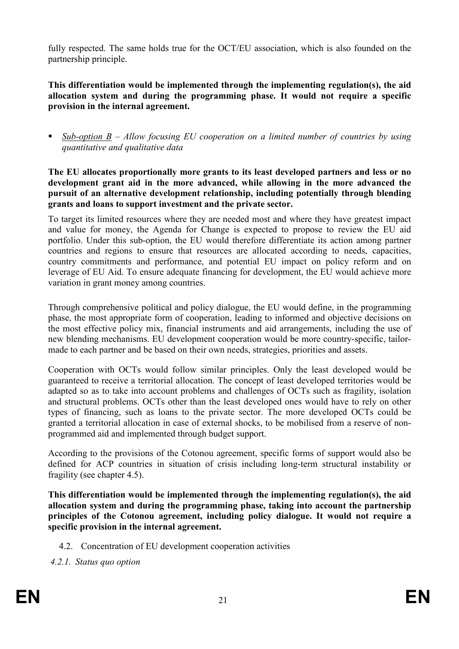<span id="page-20-0"></span>fully respected. The same holds true for the OCT/EU association, which is also founded on the partnership principle.

**This differentiation would be implemented through the implementing regulation(s), the aid allocation system and during the programming phase. It would not require a specific provision in the internal agreement.** 

§ *Sub-option B – Allow focusing EU cooperation on a limited number of countries by using quantitative and qualitative data* 

**The EU allocates proportionally more grants to its least developed partners and less or no development grant aid in the more advanced, while allowing in the more advanced the pursuit of an alternative development relationship, including potentially through blending grants and loans to support investment and the private sector.**

To target its limited resources where they are needed most and where they have greatest impact and value for money, the Agenda for Change is expected to propose to review the EU aid portfolio. Under this sub-option, the EU would therefore differentiate its action among partner countries and regions to ensure that resources are allocated according to needs, capacities, country commitments and performance, and potential EU impact on policy reform and on leverage of EU Aid. To ensure adequate financing for development, the EU would achieve more variation in grant money among countries.

Through comprehensive political and policy dialogue, the EU would define, in the programming phase, the most appropriate form of cooperation, leading to informed and objective decisions on the most effective policy mix, financial instruments and aid arrangements, including the use of new blending mechanisms. EU development cooperation would be more country-specific, tailormade to each partner and be based on their own needs, strategies, priorities and assets.

Cooperation with OCTs would follow similar principles. Only the least developed would be guaranteed to receive a territorial allocation. The concept of least developed territories would be adapted so as to take into account problems and challenges of OCTs such as fragility, isolation and structural problems. OCTs other than the least developed ones would have to rely on other types of financing, such as loans to the private sector. The more developed OCTs could be granted a territorial allocation in case of external shocks, to be mobilised from a reserve of nonprogrammed aid and implemented through budget support.

According to the provisions of the Cotonou agreement, specific forms of support would also be defined for ACP countries in situation of crisis including long-term structural instability or fragility (see chapter 4.5).

**This differentiation would be implemented through the implementing regulation(s), the aid allocation system and during the programming phase, taking into account the partnership principles of the Cotonou agreement, including policy dialogue. It would not require a specific provision in the internal agreement.** 

- 4.2. Concentration of EU development cooperation activities
- *4.2.1. Status quo option*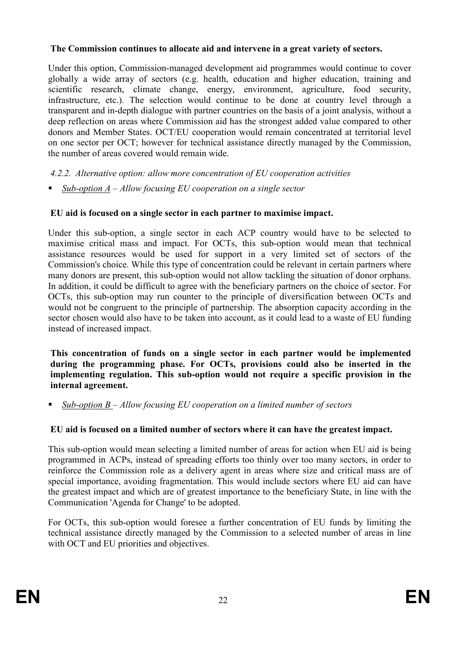### <span id="page-21-0"></span>**The Commission continues to allocate aid and intervene in a great variety of sectors.**

Under this option, Commission-managed development aid programmes would continue to cover globally a wide array of sectors (e.g. health, education and higher education, training and scientific research, climate change, energy, environment, agriculture, food security, infrastructure, etc.). The selection would continue to be done at country level through a transparent and in-depth dialogue with partner countries on the basis of a joint analysis, without a deep reflection on areas where Commission aid has the strongest added value compared to other donors and Member States. OCT/EU cooperation would remain concentrated at territorial level on one sector per OCT; however for technical assistance directly managed by the Commission, the number of areas covered would remain wide.

*4.2.2. Alternative option: allow more concentration of EU cooperation activities* 

■ *Sub-option A – Allow focusing EU cooperation on a single sector* 

### **EU aid is focused on a single sector in each partner to maximise impact.**

Under this sub-option, a single sector in each ACP country would have to be selected to maximise critical mass and impact. For OCTs, this sub-option would mean that technical assistance resources would be used for support in a very limited set of sectors of the Commission's choice. While this type of concentration could be relevant in certain partners where many donors are present, this sub-option would not allow tackling the situation of donor orphans. In addition, it could be difficult to agree with the beneficiary partners on the choice of sector. For OCTs, this sub-option may run counter to the principle of diversification between OCTs and would not be congruent to the principle of partnership. The absorption capacity according in the sector chosen would also have to be taken into account, as it could lead to a waste of EU funding instead of increased impact.

**This concentration of funds on a single sector in each partner would be implemented during the programming phase. For OCTs, provisions could also be inserted in the implementing regulation. This sub-option would not require a specific provision in the internal agreement.** 

§ *Sub-option B – Allow focusing EU cooperation on a limited number of sectors* 

### **EU aid is focused on a limited number of sectors where it can have the greatest impact.**

This sub-option would mean selecting a limited number of areas for action when EU aid is being programmed in ACPs, instead of spreading efforts too thinly over too many sectors, in order to reinforce the Commission role as a delivery agent in areas where size and critical mass are of special importance, avoiding fragmentation. This would include sectors where EU aid can have the greatest impact and which are of greatest importance to the beneficiary State, in line with the Communication 'Agenda for Change' to be adopted.

For OCTs, this sub-option would foresee a further concentration of EU funds by limiting the technical assistance directly managed by the Commission to a selected number of areas in line with OCT and EU priorities and objectives.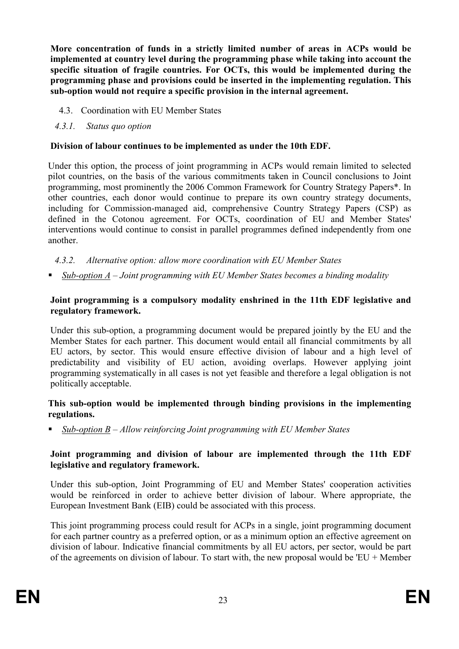<span id="page-22-0"></span>**More concentration of funds in a strictly limited number of areas in ACPs would be implemented at country level during the programming phase while taking into account the specific situation of fragile countries. For OCTs, this would be implemented during the programming phase and provisions could be inserted in the implementing regulation. This sub-option would not require a specific provision in the internal agreement.** 

- 4.3. Coordination with EU Member States
- *4.3.1. Status quo option*

### **Division of labour continues to be implemented as under the 10th EDF.**

Under this option, the process of joint programming in ACPs would remain limited to selected pilot countries, on the basis of the various commitments taken in Council conclusions to Joint programming, most prominently the 2006 Common Framework for Country Strategy Papers\*. In other countries, each donor would continue to prepare its own country strategy documents, including for Commission-managed aid, comprehensive Country Strategy Papers (CSP) as defined in the Cotonou agreement. For OCTs, coordination of EU and Member States' interventions would continue to consist in parallel programmes defined independently from one another.

*4.3.2. Alternative option: allow more coordination with EU Member States* 

§ *Sub-option A – Joint programming with EU Member States becomes a binding modality* 

### **Joint programming is a compulsory modality enshrined in the 11th EDF legislative and regulatory framework.**

Under this sub-option, a programming document would be prepared jointly by the EU and the Member States for each partner. This document would entail all financial commitments by all EU actors, by sector. This would ensure effective division of labour and a high level of predictability and visibility of EU action, avoiding overlaps. However applying joint programming systematically in all cases is not yet feasible and therefore a legal obligation is not politically acceptable.

#### **This sub-option would be implemented through binding provisions in the implementing regulations.**

§ *Sub-option B – Allow reinforcing Joint programming with EU Member States* 

### **Joint programming and division of labour are implemented through the 11th EDF legislative and regulatory framework.**

Under this sub-option, Joint Programming of EU and Member States' cooperation activities would be reinforced in order to achieve better division of labour. Where appropriate, the European Investment Bank (EIB) could be associated with this process.

This joint programming process could result for ACPs in a single, joint programming document for each partner country as a preferred option, or as a minimum option an effective agreement on division of labour. Indicative financial commitments by all EU actors, per sector, would be part of the agreements on division of labour. To start with, the new proposal would be  $'EU + Member$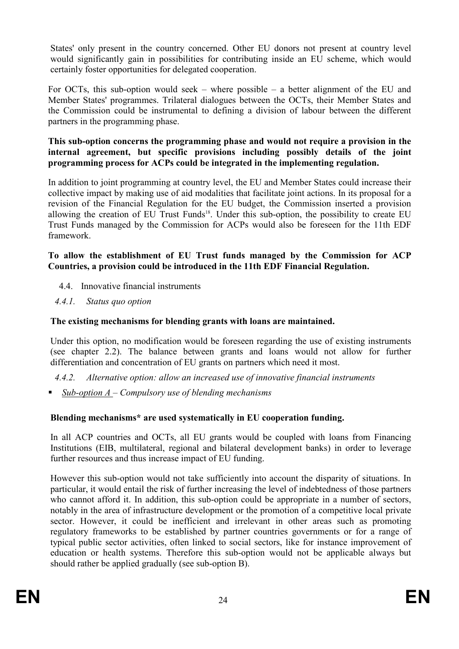<span id="page-23-0"></span>States' only present in the country concerned. Other EU donors not present at country level would significantly gain in possibilities for contributing inside an EU scheme, which would certainly foster opportunities for delegated cooperation.

For OCTs, this sub-option would seek – where possible – a better alignment of the EU and Member States' programmes. Trilateral dialogues between the OCTs, their Member States and the Commission could be instrumental to defining a division of labour between the different partners in the programming phase.

**This sub-option concerns the programming phase and would not require a provision in the internal agreement, but specific provisions including possibly details of the joint programming process for ACPs could be integrated in the implementing regulation.** 

In addition to joint programming at country level, the EU and Member States could increase their collective impact by making use of aid modalities that facilitate joint actions. In its proposal for a revision of the Financial Regulation for the EU budget, the Commission inserted a provision allowing the creation of EU Trust Funds<sup>18</sup>. Under this sub-option, the possibility to create EU Trust Funds managed by the Commission for ACPs would also be foreseen for the 11th EDF framework.

#### **To allow the establishment of EU Trust funds managed by the Commission for ACP Countries, a provision could be introduced in the 11th EDF Financial Regulation.**

- 4.4. Innovative financial instruments
- *4.4.1. Status quo option*

#### **The existing mechanisms for blending grants with loans are maintained.**

Under this option, no modification would be foreseen regarding the use of existing instruments (see chapter 2.2). The balance between grants and loans would not allow for further differentiation and concentration of EU grants on partners which need it most.

*4.4.2. Alternative option: allow an increased use of innovative financial instruments*

§ *Sub-option A – Compulsory use of blending mechanisms* 

### **Blending mechanisms\* are used systematically in EU cooperation funding.**

In all ACP countries and OCTs, all EU grants would be coupled with loans from Financing Institutions (EIB, multilateral, regional and bilateral development banks) in order to leverage further resources and thus increase impact of EU funding.

However this sub-option would not take sufficiently into account the disparity of situations. In particular, it would entail the risk of further increasing the level of indebtedness of those partners who cannot afford it. In addition, this sub-option could be appropriate in a number of sectors, notably in the area of infrastructure development or the promotion of a competitive local private sector. However, it could be inefficient and irrelevant in other areas such as promoting regulatory frameworks to be established by partner countries governments or for a range of typical public sector activities, often linked to social sectors, like for instance improvement of education or health systems. Therefore this sub-option would not be applicable always but should rather be applied gradually (see sub-option B).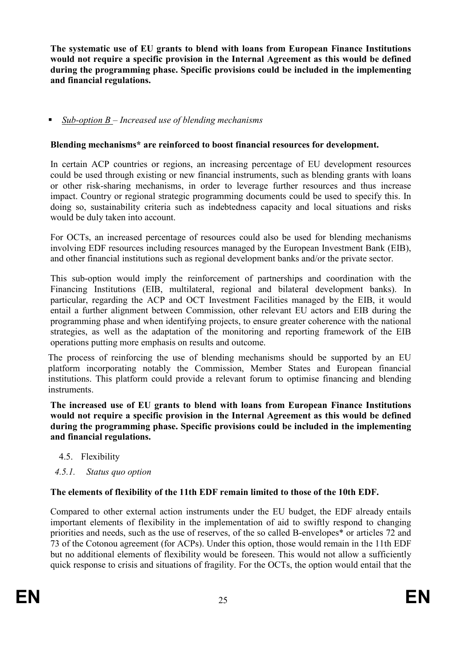<span id="page-24-0"></span>**The systematic use of EU grants to blend with loans from European Finance Institutions would not require a specific provision in the Internal Agreement as this would be defined during the programming phase. Specific provisions could be included in the implementing and financial regulations.** 

### § *Sub-option B – Increased use of blending mechanisms*

### **Blending mechanisms\* are reinforced to boost financial resources for development.**

In certain ACP countries or regions, an increasing percentage of EU development resources could be used through existing or new financial instruments, such as blending grants with loans or other risk-sharing mechanisms, in order to leverage further resources and thus increase impact. Country or regional strategic programming documents could be used to specify this. In doing so, sustainability criteria such as indebtedness capacity and local situations and risks would be duly taken into account.

For OCTs, an increased percentage of resources could also be used for blending mechanisms involving EDF resources including resources managed by the European Investment Bank (EIB), and other financial institutions such as regional development banks and/or the private sector.

This sub-option would imply the reinforcement of partnerships and coordination with the Financing Institutions (EIB, multilateral, regional and bilateral development banks). In particular, regarding the ACP and OCT Investment Facilities managed by the EIB, it would entail a further alignment between Commission, other relevant EU actors and EIB during the programming phase and when identifying projects, to ensure greater coherence with the national strategies, as well as the adaptation of the monitoring and reporting framework of the EIB operations putting more emphasis on results and outcome.

The process of reinforcing the use of blending mechanisms should be supported by an EU platform incorporating notably the Commission, Member States and European financial institutions. This platform could provide a relevant forum to optimise financing and blending **instruments** 

**The increased use of EU grants to blend with loans from European Finance Institutions would not require a specific provision in the Internal Agreement as this would be defined during the programming phase. Specific provisions could be included in the implementing and financial regulations.** 

- 4.5. Flexibility
- *4.5.1. Status quo option*

#### **The elements of flexibility of the 11th EDF remain limited to those of the 10th EDF.**

Compared to other external action instruments under the EU budget, the EDF already entails important elements of flexibility in the implementation of aid to swiftly respond to changing priorities and needs, such as the use of reserves, of the so called B-envelopes\* or articles 72 and 73 of the Cotonou agreement (for ACPs). Under this option, those would remain in the 11th EDF but no additional elements of flexibility would be foreseen. This would not allow a sufficiently quick response to crisis and situations of fragility. For the OCTs, the option would entail that the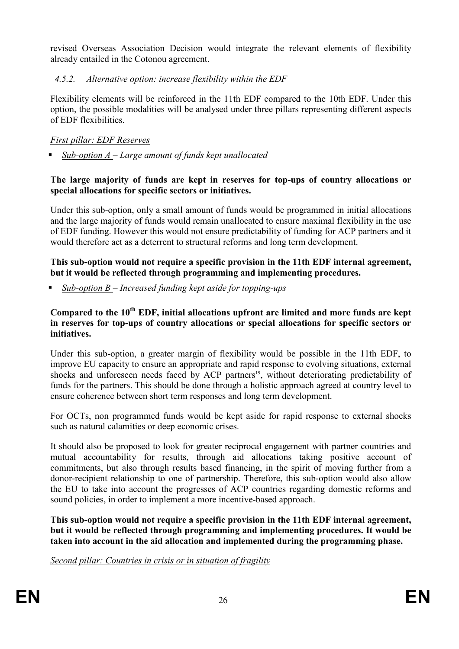<span id="page-25-0"></span>revised Overseas Association Decision would integrate the relevant elements of flexibility already entailed in the Cotonou agreement.

### *4.5.2. Alternative option: increase flexibility within the EDF*

Flexibility elements will be reinforced in the 11th EDF compared to the 10th EDF. Under this option, the possible modalities will be analysed under three pillars representing different aspects of EDF flexibilities.

### *First pillar: EDF Reserves*

§ *Sub-option A – Large amount of funds kept unallocated* 

### **The large majority of funds are kept in reserves for top-ups of country allocations or special allocations for specific sectors or initiatives.**

Under this sub-option, only a small amount of funds would be programmed in initial allocations and the large majority of funds would remain unallocated to ensure maximal flexibility in the use of EDF funding. However this would not ensure predictability of funding for ACP partners and it would therefore act as a deterrent to structural reforms and long term development.

### **This sub-option would not require a specific provision in the 11th EDF internal agreement, but it would be reflected through programming and implementing procedures.**

§ *Sub-option B – Increased funding kept aside for topping-ups* 

### **Compared to the 10th EDF, initial allocations upfront are limited and more funds are kept in reserves for top-ups of country allocations or special allocations for specific sectors or initiatives.**

Under this sub-option, a greater margin of flexibility would be possible in the 11th EDF, to improve EU capacity to ensure an appropriate and rapid response to evolving situations, external shocks and unforeseen needs faced by ACP partners<sup>19</sup>, without deteriorating predictability of funds for the partners. This should be done through a holistic approach agreed at country level to ensure coherence between short term responses and long term development.

For OCTs, non programmed funds would be kept aside for rapid response to external shocks such as natural calamities or deep economic crises.

It should also be proposed to look for greater reciprocal engagement with partner countries and mutual accountability for results, through aid allocations taking positive account of commitments, but also through results based financing, in the spirit of moving further from a donor-recipient relationship to one of partnership. Therefore, this sub-option would also allow the EU to take into account the progresses of ACP countries regarding domestic reforms and sound policies, in order to implement a more incentive-based approach.

**This sub-option would not require a specific provision in the 11th EDF internal agreement, but it would be reflected through programming and implementing procedures. It would be taken into account in the aid allocation and implemented during the programming phase.** 

*Second pillar: Countries in crisis or in situation of fragility*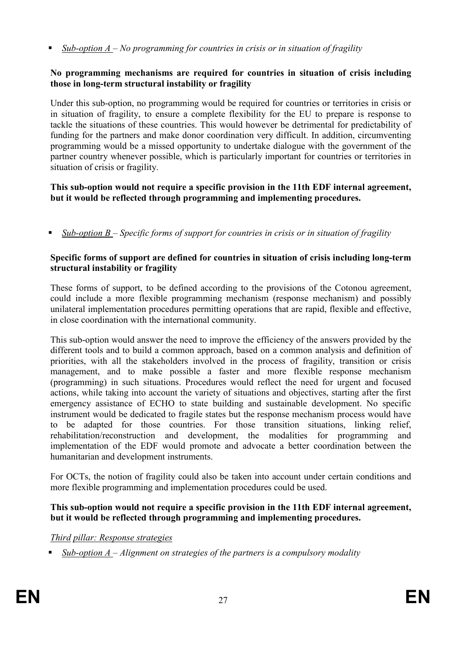■ *Sub-option A – No programming for countries in crisis or in situation of fragility* 

#### **o programming mechanisms are required for countries in situation of crisis including those in long-term structural instability or fragility**

Under this sub-option, no programming would be required for countries or territories in crisis or in situation of fragility, to ensure a complete flexibility for the EU to prepare is response to tackle the situations of these countries. This would however be detrimental for predictability of funding for the partners and make donor coordination very difficult. In addition, circumventing programming would be a missed opportunity to undertake dialogue with the government of the partner country whenever possible, which is particularly important for countries or territories in situation of crisis or fragility.

### **This sub-option would not require a specific provision in the 11th EDF internal agreement, but it would be reflected through programming and implementing procedures.**

§ *Sub-option B – Specific forms of support for countries in crisis or in situation of fragility* 

#### **Specific forms of support are defined for countries in situation of crisis including long-term structural instability or fragility**

These forms of support, to be defined according to the provisions of the Cotonou agreement, could include a more flexible programming mechanism (response mechanism) and possibly unilateral implementation procedures permitting operations that are rapid, flexible and effective, in close coordination with the international community.

This sub-option would answer the need to improve the efficiency of the answers provided by the different tools and to build a common approach, based on a common analysis and definition of priorities, with all the stakeholders involved in the process of fragility, transition or crisis management, and to make possible a faster and more flexible response mechanism (programming) in such situations. Procedures would reflect the need for urgent and focused actions, while taking into account the variety of situations and objectives, starting after the first emergency assistance of ECHO to state building and sustainable development. No specific instrument would be dedicated to fragile states but the response mechanism process would have to be adapted for those countries. For those transition situations, linking relief, rehabilitation/reconstruction and development, the modalities for programming and implementation of the EDF would promote and advocate a better coordination between the humanitarian and development instruments.

For OCTs, the notion of fragility could also be taken into account under certain conditions and more flexible programming and implementation procedures could be used.

#### **This sub-option would not require a specific provision in the 11th EDF internal agreement, but it would be reflected through programming and implementing procedures.**

### *Third pillar: Response strategies*

§ *Sub-option A – Alignment on strategies of the partners is a compulsory modality*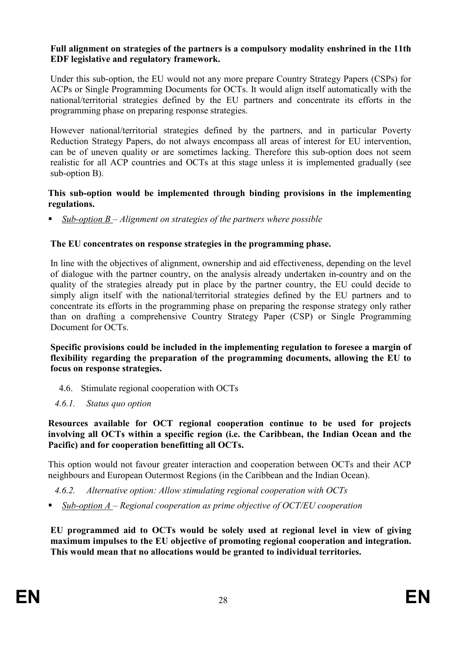#### <span id="page-27-0"></span>**Full alignment on strategies of the partners is a compulsory modality enshrined in the 11th EDF legislative and regulatory framework.**

Under this sub-option, the EU would not any more prepare Country Strategy Papers (CSPs) for ACPs or Single Programming Documents for OCTs. It would align itself automatically with the national/territorial strategies defined by the EU partners and concentrate its efforts in the programming phase on preparing response strategies.

However national/territorial strategies defined by the partners, and in particular Poverty Reduction Strategy Papers, do not always encompass all areas of interest for EU intervention, can be of uneven quality or are sometimes lacking. Therefore this sub-option does not seem realistic for all ACP countries and OCTs at this stage unless it is implemented gradually (see sub-option B).

#### **This sub-option would be implemented through binding provisions in the implementing regulations.**

§ *Sub-option B – Alignment on strategies of the partners where possible* 

#### **The EU concentrates on response strategies in the programming phase.**

In line with the objectives of alignment, ownership and aid effectiveness, depending on the level of dialogue with the partner country, on the analysis already undertaken in-country and on the quality of the strategies already put in place by the partner country, the EU could decide to simply align itself with the national/territorial strategies defined by the EU partners and to concentrate its efforts in the programming phase on preparing the response strategy only rather than on drafting a comprehensive Country Strategy Paper (CSP) or Single Programming Document for OCTs.

**Specific provisions could be included in the implementing regulation to foresee a margin of flexibility regarding the preparation of the programming documents, allowing the EU to focus on response strategies.** 

- 4.6. Stimulate regional cooperation with OCTs
- *4.6.1. Status quo option*

#### **Resources available for OCT regional cooperation continue to be used for projects involving all OCTs within a specific region (i.e. the Caribbean, the Indian Ocean and the Pacific) and for cooperation benefitting all OCTs.**

This option would not favour greater interaction and cooperation between OCTs and their ACP neighbours and European Outermost Regions (in the Caribbean and the Indian Ocean).

- *4.6.2. Alternative option: Allow stimulating regional cooperation with OCTs*
- *Sub-option A Regional cooperation as prime objective of OCT/EU cooperation*

**EU programmed aid to OCTs would be solely used at regional level in view of giving maximum impulses to the EU objective of promoting regional cooperation and integration. This would mean that no allocations would be granted to individual territories.**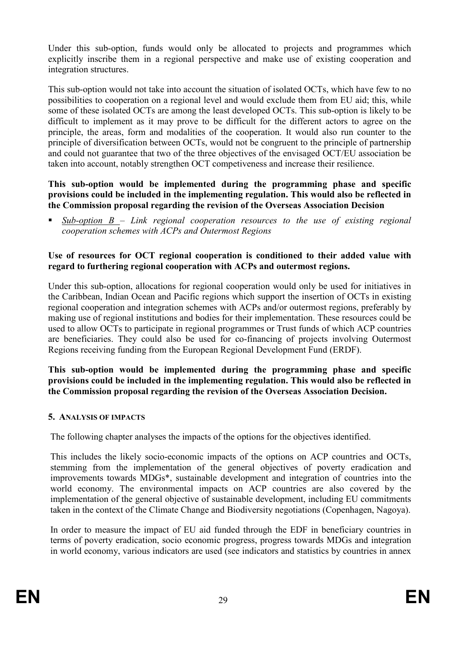<span id="page-28-0"></span>Under this sub-option, funds would only be allocated to projects and programmes which explicitly inscribe them in a regional perspective and make use of existing cooperation and integration structures.

This sub-option would not take into account the situation of isolated OCTs, which have few to no possibilities to cooperation on a regional level and would exclude them from EU aid; this, while some of these isolated OCTs are among the least developed OCTs. This sub-option is likely to be difficult to implement as it may prove to be difficult for the different actors to agree on the principle, the areas, form and modalities of the cooperation. It would also run counter to the principle of diversification between OCTs, would not be congruent to the principle of partnership and could not guarantee that two of the three objectives of the envisaged OCT/EU association be taken into account, notably strengthen OCT competiveness and increase their resilience.

**This sub-option would be implemented during the programming phase and specific provisions could be included in the implementing regulation. This would also be reflected in the Commission proposal regarding the revision of the Overseas Association Decision** 

§ *Sub-option B – Link regional cooperation resources to the use of existing regional cooperation schemes with ACPs and Outermost Regions* 

#### **Use of resources for OCT regional cooperation is conditioned to their added value with regard to furthering regional cooperation with ACPs and outermost regions.**

Under this sub-option, allocations for regional cooperation would only be used for initiatives in the Caribbean, Indian Ocean and Pacific regions which support the insertion of OCTs in existing regional cooperation and integration schemes with ACPs and/or outermost regions, preferably by making use of regional institutions and bodies for their implementation. These resources could be used to allow OCTs to participate in regional programmes or Trust funds of which ACP countries are beneficiaries. They could also be used for co-financing of projects involving Outermost Regions receiving funding from the European Regional Development Fund (ERDF).

**This sub-option would be implemented during the programming phase and specific provisions could be included in the implementing regulation. This would also be reflected in the Commission proposal regarding the revision of the Overseas Association Decision.** 

### **5. AALYSIS OF IMPACTS**

The following chapter analyses the impacts of the options for the objectives identified.

This includes the likely socio-economic impacts of the options on ACP countries and OCTs, stemming from the implementation of the general objectives of poverty eradication and improvements towards MDGs\*, sustainable development and integration of countries into the world economy. The environmental impacts on ACP countries are also covered by the implementation of the general objective of sustainable development, including EU commitments taken in the context of the Climate Change and Biodiversity negotiations (Copenhagen, Nagoya).

In order to measure the impact of EU aid funded through the EDF in beneficiary countries in terms of poverty eradication, socio economic progress, progress towards MDGs and integration in world economy, various indicators are used (see indicators and statistics by countries in annex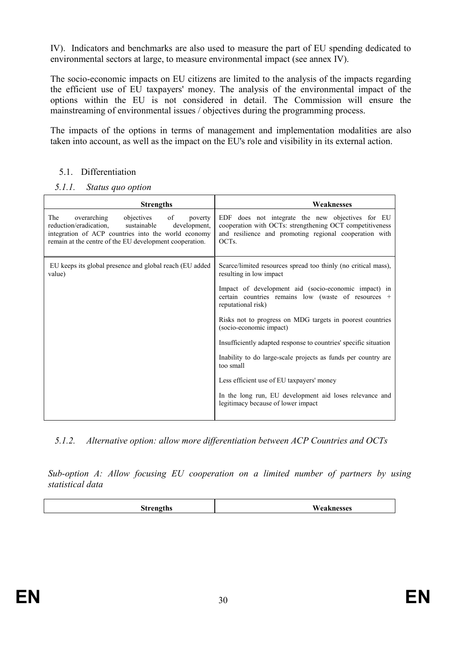<span id="page-29-0"></span>IV). Indicators and benchmarks are also used to measure the part of EU spending dedicated to environmental sectors at large, to measure environmental impact (see annex IV).

The socio-economic impacts on EU citizens are limited to the analysis of the impacts regarding the efficient use of EU taxpayers' money. The analysis of the environmental impact of the options within the EU is not considered in detail. The Commission will ensure the mainstreaming of environmental issues / objectives during the programming process.

The impacts of the options in terms of management and implementation modalities are also taken into account, as well as the impact on the EU's role and visibility in its external action.

- 5.1. Differentiation
- *5.1.1. Status quo option*

| Weaknesses                                                                                                                                                                      |
|---------------------------------------------------------------------------------------------------------------------------------------------------------------------------------|
| EDF does not integrate the new objectives for EU<br>cooperation with OCTs: strengthening OCT competitiveness<br>and resilience and promoting regional cooperation with<br>OCTs. |
| Scarce/limited resources spread too thinly (no critical mass),<br>resulting in low impact                                                                                       |
| Impact of development aid (socio-economic impact) in<br>certain countries remains low (waste of resources +<br>reputational risk)                                               |
| Risks not to progress on MDG targets in poorest countries<br>(socio-economic impact)                                                                                            |
| Insufficiently adapted response to countries' specific situation                                                                                                                |
| Inability to do large-scale projects as funds per country are.<br>too small                                                                                                     |
| Less efficient use of EU taxpayers' money                                                                                                                                       |
| In the long run, EU development aid loses relevance and<br>legitimacy because of lower impact                                                                                   |
|                                                                                                                                                                                 |

*5.1.2. Alternative option: allow more differentiation between ACP Countries and OCTs* 

*Sub-option A: Allow focusing EU cooperation on a limited number of partners by using statistical data*

| ۰. |
|----|
|----|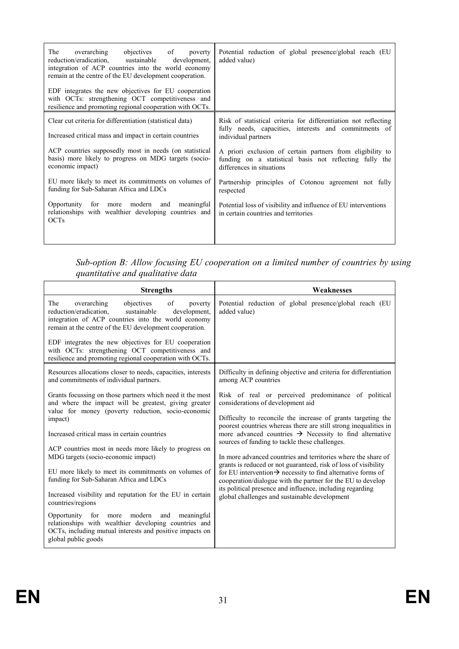| overarching<br>objectives of poverty<br>The<br>reduction/eradication, sustainable<br>development,<br>integration of ACP countries into the world economy<br>remain at the centre of the EU development cooperation. | Potential reduction of global presence/global reach (EU<br>added value)                                                                            |  |
|---------------------------------------------------------------------------------------------------------------------------------------------------------------------------------------------------------------------|----------------------------------------------------------------------------------------------------------------------------------------------------|--|
| EDF integrates the new objectives for EU cooperation<br>with OCTs: strengthening OCT competitiveness and<br>resilience and promoting regional cooperation with OCTs.                                                |                                                                                                                                                    |  |
| Clear cut criteria for differentiation (statistical data)                                                                                                                                                           | Risk of statistical criteria for differentiation not reflecting<br>fully needs, capacities, interests and commitments of                           |  |
| Increased critical mass and impact in certain countries                                                                                                                                                             | individual partners                                                                                                                                |  |
| ACP countries supposedly most in needs (on statistical<br>basis) more likely to progress on MDG targets (socio-<br>economic impact)                                                                                 | A priori exclusion of certain partners from eligibility to<br>funding on a statistical basis not reflecting fully the<br>differences in situations |  |
| EU more likely to meet its commitments on volumes of<br>funding for Sub-Saharan Africa and LDCs                                                                                                                     | Partnership principles of Cotonou agreement not fully<br>respected                                                                                 |  |
| Opportunity for more modern and meaningful<br>relationships with wealthier developing countries and<br><b>OCTs</b>                                                                                                  | Potential loss of visibility and influence of EU interventions<br>in certain countries and territories                                             |  |
|                                                                                                                                                                                                                     |                                                                                                                                                    |  |

*Sub-option B: Allow focusing EU cooperation on a limited number of countries by using quantitative and qualitative data* 

| <b>Strengths</b>                                                                                                                                                                                                                                                                                                                         | Weaknesses                                                                                                                                                                                                 |
|------------------------------------------------------------------------------------------------------------------------------------------------------------------------------------------------------------------------------------------------------------------------------------------------------------------------------------------|------------------------------------------------------------------------------------------------------------------------------------------------------------------------------------------------------------|
| The<br>overarching<br>of<br>objectives<br>poverty<br>reduction/eradication.<br>sustainable<br>development,<br>integration of ACP countries into the world economy<br>remain at the centre of the EU development cooperation.<br>EDF integrates the new objectives for EU cooperation<br>with OCTs: strengthening OCT competitiveness and | Potential reduction of global presence/global reach (EU<br>added value)                                                                                                                                    |
| resilience and promoting regional cooperation with OCTs.                                                                                                                                                                                                                                                                                 |                                                                                                                                                                                                            |
| Resources allocations closer to needs, capacities, interests<br>and commitments of individual partners.                                                                                                                                                                                                                                  | Difficulty in defining objective and criteria for differentiation<br>among ACP countries                                                                                                                   |
| Grants focussing on those partners which need it the most<br>and where the impact will be greatest, giving greater<br>value for money (poverty reduction, socio-economic                                                                                                                                                                 | Risk of real or perceived predominance of political<br>considerations of development aid                                                                                                                   |
| impact)                                                                                                                                                                                                                                                                                                                                  | Difficulty to reconcile the increase of grants targeting the                                                                                                                                               |
| Increased critical mass in certain countries                                                                                                                                                                                                                                                                                             | poorest countries whereas there are still strong inequalities in<br>more advanced countries $\rightarrow$ Necessity to find alternative<br>sources of funding to tackle these challenges.                  |
| ACP countries most in needs more likely to progress on                                                                                                                                                                                                                                                                                   |                                                                                                                                                                                                            |
| MDG targets (socio-economic impact)                                                                                                                                                                                                                                                                                                      | In more advanced countries and territories where the share of                                                                                                                                              |
| EU more likely to meet its commitments on volumes of<br>funding for Sub-Saharan Africa and LDCs                                                                                                                                                                                                                                          | grants is reduced or not guaranteed, risk of loss of visibility<br>for EU intervention $\rightarrow$ necessity to find alternative forms of<br>cooperation/dialogue with the partner for the EU to develop |
| Increased visibility and reputation for the EU in certain<br>countries/regions                                                                                                                                                                                                                                                           | its political presence and influence, including regarding<br>global challenges and sustainable development                                                                                                 |
| for<br>modern<br>meaningful<br>Opportunity<br>and<br>more<br>relationships with wealthier developing countries and<br>OCTs, including mutual interests and positive impacts on<br>global public goods                                                                                                                                    |                                                                                                                                                                                                            |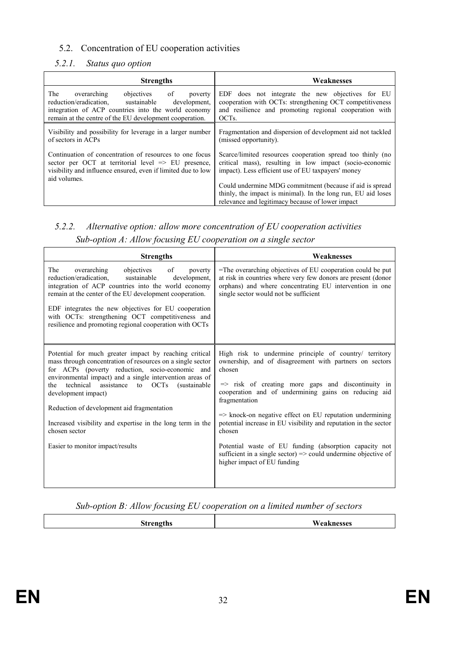### <span id="page-31-0"></span>5.2. Concentration of EU cooperation activities

#### *5.2.1. Status quo option*

| <b>Strengths</b>                                                                                                                                                                                                             | Weaknesses                                                                                                                                                                                   |
|------------------------------------------------------------------------------------------------------------------------------------------------------------------------------------------------------------------------------|----------------------------------------------------------------------------------------------------------------------------------------------------------------------------------------------|
| of<br>The<br>objectives<br>overarching<br>poverty<br>reduction/eradication.<br>sustainable<br>development,<br>integration of ACP countries into the world economy<br>remain at the centre of the EU development cooperation. | EDF does not integrate the new objectives for EU<br>cooperation with OCTs: strengthening OCT competitiveness<br>and resilience and promoting regional cooperation with<br>OCT <sub>s</sub> . |
| Visibility and possibility for leverage in a larger number<br>of sectors in ACPs                                                                                                                                             | Fragmentation and dispersion of development aid not tackled<br>(missed opportunity).                                                                                                         |
| Continuation of concentration of resources to one focus<br>sector per OCT at territorial level $\Rightarrow$ EU presence,<br>visibility and influence ensured, even if limited due to low<br>aid volumes.                    | Scarce/limited resources cooperation spread too thinly (no<br>critical mass), resulting in low impact (socio-economic<br>impact). Less efficient use of EU taxpayers' money                  |
|                                                                                                                                                                                                                              | Could undermine MDG commitment (because if aid is spread<br>thinly, the impact is minimal). In the long run, EU aid loses<br>relevance and legitimacy because of lower impact                |

## *5.2.2. Alternative option: allow more concentration of EU cooperation activities Sub-option A: Allow focusing EU cooperation on a single sector*

| <b>Strengths</b>                                                                                                                                                                                                                                                                                                                                                                                                                                                                         | Weaknesses                                                                                                                                                                                                                                                                                                                                                                                                                                                                                                                                                                            |
|------------------------------------------------------------------------------------------------------------------------------------------------------------------------------------------------------------------------------------------------------------------------------------------------------------------------------------------------------------------------------------------------------------------------------------------------------------------------------------------|---------------------------------------------------------------------------------------------------------------------------------------------------------------------------------------------------------------------------------------------------------------------------------------------------------------------------------------------------------------------------------------------------------------------------------------------------------------------------------------------------------------------------------------------------------------------------------------|
| of<br>The<br>overarching<br>objectives<br>poverty<br>reduction/eradication.<br>sustainable<br>development.<br>integration of ACP countries into the world economy<br>remain at the center of the EU development cooperation.<br>EDF integrates the new objectives for EU cooperation<br>with OCTs: strengthening OCT competitiveness and<br>resilience and promoting regional cooperation with OCTs                                                                                      | =The overarching objectives of EU cooperation could be put<br>at risk in countries where very few donors are present (donor<br>orphans) and where concentrating EU intervention in one<br>single sector would not be sufficient                                                                                                                                                                                                                                                                                                                                                       |
| Potential for much greater impact by reaching critical<br>mass through concentration of resources on a single sector<br>for ACPs (poverty reduction, socio-economic and<br>environmental impact) and a single intervention areas of<br>technical<br>assistance<br>to OCTs<br>(sustainable<br>the<br>development impact)<br>Reduction of development aid fragmentation<br>Increased visibility and expertise in the long term in the<br>chosen sector<br>Easier to monitor impact/results | High risk to undermine principle of country/ territory<br>ownership, and of disagreement with partners on sectors<br>chosen<br>=> risk of creating more gaps and discontinuity in<br>cooperation and of undermining gains on reducing aid<br>fragmentation<br>$\Rightarrow$ knock-on negative effect on EU reputation undermining<br>potential increase in EU visibility and reputation in the sector<br>chosen<br>Potential waste of EU funding (absorption capacity not<br>sufficient in a single sector) $\Rightarrow$ could undermine objective of<br>higher impact of EU funding |

#### *Sub-option B: Allow focusing EU cooperation on a limited number of sectors*

|  |  | m |
|--|--|---|
|--|--|---|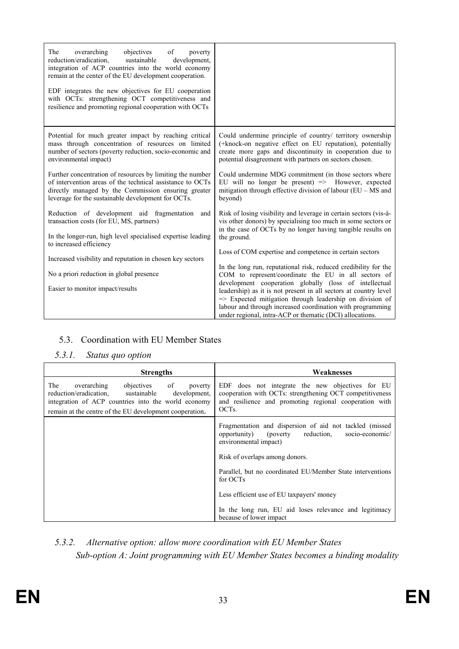<span id="page-32-0"></span>

| objectives<br>The<br>overarching<br>of<br>poverty<br>reduction/eradication,<br>sustainable<br>development,<br>integration of ACP countries into the world economy<br>remain at the center of the EU development cooperation.<br>EDF integrates the new objectives for EU cooperation<br>with OCTs: strengthening OCT competitiveness and<br>resilience and promoting regional cooperation with OCTs |                                                                                                                                                                                                                                                                 |
|-----------------------------------------------------------------------------------------------------------------------------------------------------------------------------------------------------------------------------------------------------------------------------------------------------------------------------------------------------------------------------------------------------|-----------------------------------------------------------------------------------------------------------------------------------------------------------------------------------------------------------------------------------------------------------------|
| Potential for much greater impact by reaching critical<br>mass through concentration of resources on limited<br>number of sectors (poverty reduction, socio-economic and<br>environmental impact)                                                                                                                                                                                                   | Could undermine principle of country/ territory ownership<br>(+knock-on negative effect on EU reputation), potentially<br>create more gaps and discontinuity in cooperation due to<br>potential disagreement with partners on sectors chosen.                   |
| Further concentration of resources by limiting the number<br>of intervention areas of the technical assistance to OCTs<br>directly managed by the Commission ensuring greater<br>leverage for the sustainable development for OCTs.                                                                                                                                                                 | Could undermine MDG commitment (in those sectors where<br>EU will no longer be present) $\Rightarrow$ However, expected<br>mitigation through effective division of labour $(EU - MS)$ and<br>beyond)                                                           |
| Reduction of development aid fragmentation<br>and<br>transaction costs (for EU, MS, partners)<br>In the longer-run, high level specialised expertise leading<br>to increased efficiency                                                                                                                                                                                                             | Risk of losing visibility and leverage in certain sectors (vis-à-<br>vis other donors) by specialising too much in some sectors or<br>in the case of OCTs by no longer having tangible results on<br>the ground.                                                |
| Increased visibility and reputation in chosen key sectors                                                                                                                                                                                                                                                                                                                                           | Loss of COM expertise and competence in certain sectors                                                                                                                                                                                                         |
| No a priori reduction in global presence                                                                                                                                                                                                                                                                                                                                                            | In the long run, reputational risk, reduced credibility for the<br>COM to represent/coordinate the EU in all sectors of                                                                                                                                         |
| Easier to monitor impact/results                                                                                                                                                                                                                                                                                                                                                                    | development cooperation globally (loss of intellectual<br>leadership) as it is not present in all sectors at country level<br>$\Rightarrow$ Expected mitigation through leadership on division of<br>labour and through increased coordination with programming |
|                                                                                                                                                                                                                                                                                                                                                                                                     | under regional, intra-ACP or thematic (DCI) allocations.                                                                                                                                                                                                        |

## 5.3. Coordination with EU Member States

#### *5.3.1. Status quo option*

| <b>Strengths</b>                                                                                                                                                                                                    | Weaknesses                                                                                                                                                                                 |  |  |  |  |
|---------------------------------------------------------------------------------------------------------------------------------------------------------------------------------------------------------------------|--------------------------------------------------------------------------------------------------------------------------------------------------------------------------------------------|--|--|--|--|
| objectives of poverty<br>overarching<br>The<br>reduction/eradication, sustainable<br>development.<br>integration of ACP countries into the world economy<br>remain at the centre of the EU development cooperation. | EDF does not integrate the new objectives for EU<br>cooperation with OCTs: strengthening OCT competitiveness<br>and resilience and promoting regional cooperation with<br>OCT <sub>s</sub> |  |  |  |  |
|                                                                                                                                                                                                                     | Fragmentation and dispersion of aid not tackled (missed)<br>opportunity) (poverty reduction,<br>socio-economic/<br>environmental impact)                                                   |  |  |  |  |
|                                                                                                                                                                                                                     | Risk of overlaps among donors.                                                                                                                                                             |  |  |  |  |
|                                                                                                                                                                                                                     | Parallel, but no coordinated EU/Member State interventions<br>for OCTs                                                                                                                     |  |  |  |  |
|                                                                                                                                                                                                                     | Less efficient use of EU taxpayers' money                                                                                                                                                  |  |  |  |  |
|                                                                                                                                                                                                                     | In the long run, EU aid loses relevance and legitimacy<br>because of lower impact                                                                                                          |  |  |  |  |

*5.3.2. Alternative option: allow more coordination with EU Member States Sub-option A: Joint programming with EU Member States becomes a binding modality*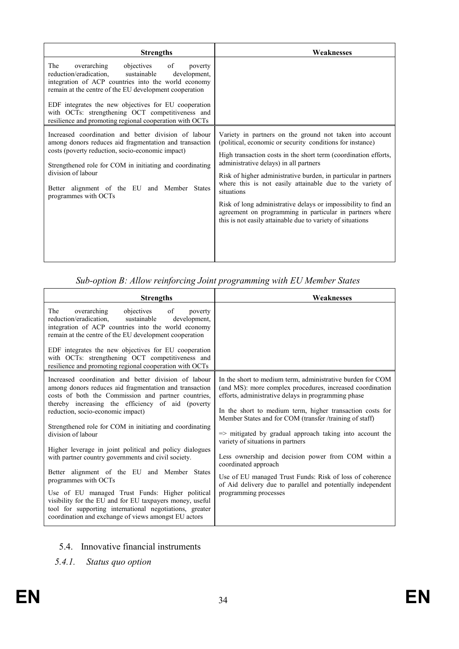<span id="page-33-0"></span>

| <b>Strengths</b>                                                                                                                                                                                                                                                                                                                                                                                   | Weaknesses                                                                                                                                                                                                                                                                                                                                                                                                                                                                                                                                                                   |  |  |  |
|----------------------------------------------------------------------------------------------------------------------------------------------------------------------------------------------------------------------------------------------------------------------------------------------------------------------------------------------------------------------------------------------------|------------------------------------------------------------------------------------------------------------------------------------------------------------------------------------------------------------------------------------------------------------------------------------------------------------------------------------------------------------------------------------------------------------------------------------------------------------------------------------------------------------------------------------------------------------------------------|--|--|--|
| of<br>The<br>overarching<br>objectives<br>poverty<br>reduction/eradication.<br>sustainable<br>development.<br>integration of ACP countries into the world economy<br>remain at the centre of the EU development cooperation<br>EDF integrates the new objectives for EU cooperation<br>with OCTs: strengthening OCT competitiveness and<br>resilience and promoting regional cooperation with OCTs |                                                                                                                                                                                                                                                                                                                                                                                                                                                                                                                                                                              |  |  |  |
| Increased coordination and better division of labour<br>among donors reduces aid fragmentation and transaction<br>costs (poverty reduction, socio-economic impact)<br>Strengthened role for COM in initiating and coordinating<br>division of labour<br>Better alignment of the EU and Member States<br>programmes with OCTs                                                                       | Variety in partners on the ground not taken into account<br>(political, economic or security conditions for instance)<br>High transaction costs in the short term (coordination efforts,<br>administrative delays) in all partners<br>Risk of higher administrative burden, in particular in partners<br>where this is not easily attainable due to the variety of<br>situations<br>Risk of long administrative delays or impossibility to find an<br>agreement on programming in particular in partners where<br>this is not easily attainable due to variety of situations |  |  |  |

| <b>Strengths</b>                                                                                                                                                                                                                                                                    | Weaknesses                                                                                                                                                                     |  |  |  |  |
|-------------------------------------------------------------------------------------------------------------------------------------------------------------------------------------------------------------------------------------------------------------------------------------|--------------------------------------------------------------------------------------------------------------------------------------------------------------------------------|--|--|--|--|
| overarching<br>The<br>objectives<br>of<br>poverty<br>sustainable<br>reduction/eradication.<br>development,<br>integration of ACP countries into the world economy<br>remain at the centre of the EU development cooperation<br>EDF integrates the new objectives for EU cooperation |                                                                                                                                                                                |  |  |  |  |
| with OCTs: strengthening OCT competitiveness and<br>resilience and promoting regional cooperation with OCTs                                                                                                                                                                         |                                                                                                                                                                                |  |  |  |  |
| Increased coordination and better division of labour<br>among donors reduces aid fragmentation and transaction<br>costs of both the Commission and partner countries,<br>thereby increasing the efficiency of aid (poverty                                                          | In the short to medium term, administrative burden for COM<br>(and MS): more complex procedures, increased coordination<br>efforts, administrative delays in programming phase |  |  |  |  |
| reduction, socio-economic impact)<br>Strengthened role for COM in initiating and coordinating                                                                                                                                                                                       | In the short to medium term, higher transaction costs for<br>Member States and for COM (transfer /training of staff)                                                           |  |  |  |  |
| division of labour                                                                                                                                                                                                                                                                  | $\Rightarrow$ mitigated by gradual approach taking into account the<br>variety of situations in partners                                                                       |  |  |  |  |
| Higher leverage in joint political and policy dialogues<br>with partner country governments and civil society.                                                                                                                                                                      | Less ownership and decision power from COM within a<br>coordinated approach                                                                                                    |  |  |  |  |
| Better alignment of the EU and Member States<br>programmes with OCTs                                                                                                                                                                                                                | Use of EU managed Trust Funds: Risk of loss of coherence<br>of Aid delivery due to parallel and potentially independent                                                        |  |  |  |  |
| Use of EU managed Trust Funds: Higher political<br>visibility for the EU and for EU taxpayers money, useful<br>tool for supporting international negotiations, greater<br>coordination and exchange of views amongst EU actors                                                      | programming processes                                                                                                                                                          |  |  |  |  |

## 5.4. Innovative financial instruments

*5.4.1. Status quo option*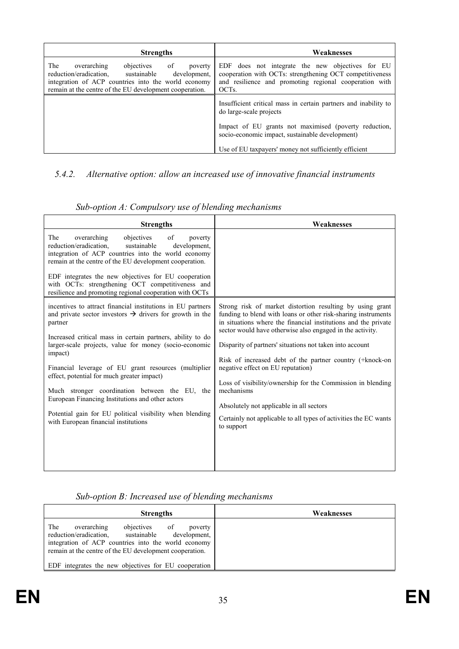<span id="page-34-0"></span>

| <b>Strengths</b>                                                                                                                                                                                                             | Weaknesses                                                                                                                                                                                 |  |  |  |
|------------------------------------------------------------------------------------------------------------------------------------------------------------------------------------------------------------------------------|--------------------------------------------------------------------------------------------------------------------------------------------------------------------------------------------|--|--|--|
| The<br>objectives<br>overarching<br>of<br>poverty<br>reduction/eradication.<br>sustainable<br>development,<br>integration of ACP countries into the world economy<br>remain at the centre of the EU development cooperation. | EDF does not integrate the new objectives for EU<br>cooperation with OCTs: strengthening OCT competitiveness<br>and resilience and promoting regional cooperation with<br>OCT <sub>s</sub> |  |  |  |
|                                                                                                                                                                                                                              | Insufficient critical mass in certain partners and inability to<br>do large-scale projects                                                                                                 |  |  |  |
|                                                                                                                                                                                                                              | Impact of EU grants not maximised (poverty reduction,<br>socio-economic impact, sustainable development)                                                                                   |  |  |  |
|                                                                                                                                                                                                                              | Use of EU taxpayers' money not sufficiently efficient                                                                                                                                      |  |  |  |

### *5.4.2. Alternative option: allow an increased use of innovative financial instruments*

| <b>Strengths</b>                                                                                                                                                                                                                                                                                                                                                                                                                                                                                                                                                                                  | Weaknesses                                                                                                                                                                                                                                                                                                                                                                                                                                                                                                                                                                                                                        |  |  |  |  |
|---------------------------------------------------------------------------------------------------------------------------------------------------------------------------------------------------------------------------------------------------------------------------------------------------------------------------------------------------------------------------------------------------------------------------------------------------------------------------------------------------------------------------------------------------------------------------------------------------|-----------------------------------------------------------------------------------------------------------------------------------------------------------------------------------------------------------------------------------------------------------------------------------------------------------------------------------------------------------------------------------------------------------------------------------------------------------------------------------------------------------------------------------------------------------------------------------------------------------------------------------|--|--|--|--|
| The<br>overarching<br>objectives<br>of<br>poverty<br>reduction/eradication,<br>sustainable<br>development.<br>integration of ACP countries into the world economy<br>remain at the centre of the EU development cooperation.<br>EDF integrates the new objectives for EU cooperation<br>with OCTs: strengthening OCT competitiveness and<br>resilience and promoting regional cooperation with OCTs                                                                                                                                                                                               |                                                                                                                                                                                                                                                                                                                                                                                                                                                                                                                                                                                                                                   |  |  |  |  |
| incentives to attract financial institutions in EU partners<br>and private sector investors $\rightarrow$ drivers for growth in the<br>partner<br>Increased critical mass in certain partners, ability to do<br>larger-scale projects, value for money (socio-economic<br>impact)<br>Financial leverage of EU grant resources (multiplier<br>effect, potential for much greater impact)<br>Much stronger coordination between the EU, the<br>European Financing Institutions and other actors<br>Potential gain for EU political visibility when blending<br>with European financial institutions | Strong risk of market distortion resulting by using grant<br>funding to blend with loans or other risk-sharing instruments<br>in situations where the financial institutions and the private<br>sector would have otherwise also engaged in the activity.<br>Disparity of partners' situations not taken into account<br>Risk of increased debt of the partner country (+knock-on<br>negative effect on EU reputation)<br>Loss of visibility/ownership for the Commission in blending<br>mechanisms<br>Absolutely not applicable in all sectors<br>Certainly not applicable to all types of activities the EC wants<br>to support |  |  |  |  |

*Sub-option A: Compulsory use of blending mechanisms* 

### *Sub-option B: Increased use of blending mechanisms*

| <b>Strengths</b>                                                                                                                                                                                                                        | Weaknesses |
|-----------------------------------------------------------------------------------------------------------------------------------------------------------------------------------------------------------------------------------------|------------|
| The<br>overarching<br>objectives<br><sup>of</sup><br>poverty<br>sustainable<br>reduction/eradication.<br>development.<br>integration of ACP countries into the world economy<br>remain at the centre of the EU development cooperation. |            |
| EDF integrates the new objectives for EU cooperation                                                                                                                                                                                    |            |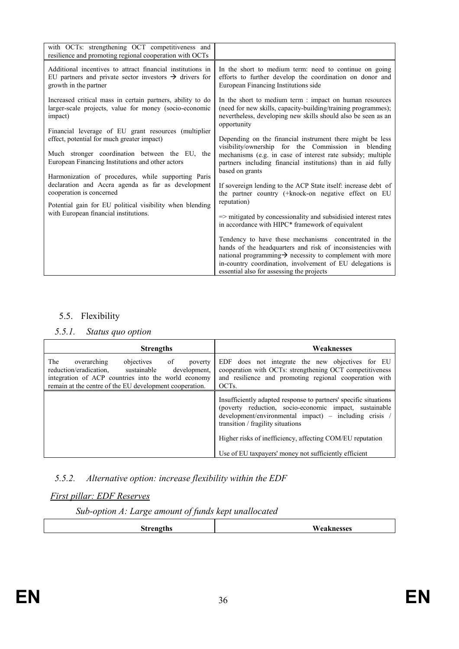<span id="page-35-0"></span>

| with OCTs: strengthening OCT competitiveness and                                                                                                                                                        |                                                                                                                                                                                                                                                                                                                                                                                                                                        |
|---------------------------------------------------------------------------------------------------------------------------------------------------------------------------------------------------------|----------------------------------------------------------------------------------------------------------------------------------------------------------------------------------------------------------------------------------------------------------------------------------------------------------------------------------------------------------------------------------------------------------------------------------------|
| resilience and promoting regional cooperation with OCTs                                                                                                                                                 |                                                                                                                                                                                                                                                                                                                                                                                                                                        |
| Additional incentives to attract financial institutions in<br>EU partners and private sector investors $\rightarrow$ drivers for<br>growth in the partner                                               | In the short to medium term: need to continue on going<br>efforts to further develop the coordination on donor and<br>European Financing Institutions side                                                                                                                                                                                                                                                                             |
| Increased critical mass in certain partners, ability to do<br>larger-scale projects, value for money (socio-economic<br>impact)<br>Financial leverage of EU grant resources (multiplier                 | In the short to medium term : impact on human resources<br>(need for new skills, capacity-building/training programmes);<br>nevertheless, developing new skills should also be seen as an<br>opportunity                                                                                                                                                                                                                               |
| effect, potential for much greater impact)<br>Much stronger coordination between the EU, the<br>European Financing Institutions and other actors<br>Harmonization of procedures, while supporting Paris | Depending on the financial instrument there might be less<br>visibility/ownership for the Commission in blending<br>mechanisms (e.g. in case of interest rate subsidy; multiple<br>partners including financial institutions) than in aid fully<br>based on grants                                                                                                                                                                     |
| declaration and Accra agenda as far as development<br>cooperation is concerned<br>Potential gain for EU political visibility when blending                                                              | If sovereign lending to the ACP State itself: increase debt of<br>the partner country (+knock-on negative effect on EU<br>reputation)                                                                                                                                                                                                                                                                                                  |
| with European financial institutions.                                                                                                                                                                   | $\Rightarrow$ mitigated by concessionality and subsidisied interest rates<br>in accordance with HIPC* framework of equivalent<br>Tendency to have these mechanisms concentrated in the<br>hands of the headquarters and risk of inconsistencies with<br>national programming $\rightarrow$ necessity to complement with more<br>in-country coordination, involvement of EU delegations is<br>essential also for assessing the projects |

### 5.5. Flexibility

#### *5.5.1. Status quo option*

| <b>Strengths</b>                                                                                                                                                                                                             | Weaknesses                                                                                                                                                                                                                                                                                                                                      |  |  |
|------------------------------------------------------------------------------------------------------------------------------------------------------------------------------------------------------------------------------|-------------------------------------------------------------------------------------------------------------------------------------------------------------------------------------------------------------------------------------------------------------------------------------------------------------------------------------------------|--|--|
| The<br>objectives<br>of<br>overarching<br>poverty<br>sustainable<br>reduction/eradication.<br>development.<br>integration of ACP countries into the world economy<br>remain at the centre of the EU development cooperation. | EDF does not integrate the new objectives for EU<br>cooperation with OCTs: strengthening OCT competitiveness<br>and resilience and promoting regional cooperation with<br>OCT <sub>s</sub> .                                                                                                                                                    |  |  |
|                                                                                                                                                                                                                              | Insufficiently adapted response to partners' specific situations<br>(poverty reduction, socio-economic impact, sustainable<br>$development/environment$ impact) – including crisis /<br>transition / fragility situations<br>Higher risks of inefficiency, affecting COM/EU reputation<br>Use of EU taxpayers' money not sufficiently efficient |  |  |

### *5.5.2. Alternative option: increase flexibility within the EDF*

#### *First pillar: EDF Reserves*

*Sub-option A: Large amount of funds kept unallocated* 

| <b>Strengths</b> | Weaknesses |
|------------------|------------|
|                  |            |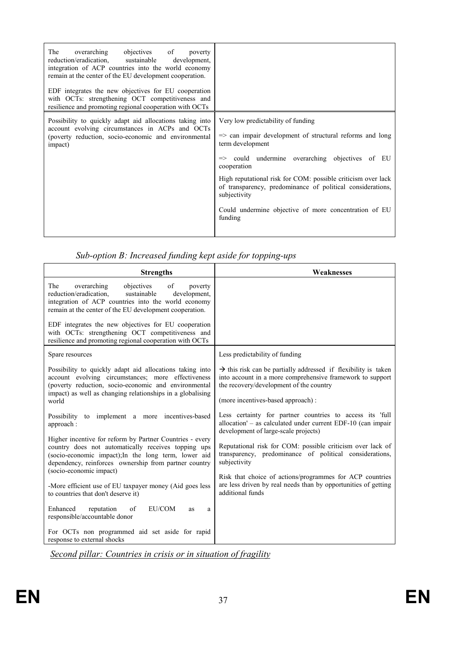| The<br>objectives of<br>overarching<br>poverty<br>reduction/eradication, sustainable<br>development,<br>integration of ACP countries into the world economy<br>remain at the center of the EU development cooperation.<br>EDF integrates the new objectives for EU cooperation<br>with OCTs: strengthening OCT competitiveness and<br>resilience and promoting regional cooperation with OCTs |                                                                                                                                                                                                                                                                                                                                                                                                                              |
|-----------------------------------------------------------------------------------------------------------------------------------------------------------------------------------------------------------------------------------------------------------------------------------------------------------------------------------------------------------------------------------------------|------------------------------------------------------------------------------------------------------------------------------------------------------------------------------------------------------------------------------------------------------------------------------------------------------------------------------------------------------------------------------------------------------------------------------|
| Possibility to quickly adapt aid allocations taking into<br>account evolving circumstances in ACPs and OCTs<br>(poverty reduction, socio-economic and environmental<br>impact)                                                                                                                                                                                                                | Very low predictability of funding<br>$\Rightarrow$ can impair development of structural reforms and long<br>term development<br>$\Rightarrow$ could undermine overarching objectives of EU<br>cooperation<br>High reputational risk for COM: possible criticism over lack<br>of transparency, predominance of political considerations,<br>subjectivity<br>Could undermine objective of more concentration of EU<br>funding |

|  |  |  | Sub-option B: Increased funding kept aside for topping-ups |
|--|--|--|------------------------------------------------------------|
|  |  |  |                                                            |

| <b>Strengths</b>                                                                                                                                                                                                                                                                     | Weaknesses                                                                                                                                                                                                              |
|--------------------------------------------------------------------------------------------------------------------------------------------------------------------------------------------------------------------------------------------------------------------------------------|-------------------------------------------------------------------------------------------------------------------------------------------------------------------------------------------------------------------------|
| overarching<br>of<br>The<br>objectives<br>poverty<br>reduction/eradication,<br>sustainable<br>development.<br>integration of ACP countries into the world economy<br>remain at the center of the EU development cooperation.<br>EDF integrates the new objectives for EU cooperation |                                                                                                                                                                                                                         |
| with OCTs: strengthening OCT competitiveness and<br>resilience and promoting regional cooperation with OCTs                                                                                                                                                                          |                                                                                                                                                                                                                         |
| Spare resources                                                                                                                                                                                                                                                                      | Less predictability of funding                                                                                                                                                                                          |
| Possibility to quickly adapt aid allocations taking into<br>account evolving circumstances; more effectiveness<br>(poverty reduction, socio-economic and environmental<br>impact) as well as changing relationships in a globalising<br>world                                        | $\rightarrow$ this risk can be partially addressed if flexibility is taken<br>into account in a more comprehensive framework to support<br>the recovery/development of the country<br>(more incentives-based approach): |
| Possibility to implement a more incentives-based<br>approach:<br>Higher incentive for reform by Partner Countries - every                                                                                                                                                            | Less certainty for partner countries to access its 'full<br>allocation' $-$ as calculated under current EDF-10 (can impair<br>development of large-scale projects)                                                      |
| country does not automatically receives topping ups<br>(socio-economic impact);In the long term, lower aid<br>dependency, reinforces ownership from partner country<br>(socio-economic impact)                                                                                       | Reputational risk for COM: possible criticism over lack of<br>transparency, predominance of political considerations,<br>subjectivity                                                                                   |
| -More efficient use of EU taxpayer money (Aid goes less<br>to countries that don't deserve it)                                                                                                                                                                                       | Risk that choice of actions/programmes for ACP countries<br>are less driven by real needs than by opportunities of getting<br>additional funds                                                                          |
| Enhanced<br>of<br>EU/COM<br>reputation<br>as<br>a<br>responsible/accountable donor                                                                                                                                                                                                   |                                                                                                                                                                                                                         |
| For OCTs non programmed aid set aside for rapid<br>response to external shocks                                                                                                                                                                                                       |                                                                                                                                                                                                                         |

*Second pillar: Countries in crisis or in situation of fragility*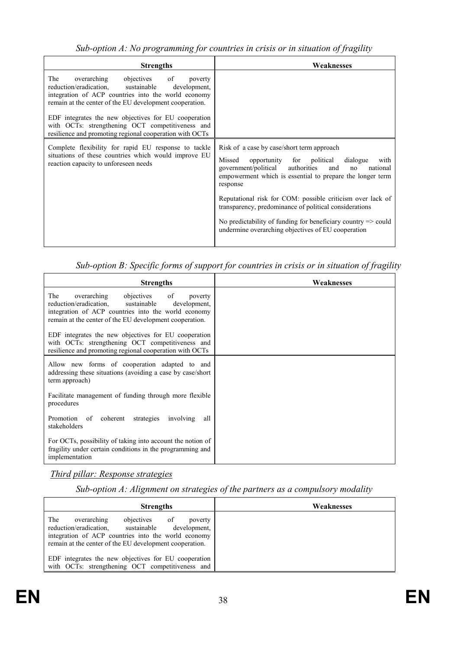| <b>Strengths</b>                                                                                                                                                                                                                                                                                                                                                                              | Weaknesses                                                                                                                                                                                                                                                                                                                                                                                                                                                                                               |
|-----------------------------------------------------------------------------------------------------------------------------------------------------------------------------------------------------------------------------------------------------------------------------------------------------------------------------------------------------------------------------------------------|----------------------------------------------------------------------------------------------------------------------------------------------------------------------------------------------------------------------------------------------------------------------------------------------------------------------------------------------------------------------------------------------------------------------------------------------------------------------------------------------------------|
| objectives of<br>The<br>overarching<br>poverty<br>reduction/eradication, sustainable<br>development,<br>integration of ACP countries into the world economy<br>remain at the center of the EU development cooperation.<br>EDF integrates the new objectives for EU cooperation<br>with OCTs: strengthening OCT competitiveness and<br>resilience and promoting regional cooperation with OCTs |                                                                                                                                                                                                                                                                                                                                                                                                                                                                                                          |
| Complete flexibility for rapid EU response to tackle<br>situations of these countries which would improve EU<br>reaction capacity to unforeseen needs                                                                                                                                                                                                                                         | Risk of a case by case/short term approach<br>opportunity for political<br>Missed<br>dialogue<br>with<br>government/political<br>authorities<br>and<br>national<br>no<br>empowerment which is essential to prepare the longer term<br>response<br>Reputational risk for COM: possible criticism over lack of<br>transparency, predominance of political considerations<br>No predictability of funding for beneficiary country $\Rightarrow$ could<br>undermine overarching objectives of EU cooperation |

*Sub-option B: Specific forms of support for countries in crisis or in situation of fragility* 

| <b>Strengths</b>                                                                                                                                                                                                       | Weaknesses |
|------------------------------------------------------------------------------------------------------------------------------------------------------------------------------------------------------------------------|------------|
| The<br>overarching<br>objectives of<br>poverty<br>reduction/eradication, sustainable<br>development,<br>integration of ACP countries into the world economy<br>remain at the center of the EU development cooperation. |            |
| EDF integrates the new objectives for EU cooperation<br>with OCTs: strengthening OCT competitiveness and<br>resilience and promoting regional cooperation with OCTs                                                    |            |
| Allow new forms of cooperation adapted to and<br>addressing these situations (avoiding a case by case/short<br>term approach)                                                                                          |            |
| Facilitate management of funding through more flexible<br>procedures                                                                                                                                                   |            |
| Promotion of coherent strategies<br>involving<br>all<br>stakeholders                                                                                                                                                   |            |
| For OCTs, possibility of taking into account the notion of<br>fragility under certain conditions in the programming and<br>implementation                                                                              |            |

*Third pillar: Response strategies*

*Sub-option A: Alignment on strategies of the partners as a compulsory modality* 

| <b>Strengths</b>                                                                                                                                                                                                       | Weaknesses |
|------------------------------------------------------------------------------------------------------------------------------------------------------------------------------------------------------------------------|------------|
| The<br>overarching<br>objectives of<br>poverty<br>reduction/eradication.<br>sustainable development,<br>integration of ACP countries into the world economy<br>remain at the center of the EU development cooperation. |            |
| EDF integrates the new objectives for EU cooperation<br>with OCTs: strengthening OCT competitiveness and                                                                                                               |            |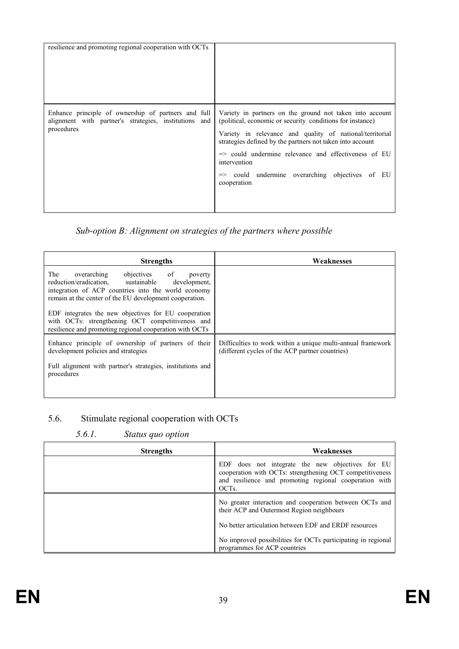<span id="page-38-0"></span>

| resilience and promoting regional cooperation with OCTs |                                                                                                                                                                           |  |  |  |  |  |  |  |
|---------------------------------------------------------|---------------------------------------------------------------------------------------------------------------------------------------------------------------------------|--|--|--|--|--|--|--|
|                                                         |                                                                                                                                                                           |  |  |  |  |  |  |  |
| alignment with partner's strategies, institutions and   | Enhance principle of ownership of partners and full Variety in partners on the ground not taken into account<br>(political, economic or security conditions for instance) |  |  |  |  |  |  |  |
| procedures                                              | Variety in relevance and quality of national/territorial<br>strategies defined by the partners not taken into account                                                     |  |  |  |  |  |  |  |
|                                                         | => could undermine relevance and effectiveness of EU<br>intervention                                                                                                      |  |  |  |  |  |  |  |
|                                                         | => could undermine overarching objectives of EU<br>cooperation                                                                                                            |  |  |  |  |  |  |  |
|                                                         |                                                                                                                                                                           |  |  |  |  |  |  |  |

### *Sub-option B: Alignment on strategies of the partners where possible*

| <b>Strengths</b>                                                                                                                                                                                                       | Weaknesses                                                                                                     |
|------------------------------------------------------------------------------------------------------------------------------------------------------------------------------------------------------------------------|----------------------------------------------------------------------------------------------------------------|
| overarching<br>objectives of<br>The<br>poverty<br>reduction/eradication, sustainable<br>development,<br>integration of ACP countries into the world economy<br>remain at the center of the EU development cooperation. |                                                                                                                |
| EDF integrates the new objectives for EU cooperation<br>with OCTs: strengthening OCT competitiveness and<br>resilience and promoting regional cooperation with OCTs                                                    |                                                                                                                |
| Enhance principle of ownership of partners of their<br>development policies and strategies                                                                                                                             | Difficulties to work within a unique multi-annual framework<br>(different cycles of the ACP partner countries) |
| Full alignment with partner's strategies, institutions and<br>procedures                                                                                                                                               |                                                                                                                |

## 5.6. Stimulate regional cooperation with OCTs

### *5.6.1. Status quo option*

| <b>Strengths</b> | Weaknesses                                                                                                                                                                                   |
|------------------|----------------------------------------------------------------------------------------------------------------------------------------------------------------------------------------------|
|                  | EDF does not integrate the new objectives for EU<br>cooperation with OCTs: strengthening OCT competitiveness<br>and resilience and promoting regional cooperation with<br>OCT <sub>s</sub> . |
|                  | No greater interaction and cooperation between OCTs and<br>their ACP and Outermost Region neighbours                                                                                         |
|                  | No better articulation between EDF and ERDF resources                                                                                                                                        |
|                  | No improved possibilities for OCTs participating in regional<br>programmes for ACP countries                                                                                                 |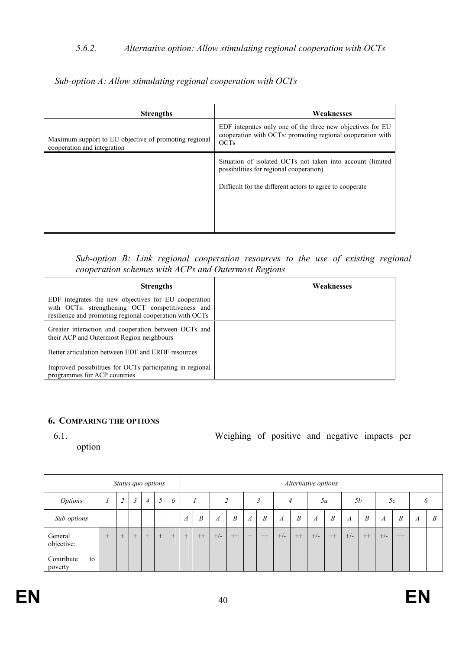### <span id="page-39-0"></span>*5.6.2. Alternative option: Allow stimulating regional cooperation with OCTs*

*Sub-option A: Allow stimulating regional cooperation with OCTs* 

| <b>Strengths</b>                                                                     | Weaknesses                                                                                                                              |
|--------------------------------------------------------------------------------------|-----------------------------------------------------------------------------------------------------------------------------------------|
| Maximum support to EU objective of promoting regional<br>cooperation and integration | EDF integrates only one of the three new objectives for EU<br>cooperation with OCTs: promoting regional cooperation with<br><b>OCTs</b> |
|                                                                                      | Situation of isolated OCTs not taken into account (limited<br>possibilities for regional cooperation)                                   |
|                                                                                      | Difficult for the different actors to agree to cooperate                                                                                |

*Sub-option B: Link regional cooperation resources to the use of existing regional cooperation schemes with ACPs and Outermost Regions* 

| <b>Strengths</b>                                                                                                                                                    | Weaknesses |
|---------------------------------------------------------------------------------------------------------------------------------------------------------------------|------------|
| EDF integrates the new objectives for EU cooperation<br>with OCTs: strengthening OCT competitiveness and<br>resilience and promoting regional cooperation with OCTs |            |
| Greater interaction and cooperation between OCTs and<br>their ACP and Outermost Region neighbours                                                                   |            |
| Better articulation between EDF and ERDF resources                                                                                                                  |            |
| Improved possibilities for OCTs participating in regional<br>programmes for ACP countries                                                                           |            |

#### **6. COMPARIG THE OPTIOS**

option

6.1. Weighing of positive and negative impacts per

|                             |     |               |        | Status quo options |        |     | Alternative options |      |                  |      |                  |                  |       |      |       |                  |                  |                  |                  |      |   |   |
|-----------------------------|-----|---------------|--------|--------------------|--------|-----|---------------------|------|------------------|------|------------------|------------------|-------|------|-------|------------------|------------------|------------------|------------------|------|---|---|
| <b>Options</b>              |     | $\mathcal{D}$ | 3      | $\overline{4}$     | 5      | 6   |                     |      |                  | C    |                  |                  |       | 4    |       | 5a               |                  | <i>5b</i>        |                  | 5c   |   | O |
| Sub-options                 |     |               |        |                    |        |     | $\boldsymbol{A}$    | B    | $\boldsymbol{A}$ | B    | $\boldsymbol{A}$ | $\boldsymbol{B}$ | A     | B    | A     | $\boldsymbol{B}$ | $\boldsymbol{A}$ | $\boldsymbol{B}$ | $\boldsymbol{A}$ | B    | A | B |
| General<br>objective:       | $+$ | $+$           | $^{+}$ | $^{+}$             | $^{+}$ | $+$ | $+$                 | $++$ | $+/-$            | $++$ | $+$              | $++$             | $+/-$ | $++$ | $+/-$ | $++$             | $+/-$            | $++$             | $+/-$            | $++$ |   |   |
| Contribute<br>to<br>poverty |     |               |        |                    |        |     |                     |      |                  |      |                  |                  |       |      |       |                  |                  |                  |                  |      |   |   |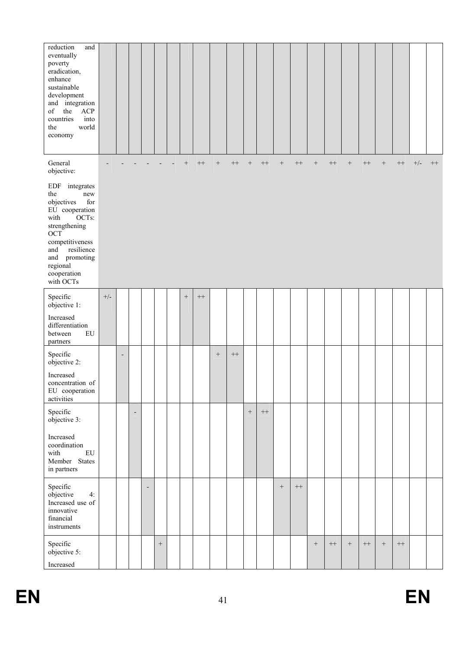| reduction<br>and<br>eventually<br>poverty<br>eradication,<br>enhance<br>sustainable<br>development<br>and integration<br>of<br>the<br>ACP<br>countries<br>into<br>the<br>world<br>economy                     |       |                |                          |                          |        |     |                   |                   |           |                  |           |                  |           |      |           |                  |           |                  |           |       |      |
|---------------------------------------------------------------------------------------------------------------------------------------------------------------------------------------------------------------|-------|----------------|--------------------------|--------------------------|--------|-----|-------------------|-------------------|-----------|------------------|-----------|------------------|-----------|------|-----------|------------------|-----------|------------------|-----------|-------|------|
| General<br>objective:                                                                                                                                                                                         |       |                |                          |                          |        | $+$ | $^{++}\,$         | $\qquad \qquad +$ | $^{++}\,$ | $\boldsymbol{+}$ | $^{++}\,$ | $\boldsymbol{+}$ | $^{++}\,$ | $^+$ | $^{++}\,$ | $\boldsymbol{+}$ | $^{++}\,$ | $\! + \!\!\!\!$  | $^{++}\,$ | $+/-$ | $++$ |
| EDF integrates<br>the<br>new<br>objectives<br>for<br>EU cooperation<br>with<br>OCTs:<br>strengthening<br>OCT<br>competitiveness<br>and<br>resilience<br>and promoting<br>regional<br>cooperation<br>with OCTs |       |                |                          |                          |        |     |                   |                   |           |                  |           |                  |           |      |           |                  |           |                  |           |       |      |
| Specific<br>objective 1:                                                                                                                                                                                      | $+/-$ |                |                          |                          |        |     | $\qquad \qquad +$ |                   |           |                  |           |                  |           |      |           |                  |           |                  |           |       |      |
| Increased<br>differentiation<br>${\rm EU}$<br>between<br>partners                                                                                                                                             |       |                |                          |                          |        |     |                   |                   |           |                  |           |                  |           |      |           |                  |           |                  |           |       |      |
| Specific<br>objective 2:                                                                                                                                                                                      |       | $\overline{a}$ |                          |                          |        |     |                   | $\, +$            | $^{++}\,$ |                  |           |                  |           |      |           |                  |           |                  |           |       |      |
| Increased<br>concentration of<br>EU cooperation<br>activities                                                                                                                                                 |       |                |                          |                          |        |     |                   |                   |           |                  |           |                  |           |      |           |                  |           |                  |           |       |      |
| Specific<br>objective 3:                                                                                                                                                                                      |       |                | $\overline{\phantom{a}}$ |                          |        |     |                   |                   |           | $\, +$           | $^{++}\,$ |                  |           |      |           |                  |           |                  |           |       |      |
| Increased<br>coordination<br>with<br>${\rm EU}$<br>Member States<br>in partners                                                                                                                               |       |                |                          |                          |        |     |                   |                   |           |                  |           |                  |           |      |           |                  |           |                  |           |       |      |
| Specific<br>objective<br>4:<br>Increased use of<br>innovative<br>financial<br>instruments                                                                                                                     |       |                |                          | $\overline{\phantom{a}}$ |        |     |                   |                   |           |                  |           | $\boldsymbol{+}$ | $^{++}\,$ |      |           |                  |           |                  |           |       |      |
| Specific<br>objective 5:<br>Increased                                                                                                                                                                         |       |                |                          |                          | $\, +$ |     |                   |                   |           |                  |           |                  |           | $^+$ | $^{++}\,$ | $\boldsymbol{+}$ | $^{++}$   | $\boldsymbol{+}$ | $^{++}$   |       |      |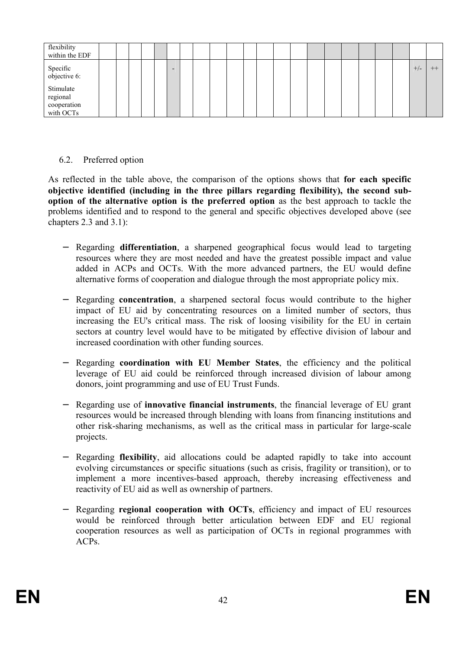<span id="page-41-0"></span>

| flexibility<br>within the EDF                     |  |  |                          |  |  |  |  |  |  |  |       |      |
|---------------------------------------------------|--|--|--------------------------|--|--|--|--|--|--|--|-------|------|
| Specific<br>objective 6:                          |  |  | $\overline{\phantom{a}}$ |  |  |  |  |  |  |  | $+/-$ | $++$ |
| Stimulate<br>regional<br>cooperation<br>with OCTs |  |  |                          |  |  |  |  |  |  |  |       |      |

### 6.2. Preferred option

As reflected in the table above, the comparison of the options shows that **for each specific objective identified (including in the three pillars regarding flexibility), the second suboption of the alternative option is the preferred option** as the best approach to tackle the problems identified and to respond to the general and specific objectives developed above (see chapters 2.3 and 3.1):

- − Regarding **differentiation**, a sharpened geographical focus would lead to targeting resources where they are most needed and have the greatest possible impact and value added in ACPs and OCTs. With the more advanced partners, the EU would define alternative forms of cooperation and dialogue through the most appropriate policy mix.
- − Regarding **concentration**, a sharpened sectoral focus would contribute to the higher impact of EU aid by concentrating resources on a limited number of sectors, thus increasing the EU's critical mass. The risk of loosing visibility for the EU in certain sectors at country level would have to be mitigated by effective division of labour and increased coordination with other funding sources.
- − Regarding **coordination with EU Member States**, the efficiency and the political leverage of EU aid could be reinforced through increased division of labour among donors, joint programming and use of EU Trust Funds.
- − Regarding use of **innovative financial instruments**, the financial leverage of EU grant resources would be increased through blending with loans from financing institutions and other risk-sharing mechanisms, as well as the critical mass in particular for large-scale projects.
- − Regarding **flexibility**, aid allocations could be adapted rapidly to take into account evolving circumstances or specific situations (such as crisis, fragility or transition), or to implement a more incentives-based approach, thereby increasing effectiveness and reactivity of EU aid as well as ownership of partners.
- Regarding **regional cooperation with OCTs**, efficiency and impact of EU resources would be reinforced through better articulation between EDF and EU regional cooperation resources as well as participation of OCTs in regional programmes with ACPs.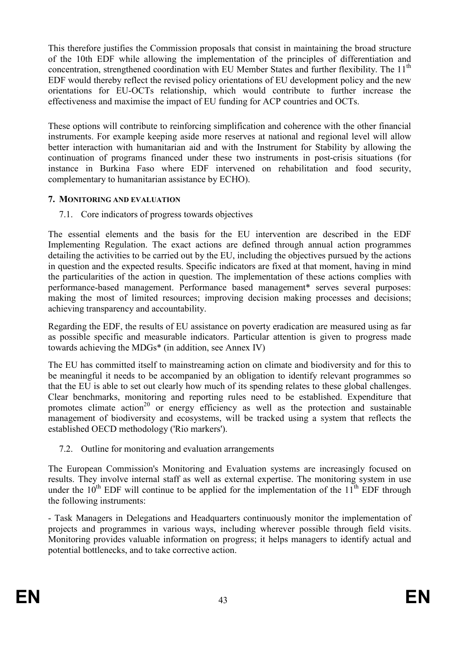<span id="page-42-0"></span>This therefore justifies the Commission proposals that consist in maintaining the broad structure of the 10th EDF while allowing the implementation of the principles of differentiation and concentration, strengthened coordination with EU Member States and further flexibility. The 11<sup>th</sup> EDF would thereby reflect the revised policy orientations of EU development policy and the new orientations for EU-OCTs relationship, which would contribute to further increase the effectiveness and maximise the impact of EU funding for ACP countries and OCTs.

These options will contribute to reinforcing simplification and coherence with the other financial instruments. For example keeping aside more reserves at national and regional level will allow better interaction with humanitarian aid and with the Instrument for Stability by allowing the continuation of programs financed under these two instruments in post-crisis situations (for instance in Burkina Faso where EDF intervened on rehabilitation and food security, complementary to humanitarian assistance by ECHO).

### **7. MONITORING AND EVALUATION**

7.1. Core indicators of progress towards objectives

The essential elements and the basis for the EU intervention are described in the EDF Implementing Regulation. The exact actions are defined through annual action programmes detailing the activities to be carried out by the EU, including the objectives pursued by the actions in question and the expected results. Specific indicators are fixed at that moment, having in mind the particularities of the action in question. The implementation of these actions complies with performance-based management. Performance based management\* serves several purposes: making the most of limited resources; improving decision making processes and decisions; achieving transparency and accountability.

Regarding the EDF, the results of EU assistance on poverty eradication are measured using as far as possible specific and measurable indicators. Particular attention is given to progress made towards achieving the MDGs\* (in addition, see Annex IV)

The EU has committed itself to mainstreaming action on climate and biodiversity and for this to be meaningful it needs to be accompanied by an obligation to identify relevant programmes so that the EU is able to set out clearly how much of its spending relates to these global challenges. Clear benchmarks, monitoring and reporting rules need to be established. Expenditure that promotes climate action<sup>20</sup> or energy efficiency as well as the protection and sustainable management of biodiversity and ecosystems, will be tracked using a system that reflects the established OECD methodology ('Rio markers').

7.2. Outline for monitoring and evaluation arrangements

The European Commission's Monitoring and Evaluation systems are increasingly focused on results. They involve internal staff as well as external expertise. The monitoring system in use under the  $10^{th}$  EDF will continue to be applied for the implementation of the  $11^{th}$  EDF through the following instruments:

- Task Managers in Delegations and Headquarters continuously monitor the implementation of projects and programmes in various ways, including wherever possible through field visits. Monitoring provides valuable information on progress; it helps managers to identify actual and potential bottlenecks, and to take corrective action.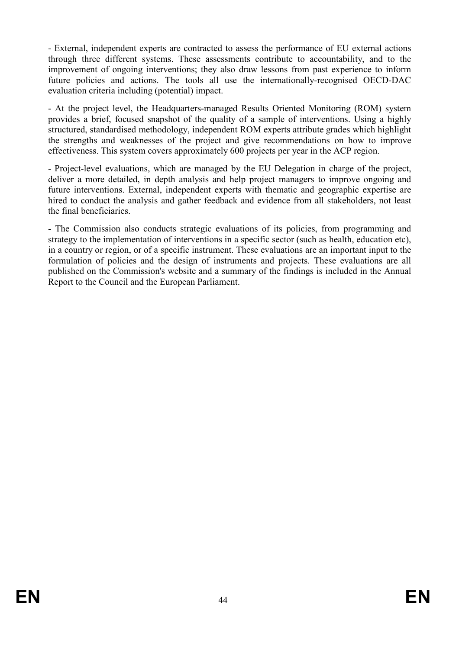- External, independent experts are contracted to assess the performance of EU external actions through three different systems. These assessments contribute to accountability, and to the improvement of ongoing interventions; they also draw lessons from past experience to inform future policies and actions. The tools all use the internationally-recognised OECD-DAC evaluation criteria including (potential) impact.

- At the project level, the Headquarters-managed Results Oriented Monitoring (ROM) system provides a brief, focused snapshot of the quality of a sample of interventions. Using a highly structured, standardised methodology, independent ROM experts attribute grades which highlight the strengths and weaknesses of the project and give recommendations on how to improve effectiveness. This system covers approximately 600 projects per year in the ACP region.

- Project-level evaluations, which are managed by the EU Delegation in charge of the project, deliver a more detailed, in depth analysis and help project managers to improve ongoing and future interventions. External, independent experts with thematic and geographic expertise are hired to conduct the analysis and gather feedback and evidence from all stakeholders, not least the final beneficiaries.

- The Commission also conducts strategic evaluations of its policies, from programming and strategy to the implementation of interventions in a specific sector (such as health, education etc), in a country or region, or of a specific instrument. These evaluations are an important input to the formulation of policies and the design of instruments and projects. These evaluations are all published on the Commission's website and a summary of the findings is included in the Annual Report to the Council and the European Parliament.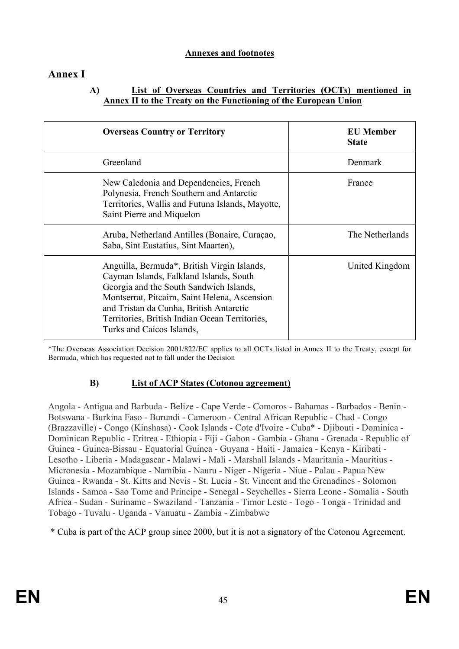### **Annexes and footnotes**

## **Annex I**

### **A) List of Overseas Countries and Territories (OCTs) mentioned in Annex II to the Treaty on the Functioning of the European Union**

| <b>Overseas Country or Territory</b>                                                                                                                                                                                                                                                                         | <b>EU</b> Member<br><b>State</b> |
|--------------------------------------------------------------------------------------------------------------------------------------------------------------------------------------------------------------------------------------------------------------------------------------------------------------|----------------------------------|
| Greenland                                                                                                                                                                                                                                                                                                    | Denmark                          |
| New Caledonia and Dependencies, French<br>Polynesia, French Southern and Antarctic<br>Territories, Wallis and Futuna Islands, Mayotte,<br>Saint Pierre and Miquelon                                                                                                                                          | France                           |
| Aruba, Netherland Antilles (Bonaire, Curaçao,<br>Saba, Sint Eustatius, Sint Maarten),                                                                                                                                                                                                                        | The Netherlands                  |
| Anguilla, Bermuda*, British Virgin Islands,<br>Cayman Islands, Falkland Islands, South<br>Georgia and the South Sandwich Islands,<br>Montserrat, Pitcairn, Saint Helena, Ascension<br>and Tristan da Cunha, British Antarctic<br>Territories, British Indian Ocean Territories,<br>Turks and Caicos Islands, | United Kingdom                   |

\*The Overseas Association Decision 2001/822/EC applies to all OCTs listed in Annex II to the Treaty, except for Bermuda, which has requested not to fall under the Decision

### **B) List of ACP States (Cotonou agreement)**

Angola - Antigua and Barbuda - Belize - Cape Verde - Comoros - Bahamas - Barbados - Benin - Botswana - Burkina Faso - Burundi - Cameroon - Central African Republic - Chad - Congo (Brazzaville) - Congo (Kinshasa) - Cook Islands - Cote d'Ivoire - Cuba\* - Djibouti - Dominica - Dominican Republic - Eritrea - Ethiopia - Fiji - Gabon - Gambia - Ghana - Grenada - Republic of Guinea - Guinea-Bissau - Equatorial Guinea - Guyana - Haiti - Jamaica - Kenya - Kiribati - Lesotho - Liberia - Madagascar - Malawi - Mali - Marshall Islands - Mauritania - Mauritius - Micronesia - Mozambique - Namibia - Nauru - Niger - Nigeria - Niue - Palau - Papua New Guinea - Rwanda - St. Kitts and Nevis - St. Lucia - St. Vincent and the Grenadines - Solomon Islands - Samoa - Sao Tome and Principe - Senegal - Seychelles - Sierra Leone - Somalia - South Africa - Sudan - Suriname - Swaziland - Tanzania - Timor Leste - Togo - Tonga - Trinidad and Tobago - Tuvalu - Uganda - Vanuatu - Zambia - Zimbabwe

\* Cuba is part of the ACP group since 2000, but it is not a signatory of the Cotonou Agreement.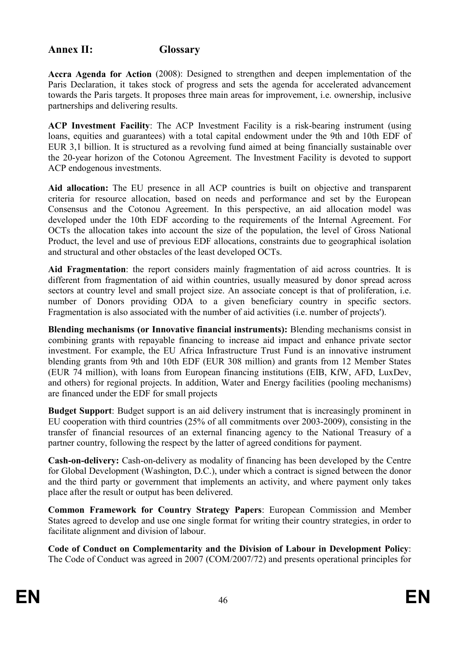## **Annex II: Glossary**

**Accra Agenda for Action** (2008): Designed to strengthen and deepen implementation of the Paris Declaration, it takes stock of progress and sets the agenda for accelerated advancement towards the Paris targets. It proposes three main areas for improvement, i.e. ownership, inclusive partnerships and delivering results.

**ACP Investment Facility**: The ACP Investment Facility is a risk-bearing instrument (using loans, equities and guarantees) with a total capital endowment under the 9th and 10th EDF of EUR 3,1 billion. It is structured as a revolving fund aimed at being financially sustainable over the 20-year horizon of the Cotonou Agreement. The Investment Facility is devoted to support ACP endogenous investments.

**Aid allocation:** The EU presence in all ACP countries is built on objective and transparent criteria for resource allocation, based on needs and performance and set by the European Consensus and the Cotonou Agreement. In this perspective, an aid allocation model was developed under the 10th EDF according to the requirements of the Internal Agreement. For OCTs the allocation takes into account the size of the population, the level of Gross National Product, the level and use of previous EDF allocations, constraints due to geographical isolation and structural and other obstacles of the least developed OCTs.

**Aid Fragmentation**: the report considers mainly fragmentation of aid across countries. It is different from fragmentation of aid within countries, usually measured by donor spread across sectors at country level and small project size. An associate concept is that of proliferation, i.e. number of Donors providing ODA to a given beneficiary country in specific sectors. Fragmentation is also associated with the number of aid activities (i.e. number of projects').

**Blending mechanisms (or Innovative financial instruments):** Blending mechanisms consist in combining grants with repayable financing to increase aid impact and enhance private sector investment. For example, the EU Africa Infrastructure Trust Fund is an innovative instrument blending grants from 9th and 10th EDF (EUR 308 million) and grants from 12 Member States (EUR 74 million), with loans from European financing institutions (EIB, KfW, AFD, LuxDev, and others) for regional projects. In addition, Water and Energy facilities (pooling mechanisms) are financed under the EDF for small projects

**Budget Support**: Budget support is an aid delivery instrument that is increasingly prominent in EU cooperation with third countries (25% of all commitments over 2003-2009), consisting in the transfer of financial resources of an external financing agency to the National Treasury of a partner country, following the respect by the latter of agreed conditions for payment.

**Cash-on-delivery:** Cash-on-delivery as modality of financing has been developed by the Centre for Global Development (Washington, D.C.), under which a contract is signed between the donor and the third party or government that implements an activity, and where payment only takes place after the result or output has been delivered.

**Common Framework for Country Strategy Papers**: European Commission and Member States agreed to develop and use one single format for writing their country strategies, in order to facilitate alignment and division of labour.

**Code of Conduct on Complementarity and the Division of Labour in Development Policy**: The Code of Conduct was agreed in 2007 (COM/2007/72) and presents operational principles for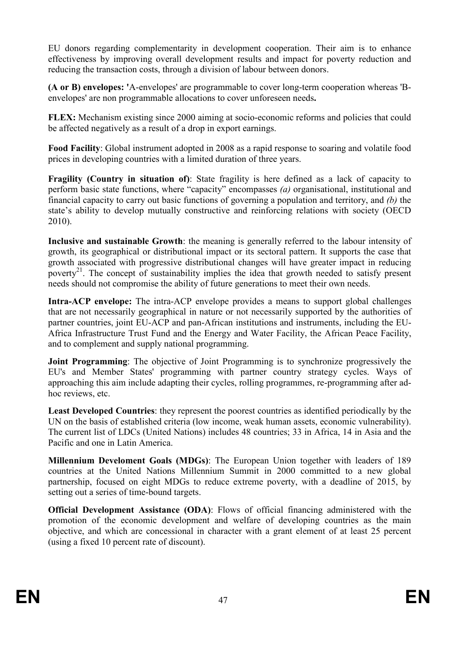EU donors regarding complementarity in development cooperation. Their aim is to enhance effectiveness by improving overall development results and impact for poverty reduction and reducing the transaction costs, through a division of labour between donors.

**(A or B) envelopes: '**A-envelopes' are programmable to cover long-term cooperation whereas 'Benvelopes' are non programmable allocations to cover unforeseen needs**.** 

**FLEX:** Mechanism existing since 2000 aiming at socio-economic reforms and policies that could be affected negatively as a result of a drop in export earnings.

**Food Facility**: Global instrument adopted in 2008 as a rapid response to soaring and volatile food prices in developing countries with a limited duration of three years.

**Fragility (Country in situation of)**: State fragility is here defined as a lack of capacity to perform basic state functions, where "capacity" encompasses *(a)* organisational, institutional and financial capacity to carry out basic functions of governing a population and territory, and *(b)* the state's ability to develop mutually constructive and reinforcing relations with society (OECD 2010).

**Inclusive and sustainable Growth**: the meaning is generally referred to the labour intensity of growth, its geographical or distributional impact or its sectoral pattern. It supports the case that growth associated with progressive distributional changes will have greater impact in reducing poverty<sup>21</sup>. The concept of sustainability implies the idea that growth needed to satisfy present needs should not compromise the ability of future generations to meet their own needs.

**Intra-ACP envelope:** The intra-ACP envelope provides a means to support global challenges that are not necessarily geographical in nature or not necessarily supported by the authorities of partner countries, joint EU-ACP and pan-African institutions and instruments, including the EU-Africa Infrastructure Trust Fund and the Energy and Water Facility, the African Peace Facility, and to complement and supply national programming.

**Joint Programming**: The objective of Joint Programming is to synchronize progressively the EU's and Member States' programming with partner country strategy cycles. Ways of approaching this aim include adapting their cycles, rolling programmes, re-programming after adhoc reviews, etc.

**Least Developed Countries**: they represent the poorest countries as identified periodically by the UN on the basis of established criteria (low income, weak human assets, economic vulnerability). The current list of LDCs (United Nations) includes 48 countries; 33 in Africa, 14 in Asia and the Pacific and one in Latin America.

**Millennium Develoment Goals (MDGs)**: The European Union together with leaders of 189 countries at the United Nations Millennium Summit in 2000 committed to a new global partnership, focused on [eight MDGs](http://www.un.org/millenniumgoals/) to reduce extreme poverty, with a deadline of 2015, by setting out a series of time-bound targets.

**Official Development Assistance (ODA)**: Flows of official financing administered with the promotion of the economic development and welfare of developing countries as the main objective, and which are concessional in character with a grant element of at least 25 percent (using a fixed 10 percent rate of discount).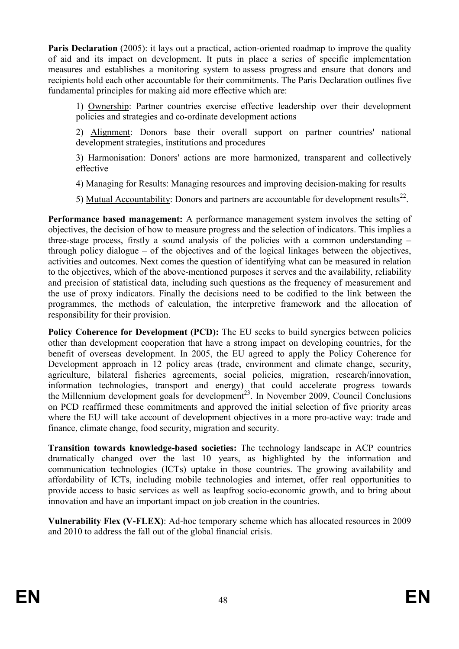**Paris Declaration** (2005): it lays out a practical, action-oriented roadmap to improve the quality of aid and its impact on development. It puts in place a series of specific implementation measures and establishes a monitoring system to [assess progress](http://www.oecd.org/document/44/0%2C3746%2Cen_2649_3236398_43385196_1_1_1_1%2C00.html) and ensure that donors and recipients hold each other accountable for their commitments. The Paris Declaration outlines five fundamental principles for making aid more effective which are:

1) Ownership: Partner countries exercise effective leadership over their development policies and strategies and co-ordinate development actions

2) Alignment: Donors base their overall support on partner countries' national development strategies, institutions and procedures

3) Harmonisation: Donors' actions are more harmonized, transparent and collectively effective

4) Managing for Results: Managing resources and improving decision-making for results

5) Mutual Accountability: Donors and partners are accountable for development results<sup>22</sup>.

**Performance based management:** A performance management system involves the setting of objectives, the decision of how to measure progress and the selection of indicators. This implies a three-stage process, firstly a sound analysis of the policies with a common understanding – through policy dialogue – of the objectives and of the logical linkages between the objectives, activities and outcomes. Next comes the question of identifying what can be measured in relation to the objectives, which of the above-mentioned purposes it serves and the availability, reliability and precision of statistical data, including such questions as the frequency of measurement and the use of proxy indicators. Finally the decisions need to be codified to the link between the programmes, the methods of calculation, the interpretive framework and the allocation of responsibility for their provision.

**Policy Coherence for Development (PCD):** The EU seeks to build synergies between policies other than development cooperation that have a strong impact on developing countries, for the benefit of overseas development. In 2005, the EU agreed to apply the Policy Coherence for Development approach in 12 policy areas (trade, environment and climate change, security, agriculture, bilateral fisheries agreements, social policies, migration, research/innovation, information technologies, transport and energy) that could accelerate progress towards the [Millennium development goals for development](http://ec.europa.eu/europeaid/what/millenium-development-goals/index_en.htm)<sup>23</sup>. In November 2009, Council Conclusions on PCD reaffirmed these commitments and approved the initial selection of five priority areas where the EU will take account of development objectives in a more pro-active way: trade and finance, climate change, food security, migration and security.

**Transition towards knowledge-based societies:** The technology landscape in ACP countries dramatically changed over the last 10 years, as highlighted by the information and communication technologies (ICTs) uptake in those countries. The growing availability and affordability of ICTs, including mobile technologies and internet, offer real opportunities to provide access to basic services as well as leapfrog socio-economic growth, and to bring about innovation and have an important impact on job creation in the countries.

**Vulnerability Flex (V-FLEX)**: Ad-hoc temporary scheme which has allocated resources in 2009 and 2010 to address the fall out of the global financial crisis.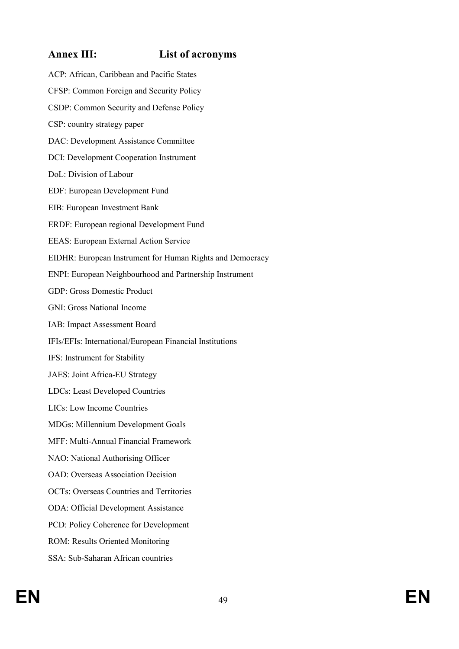## **Annex III: List of acronyms**

ACP: African, Caribbean and Pacific States CFSP: Common Foreign and Security Policy CSDP: Common Security and Defense Policy CSP: country strategy paper DAC: Development Assistance Committee DCI: Development Cooperation Instrument DoL: Division of Labour EDF: European Development Fund EIB: European Investment Bank ERDF: European regional Development Fund EEAS: European External Action Service EIDHR: European Instrument for Human Rights and Democracy ENPI: European Neighbourhood and Partnership Instrument GDP: Gross Domestic Product GNI: Gross National Income IAB: Impact Assessment Board IFIs/EFIs: International/European Financial Institutions IFS: Instrument for Stability JAES: Joint Africa-EU Strategy LDCs: Least Developed Countries LICs: Low Income Countries MDGs: Millennium Development Goals MFF: Multi-Annual Financial Framework NAO: National Authorising Officer OAD: Overseas Association Decision OCTs: Overseas Countries and Territories ODA: Official Development Assistance PCD: Policy Coherence for Development ROM: Results Oriented Monitoring SSA: Sub-Saharan African countries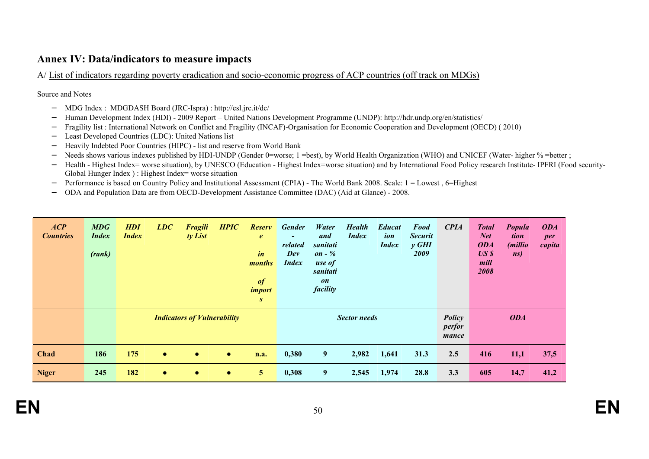### **Annex IV: Data/indicators to measure impacts**

A/ List of indicators regarding poverty eradication and socio-economic progress of ACP countries (off track on MDGs)

Source and Notes

- − MDG Index : MDGDASH Board (JRC-Ispra) : http://esl.jrc.it/dc/
- −Human Development Index (HDI) - 2009 Report – United Nations Development Programme (UNDP): http://hdr.undp.org/en/statistics/
- −Fragility list : International Network on Conflict and Fragility (INCAF)-Organisation for Economic Cooperation and Development (OECD) ( 2010)
- −Least Developed Countries (LDC): United Nations list
- −Heavily Indebted Poor Countries (HIPC) - list and reserve from World Bank
- −Needs shows various indexes published by HDI-UNDP (Gender 0=worse; 1 =best), by World Health Organization (WHO) and UNICEF (Water- higher % =better;
- − Health - Highest Index= worse situation), by UNESCO (Education - Highest Index=worse situation) and by International Food Policy research Institute- IPFRI (Food security-Global Hunger Index ) : Highest Index= worse situation
- −Performance is based on Country Policy and Institutional Assessment (CPIA) - The World Bank 2008. Scale: 1 = Lowest , 6=Highest
- −ODA and Population Data are from OECD-Development Assistance Committee (DAC) (Aid at Glance) - 2008.

| ACP<br><b>Countries</b> | MDG<br><i>Index</i><br>(rank) | <b>HDI</b><br><b>Index</b> | LDC       | <b>Fragili</b><br>ty List          | <b>HPIC</b> | <b>Reserv</b><br>$\boldsymbol{e}$<br>$\mathbf{i}$ n<br>months<br>$\boldsymbol{\theta}$<br><i>import</i><br>S | <b>Gender</b><br>$\blacksquare$<br>related<br>Dev<br><b>Index</b> | Water<br>and<br>sanitati<br>on - $%$<br>use of<br>sanitati<br>on<br>facility | <b>Health</b><br><b>Index</b> | <b>Educat</b><br>ion<br><b>Index</b> | Food<br><b>Securit</b><br>$y$ GHI<br>2009 | <b>CPIA</b>                      | <b>Total</b><br><b>Net</b><br><b>ODA</b><br>US <sub>s</sub><br>mill<br>2008 | Popula<br>tion<br>( <i>millio</i><br>ns) | <b>ODA</b><br>per<br>capita |
|-------------------------|-------------------------------|----------------------------|-----------|------------------------------------|-------------|--------------------------------------------------------------------------------------------------------------|-------------------------------------------------------------------|------------------------------------------------------------------------------|-------------------------------|--------------------------------------|-------------------------------------------|----------------------------------|-----------------------------------------------------------------------------|------------------------------------------|-----------------------------|
|                         |                               |                            |           | <b>Indicators of Vulnerability</b> |             |                                                                                                              |                                                                   |                                                                              | <b>Sector needs</b>           |                                      |                                           | <b>Policy</b><br>perfor<br>mance |                                                                             | <b>ODA</b>                               |                             |
| <b>Chad</b>             | 186                           | 175                        | $\bullet$ | $\bullet$                          | $\bullet$   | n.a.                                                                                                         | 0,380                                                             | 9                                                                            | 2,982                         | 1,641                                | 31.3                                      | 2.5                              | 416                                                                         | 11,1                                     | 37,5                        |
| <b>Niger</b>            | 245                           | 182                        | $\bullet$ | $\bullet$                          | $\bullet$   | 5 <sup>5</sup>                                                                                               | 0,308                                                             | 9                                                                            | 2,545                         | 1,974                                | 28.8                                      | 3.3                              | 605                                                                         | 14,7                                     | 41,2                        |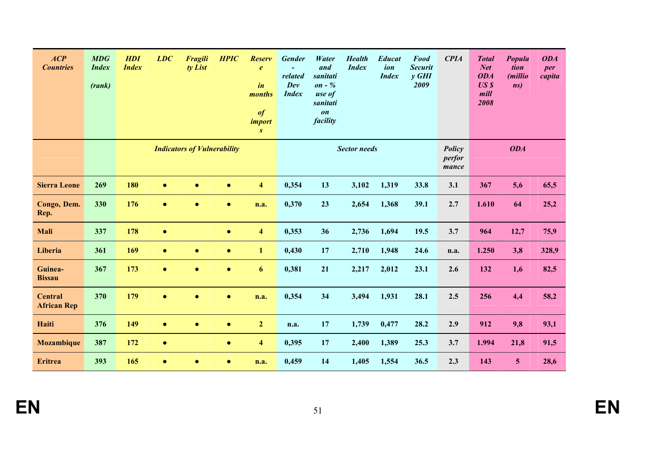| ACP<br><b>Countries</b>              | <b>MDG</b><br><b>Index</b><br>(rank) | <b>HDI</b><br><b>Index</b> | LDC       | <b>Fragili</b><br>ty List          | <b>HPIC</b> | <b>Reserv</b><br>$\boldsymbol{e}$<br>$\mathbf{i}$ n<br>months<br>$\boldsymbol{\theta}$<br><i>import</i><br>$\boldsymbol{S}$ | <b>Gender</b><br>related<br>Dev<br><b>Index</b> | Water<br>and<br>sanitati<br>on - $%$<br>use of<br>sanitati<br>$\boldsymbol{on}$<br>facility | <b>Health</b><br><b>Index</b> | <b>Educat</b><br>ion<br><b>Index</b> | <b>Food</b><br><b>Securit</b><br>$y$ GHI<br>2009 | <b>CPIA</b>               | <b>Total</b><br><b>Net</b><br><b>ODA</b><br>USS<br>mill<br>2008 | Popula<br>tion<br>(millio<br>ns) | <b>ODA</b><br>per<br>capita |
|--------------------------------------|--------------------------------------|----------------------------|-----------|------------------------------------|-------------|-----------------------------------------------------------------------------------------------------------------------------|-------------------------------------------------|---------------------------------------------------------------------------------------------|-------------------------------|--------------------------------------|--------------------------------------------------|---------------------------|-----------------------------------------------------------------|----------------------------------|-----------------------------|
|                                      |                                      |                            |           | <b>Indicators of Vulnerability</b> |             |                                                                                                                             |                                                 |                                                                                             | <b>Sector needs</b>           |                                      |                                                  | Policy<br>perfor<br>mance |                                                                 | <b>ODA</b>                       |                             |
| <b>Sierra Leone</b>                  | 269                                  | 180                        | $\bullet$ | $\bullet$                          | $\bullet$   | $\overline{\mathbf{4}}$                                                                                                     | 0,354                                           | 13                                                                                          | 3,102                         | 1,319                                | 33.8                                             | 3.1                       | 367                                                             | 5,6                              | 65,5                        |
| Congo, Dem.<br>Rep.                  | 330                                  | 176                        | $\bullet$ | $\bullet$                          | $\bullet$   | n.a.                                                                                                                        | 0,370                                           | 23                                                                                          | 2,654                         | 1,368                                | 39.1                                             | 2.7                       | 1.610                                                           | 64                               | 25,2                        |
| Mali                                 | 337                                  | 178                        | $\bullet$ |                                    | $\bullet$   | $\overline{\mathbf{4}}$                                                                                                     | 0,353                                           | 36                                                                                          | 2,736                         | 1,694                                | 19.5                                             | 3.7                       | 964                                                             | 12,7                             | 75,9                        |
| Liberia                              | 361                                  | 169                        | $\bullet$ | $\bullet$                          | $\bullet$   | $\mathbf{1}$                                                                                                                | 0,430                                           | 17                                                                                          | 2,710                         | 1,948                                | 24.6                                             | n.a.                      | 1.250                                                           | 3,8                              | 328,9                       |
| Guinea-<br><b>Bissau</b>             | 367                                  | 173                        | $\bullet$ | $\bullet$                          | $\bullet$   | 6                                                                                                                           | 0,381                                           | 21                                                                                          | 2,217                         | 2,012                                | 23.1                                             | 2.6                       | 132                                                             | 1,6                              | 82,5                        |
| <b>Central</b><br><b>African Rep</b> | 370                                  | 179                        | $\bullet$ | $\bullet$                          | $\bullet$   | n.a.                                                                                                                        | 0,354                                           | 34                                                                                          | 3,494                         | 1,931                                | 28.1                                             | 2.5                       | 256                                                             | 4,4                              | 58,2                        |
| <b>Haiti</b>                         | 376                                  | 149                        | $\bullet$ | $\bullet$                          | $\bullet$   | $\overline{2}$                                                                                                              | n.a.                                            | 17                                                                                          | 1,739                         | 0,477                                | 28.2                                             | 2.9                       | 912                                                             | 9,8                              | 93,1                        |
| <b>Mozambique</b>                    | 387                                  | 172                        | $\bullet$ |                                    | $\bullet$   | $\overline{\mathbf{4}}$                                                                                                     | 0,395                                           | 17                                                                                          | 2,400                         | 1,389                                | 25.3                                             | 3.7                       | 1.994                                                           | 21,8                             | 91,5                        |
| <b>Eritrea</b>                       | 393                                  | 165                        | $\bullet$ | $\bullet$                          | $\bullet$   | n.a.                                                                                                                        | 0,459                                           | 14                                                                                          | 1,405                         | 1,554                                | 36.5                                             | 2.3                       | 143                                                             | $5\phantom{.0}$                  | 28,6                        |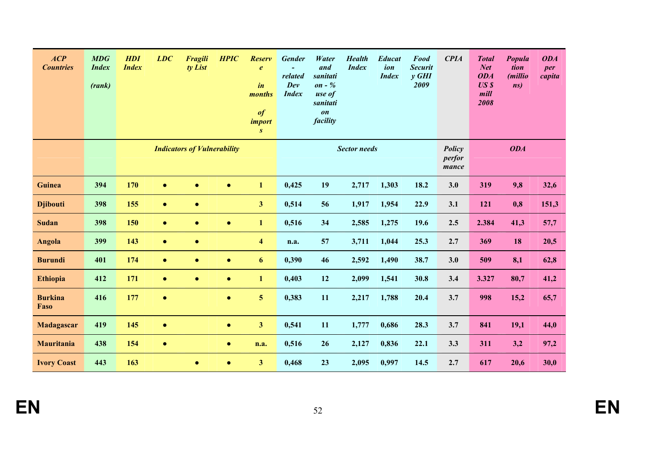| ACP<br><b>Countries</b> | <b>MDG</b><br><b>Index</b><br>(rank) | <b>HDI</b><br><b>Index</b> | LDC       | <b>Fragili</b><br>ty List          | <b>HPIC</b> | <b>Reserv</b><br>$\boldsymbol{e}$<br>$\dot{i}n$<br>months<br>$\boldsymbol{\theta}$<br><i>import</i><br>S | <b>Gender</b><br>related<br>Dev<br><b>Index</b> | Water<br>and<br>sanitati<br>on - $%$<br>use of<br>sanitati<br>$\boldsymbol{on}$<br>facility | <b>Health</b><br><b>Index</b> | <b>Educat</b><br>ion<br><b>Index</b> | Food<br><b>Securit</b><br>$y$ GHI<br>2009 | <b>CPIA</b>               | <b>Total</b><br><b>Net</b><br><b>ODA</b><br>USS<br>mill<br>2008 | Popula<br>tion<br>(millio<br>ns) | <b>ODA</b><br>per<br>capita |
|-------------------------|--------------------------------------|----------------------------|-----------|------------------------------------|-------------|----------------------------------------------------------------------------------------------------------|-------------------------------------------------|---------------------------------------------------------------------------------------------|-------------------------------|--------------------------------------|-------------------------------------------|---------------------------|-----------------------------------------------------------------|----------------------------------|-----------------------------|
|                         |                                      |                            |           | <b>Indicators of Vulnerability</b> |             |                                                                                                          |                                                 |                                                                                             | <b>Sector needs</b>           |                                      |                                           | Policy<br>perfor<br>mance |                                                                 | <b>ODA</b>                       |                             |
| Guinea                  | 394                                  | 170                        | $\bullet$ | $\bullet$                          | $\bullet$   | $\mathbf{1}$                                                                                             | 0,425                                           | 19                                                                                          | 2,717                         | 1,303                                | 18.2                                      | 3.0                       | 319                                                             | 9,8                              | 32,6                        |
| <b>Djibouti</b>         | 398                                  | 155                        | $\bullet$ | $\bullet$                          |             | $\overline{\mathbf{3}}$                                                                                  | 0,514                                           | 56                                                                                          | 1,917                         | 1,954                                | 22.9                                      | 3.1                       | 121                                                             | 0,8                              | 151,3                       |
| <b>Sudan</b>            | 398                                  | 150                        | $\bullet$ | $\bullet$                          | $\bullet$   | $\mathbf{1}$                                                                                             | 0,516                                           | 34                                                                                          | 2,585                         | 1,275                                | 19.6                                      | 2.5                       | 2.384                                                           | 41,3                             | 57,7                        |
| <b>Angola</b>           | 399                                  | 143                        | $\bullet$ | $\bullet$                          |             | $\overline{\mathbf{4}}$                                                                                  | n.a.                                            | 57                                                                                          | 3,711                         | 1,044                                | 25.3                                      | 2.7                       | 369                                                             | 18                               | 20,5                        |
| <b>Burundi</b>          | 401                                  | 174                        | $\bullet$ | $\bullet$                          | $\bullet$   | 6                                                                                                        | 0,390                                           | 46                                                                                          | 2,592                         | 1,490                                | 38.7                                      | 3.0                       | 509                                                             | 8,1                              | 62,8                        |
| <b>Ethiopia</b>         | 412                                  | 171                        | $\bullet$ | $\bullet$                          | $\bullet$   | $\mathbf{1}$                                                                                             | 0,403                                           | 12                                                                                          | 2,099                         | 1,541                                | 30.8                                      | 3.4                       | 3.327                                                           | 80,7                             | 41,2                        |
| <b>Burkina</b><br>Faso  | 416                                  | 177                        | $\bullet$ |                                    | $\bullet$   | 5                                                                                                        | 0,383                                           | 11                                                                                          | 2,217                         | 1,788                                | 20.4                                      | 3.7                       | 998                                                             | 15,2                             | 65,7                        |
| Madagascar              | 419                                  | 145                        | $\bullet$ |                                    | $\bullet$   | $\overline{\mathbf{3}}$                                                                                  | 0,541                                           | 11                                                                                          | 1,777                         | 0,686                                | 28.3                                      | 3.7                       | 841                                                             | 19,1                             | 44,0                        |
| Mauritania              | 438                                  | 154                        | $\bullet$ |                                    | $\bullet$   | n.a.                                                                                                     | 0,516                                           | 26                                                                                          | 2,127                         | 0,836                                | 22.1                                      | 3.3                       | 311                                                             | 3,2                              | 97,2                        |
| <b>Ivory Coast</b>      | 443                                  | 163                        |           | $\bullet$                          | $\bullet$   | 3 <sup>1</sup>                                                                                           | 0,468                                           | 23                                                                                          | 2,095                         | 0,997                                | 14.5                                      | 2.7                       | 617                                                             | 20,6                             | 30,0                        |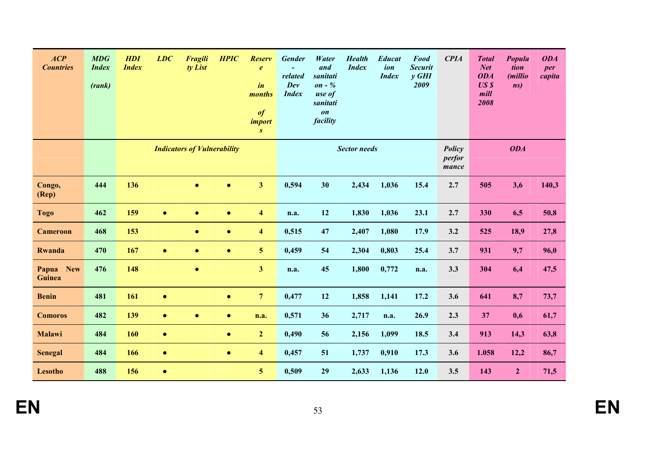| ACP<br><b>Countries</b>       | <b>MDG</b><br><b>Index</b><br>(rank) | <b>HDI</b><br><b>Index</b> | LDC       | Fragili<br>ty List                 | <b>HPIC</b> | <b>Reserv</b><br>$\boldsymbol{e}$<br>$\boldsymbol{i}$ n<br>months<br>$\bf{f}$<br>import<br>$\boldsymbol{S}$ | <b>Gender</b><br>related<br>Dev<br><b>Index</b> | Water<br>and<br>sanitati<br>$\mathfrak{on}$ - $\%$<br>use of<br>sanitati<br>$\boldsymbol{on}$<br>facility | <b>Health</b><br><b>Index</b> | <b>Educat</b><br>ion<br><b>Index</b> | <b>Food</b><br><b>Securit</b><br>$y$ GHI<br>2009 | <b>CPIA</b>               | <b>Total</b><br><b>Net</b><br><b>ODA</b><br>USS<br>mill<br>2008 | Popula<br>tion<br>(millio<br>ns) | <b>ODA</b><br>per<br>capita |
|-------------------------------|--------------------------------------|----------------------------|-----------|------------------------------------|-------------|-------------------------------------------------------------------------------------------------------------|-------------------------------------------------|-----------------------------------------------------------------------------------------------------------|-------------------------------|--------------------------------------|--------------------------------------------------|---------------------------|-----------------------------------------------------------------|----------------------------------|-----------------------------|
|                               |                                      |                            |           | <b>Indicators of Vulnerability</b> |             |                                                                                                             |                                                 |                                                                                                           | <b>Sector needs</b>           |                                      |                                                  | Policy<br>perfor<br>mance |                                                                 | <b>ODA</b>                       |                             |
| Congo,<br>$(\mathbf{Rep})$    | 444                                  | 136                        |           | $\bullet$                          | $\bullet$   | $\overline{\mathbf{3}}$                                                                                     | 0,594                                           | 30                                                                                                        | 2,434                         | 1,036                                | 15.4                                             | 2.7                       | 505                                                             | 3,6                              | 140,3                       |
| <b>Togo</b>                   | 462                                  | 159                        | $\bullet$ | $\bullet$                          | $\bullet$   | $\overline{\mathbf{4}}$                                                                                     | n.a.                                            | 12                                                                                                        | 1,830                         | 1,036                                | 23.1                                             | 2.7                       | 330                                                             | 6,5                              | 50,8                        |
| <b>Cameroon</b>               | 468                                  | 153                        |           | $\bullet$                          | $\bullet$   | $\overline{\mathbf{4}}$                                                                                     | 0,515                                           | 47                                                                                                        | 2,407                         | 1,080                                | 17.9                                             | 3.2                       | 525                                                             | 18,9                             | 27,8                        |
| <b>Rwanda</b>                 | 470                                  | 167                        | $\bullet$ | $\bullet$                          | $\bullet$   | $\overline{\mathbf{5}}$                                                                                     | 0,459                                           | 54                                                                                                        | 2,304                         | 0,803                                | 25.4                                             | 3.7                       | 931                                                             | 9,7                              | 96,0                        |
| <b>New</b><br>Papua<br>Guinea | 476                                  | 148                        |           | $\bullet$                          |             | $\overline{\mathbf{3}}$                                                                                     | n.a.                                            | 45                                                                                                        | 1,800                         | 0,772                                | n.a.                                             | 3.3                       | 304                                                             | 6,4                              | 47,5                        |
| <b>Benin</b>                  | 481                                  | 161                        | $\bullet$ |                                    | $\bullet$   | $\overline{7}$                                                                                              | 0,477                                           | 12                                                                                                        | 1,858                         | 1,141                                | 17.2                                             | 3.6                       | 641                                                             | 8,7                              | 73,7                        |
| <b>Comoros</b>                | 482                                  | 139                        | $\bullet$ | $\bullet$                          | $\bullet$   | n.a.                                                                                                        | 0,571                                           | 36                                                                                                        | 2,717                         | n.a.                                 | 26.9                                             | 2.3                       | 37                                                              | 0,6                              | 61,7                        |
| Malawi                        | 484                                  | 160                        | $\bullet$ |                                    | $\bullet$   | $\overline{2}$                                                                                              | 0,490                                           | 56                                                                                                        | 2,156                         | 1,099                                | 18.5                                             | 3.4                       | 913                                                             | 14,3                             | 63,8                        |
| <b>Senegal</b>                | 484                                  | 166                        | $\bullet$ |                                    | $\bullet$   | $\overline{\mathbf{4}}$                                                                                     | 0,457                                           | 51                                                                                                        | 1,737                         | 0,910                                | 17.3                                             | 3.6                       | 1.058                                                           | 12,2                             | 86,7                        |
| <b>Lesotho</b>                | 488                                  | 156                        | $\bullet$ |                                    |             | $5\overline{)}$                                                                                             | 0,509                                           | 29                                                                                                        | 2,633                         | 1,136                                | 12.0                                             | 3.5                       | 143                                                             | $\overline{2}$                   | 71,5                        |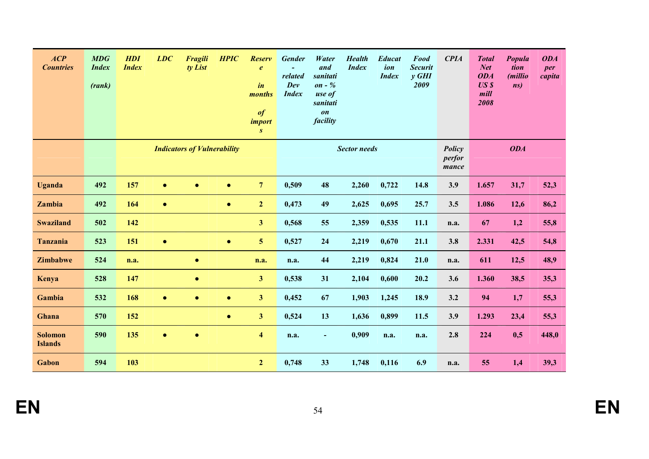| ACP<br><b>Countries</b>          | <b>MDG</b><br><b>Index</b><br>(rank) | <b>HDI</b><br><b>Index</b> | LDC       | <b>Fragili</b><br>ty List | <b>HPIC</b>                        | <b>Reserv</b><br>$\boldsymbol{e}$<br>$\mathbf{i}$ n<br>months<br>$\boldsymbol{\theta}$<br><i>import</i><br>S | <b>Gender</b><br>related<br>Dev<br><b>Index</b> | Water<br>and<br>sanitati<br>on - $%$<br>use of<br>sanitati<br>$\boldsymbol{on}$<br>facility | <b>Health</b><br><b>Index</b> | <b>Educat</b><br>ion<br><b>Index</b> | <b>Food</b><br><b>Securit</b><br>$y$ GHI<br>2009 | <b>CPIA</b>               | <b>Total</b><br><b>Net</b><br><b>ODA</b><br>USS<br>mill<br>2008 | Popula<br>tion<br>(millio<br>ns) | <b>ODA</b><br>per<br>capita |
|----------------------------------|--------------------------------------|----------------------------|-----------|---------------------------|------------------------------------|--------------------------------------------------------------------------------------------------------------|-------------------------------------------------|---------------------------------------------------------------------------------------------|-------------------------------|--------------------------------------|--------------------------------------------------|---------------------------|-----------------------------------------------------------------|----------------------------------|-----------------------------|
|                                  |                                      |                            |           |                           | <b>Indicators of Vulnerability</b> |                                                                                                              |                                                 |                                                                                             | <b>Sector needs</b>           |                                      |                                                  | Policy<br>perfor<br>mance |                                                                 | <b>ODA</b>                       |                             |
| <b>Uganda</b>                    | 492                                  | 157                        | $\bullet$ | $\bullet$                 | $\bullet$                          | $\overline{7}$                                                                                               | 0,509                                           | 48                                                                                          | 2,260                         | 0,722                                | 14.8                                             | 3.9                       | 1.657                                                           | 31,7                             | 52,3                        |
| Zambia                           | 492                                  | 164                        | $\bullet$ |                           | $\bullet$                          | $\overline{2}$                                                                                               | 0,473                                           | 49                                                                                          | 2,625                         | 0,695                                | 25.7                                             | 3.5                       | 1.086                                                           | 12,6                             | 86,2                        |
| <b>Swaziland</b>                 | 502                                  | 142                        |           |                           |                                    | $\overline{\mathbf{3}}$                                                                                      | 0,568                                           | 55                                                                                          | 2,359                         | 0,535                                | 11.1                                             | n.a.                      | 67                                                              | 1,2                              | 55,8                        |
| <b>Tanzania</b>                  | 523                                  | 151                        | $\bullet$ |                           | $\bullet$                          | 5                                                                                                            | 0,527                                           | 24                                                                                          | 2,219                         | 0,670                                | 21.1                                             | 3.8                       | 2.331                                                           | 42,5                             | 54,8                        |
| Zimbabwe                         | 524                                  | n.a.                       |           | $\bullet$                 |                                    | n.a.                                                                                                         | n.a.                                            | 44                                                                                          | 2,219                         | 0,824                                | 21.0                                             | n.a.                      | 611                                                             | 12,5                             | 48,9                        |
| Kenya                            | 528                                  | 147                        |           | $\bullet$                 |                                    | $\overline{\mathbf{3}}$                                                                                      | 0,538                                           | 31                                                                                          | 2,104                         | 0,600                                | 20.2                                             | 3.6                       | 1.360                                                           | 38,5                             | 35,3                        |
| Gambia                           | 532                                  | 168                        | $\bullet$ | $\bullet$                 | $\bullet$                          | $\overline{\mathbf{3}}$                                                                                      | 0,452                                           | 67                                                                                          | 1,903                         | 1,245                                | 18.9                                             | 3.2                       | 94                                                              | 1,7                              | 55,3                        |
| Ghana                            | 570                                  | 152                        |           |                           | $\bullet$                          | $\overline{\mathbf{3}}$                                                                                      | 0,524                                           | 13                                                                                          | 1,636                         | 0,899                                | 11.5                                             | 3.9                       | 1.293                                                           | 23,4                             | 55,3                        |
| <b>Solomon</b><br><b>Islands</b> | 590                                  | 135                        | $\bullet$ | $\bullet$                 |                                    | $\overline{\mathbf{4}}$                                                                                      | n.a.                                            | $\blacksquare$                                                                              | 0,909                         | n.a.                                 | n.a.                                             | 2.8                       | 224                                                             | 0,5                              | 448,0                       |
| Gabon                            | 594                                  | 103                        |           |                           |                                    | 2 <sup>1</sup>                                                                                               | 0,748                                           | 33                                                                                          | 1,748                         | 0,116                                | 6.9                                              | n.a.                      | 55                                                              | 1,4                              | 39,3                        |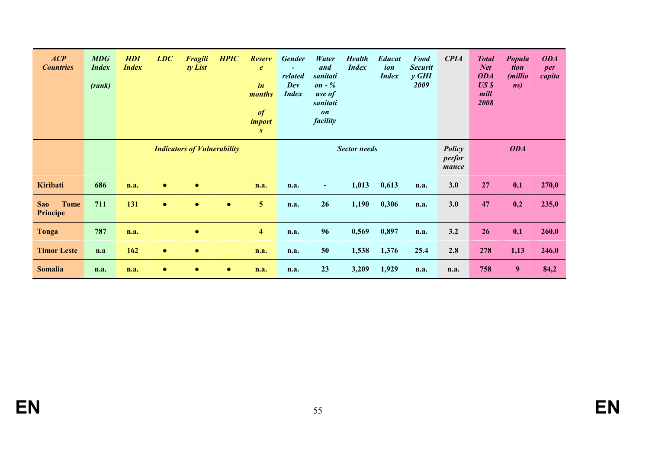| ACP<br><b>Countries</b>               | MDG<br><b>Index</b><br>(rank) | <b>HDI</b><br><b>Index</b> | LDC       | <b>Fragili</b><br>ty List          | <b>HPIC</b> | <b>Reserv</b><br>$\boldsymbol{e}$<br>$\mathbf{i}$ n<br>months<br>$\boldsymbol{\theta}$<br><i>import</i><br>S | <b>Gender</b><br>related<br>Dev<br><b>Index</b> | Water<br>and<br>sanitati<br>on - $%$<br>use of<br>sanitati<br>on<br>facility | <b>Health</b><br><b>Index</b> | <b>Educat</b><br>ion<br><b>Index</b> | <b>Food</b><br><b>Securit</b><br>$y$ GHI<br>2009 | <b>CPIA</b>               | <b>Total</b><br><b>Net</b><br><b>ODA</b><br>USS<br>mill<br>2008 | Popula<br>tion<br><i>(millio</i><br>ns) | <b>ODA</b><br>per<br>capita |
|---------------------------------------|-------------------------------|----------------------------|-----------|------------------------------------|-------------|--------------------------------------------------------------------------------------------------------------|-------------------------------------------------|------------------------------------------------------------------------------|-------------------------------|--------------------------------------|--------------------------------------------------|---------------------------|-----------------------------------------------------------------|-----------------------------------------|-----------------------------|
|                                       |                               |                            |           | <b>Indicators of Vulnerability</b> |             |                                                                                                              |                                                 |                                                                              | <b>Sector needs</b>           |                                      |                                                  | Policy<br>perfor<br>mance |                                                                 | <b>ODA</b>                              |                             |
| <b>Kiribati</b>                       | 686                           | n.a.                       | $\bullet$ | $\bullet$                          |             | n.a.                                                                                                         | n.a.                                            | $\blacksquare$                                                               | 1,013                         | 0,613                                | n.a.                                             | 3.0                       | 27                                                              | 0,1                                     | 270,0                       |
| <b>Tome</b><br><b>Sao</b><br>Principe | 711                           | 131                        | $\bullet$ | $\bullet$                          | $\bullet$   | 5 <sup>5</sup>                                                                                               | n.a.                                            | 26                                                                           | 1,190                         | 0,306                                | n.a.                                             | 3.0                       | 47                                                              | 0,2                                     | 235,0                       |
| Tonga                                 | 787                           | n.a.                       |           | $\bullet$                          |             | $\overline{\mathbf{4}}$                                                                                      | n.a.                                            | 96                                                                           | 0,569                         | 0,897                                | n.a.                                             | 3.2                       | 26                                                              | 0,1                                     | 260,0                       |
| <b>Timor Leste</b>                    | n.a                           | 162                        | $\bullet$ | $\bullet$                          |             | n.a.                                                                                                         | n.a.                                            | 50                                                                           | 1,538                         | 1,376                                | 25.4                                             | 2.8                       | 278                                                             | 1,13                                    | 246,0                       |
| <b>Somalia</b>                        | n.a.                          | n.a.                       | $\bullet$ | $\bullet$                          | $\bullet$   | n.a.                                                                                                         | n.a.                                            | 23                                                                           | 3,209                         | 1,929                                | n.a.                                             | n.a.                      | 758                                                             | 9                                       | 84,2                        |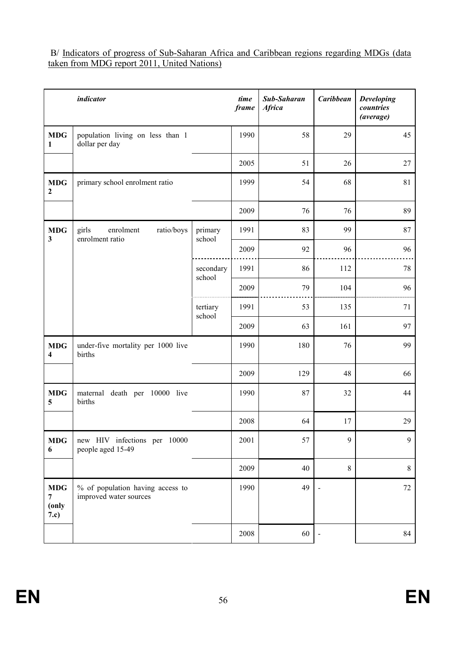#### B/ Indicators of progress of Sub-Saharan Africa and Caribbean regions regarding MDGs (data taken from MDG report 2011, United Nations)

|                                  | <i>indicator</i>                                           |                     | time<br>frame | Sub-Saharan<br><b>Africa</b> | Caribbean                | <b>Developing</b><br>countries<br>(average) |
|----------------------------------|------------------------------------------------------------|---------------------|---------------|------------------------------|--------------------------|---------------------------------------------|
| <b>MDG</b><br>1                  | population living on less than 1<br>dollar per day         |                     | 1990          | 58                           | 29                       | 45                                          |
|                                  |                                                            |                     | 2005          | 51                           | 26                       | 27                                          |
| <b>MDG</b><br>2                  | primary school enrolment ratio                             |                     | 1999          | 54                           | 68                       | 81                                          |
|                                  |                                                            |                     | 2009          | 76                           | 76                       | 89                                          |
| <b>MDG</b><br>3                  | girls<br>enrolment<br>ratio/boys<br>enrolment ratio        | primary<br>school   | 1991          | 83                           | 99                       | 87                                          |
|                                  |                                                            |                     | 2009          | 92                           | 96                       | 96                                          |
|                                  |                                                            | secondary<br>school | 1991          | 86                           | 112                      | 78                                          |
|                                  |                                                            |                     | 2009          | 79                           | 104                      | 96                                          |
|                                  |                                                            | tertiary<br>school  | 1991          | 53                           | 135                      | 71                                          |
|                                  |                                                            |                     | 2009          | 63                           | 161                      | 97                                          |
| <b>MDG</b><br>4                  | under-five mortality per 1000 live<br>births               |                     | 1990          | 180                          | 76                       | 99                                          |
|                                  |                                                            |                     | 2009          | 129                          | 48                       | 66                                          |
| <b>MDG</b><br>5                  | maternal death per 10000 live<br>births                    |                     | 1990          | 87                           | 32                       | 44                                          |
|                                  |                                                            |                     | 2008          | 64                           | 17                       | 29                                          |
| <b>MDG</b><br>6                  | new HIV infections per 10000<br>people aged 15-49          |                     | 2001          | 57                           | 9                        | 9                                           |
|                                  |                                                            |                     | 2009          | 40                           | $8\,$                    | $8\,$                                       |
| <b>MDG</b><br>7<br>(only<br>7.c) | % of population having access to<br>improved water sources |                     | 1990          | 49                           |                          | $72\,$                                      |
|                                  |                                                            |                     | 2008          | 60                           | $\overline{\phantom{0}}$ | 84                                          |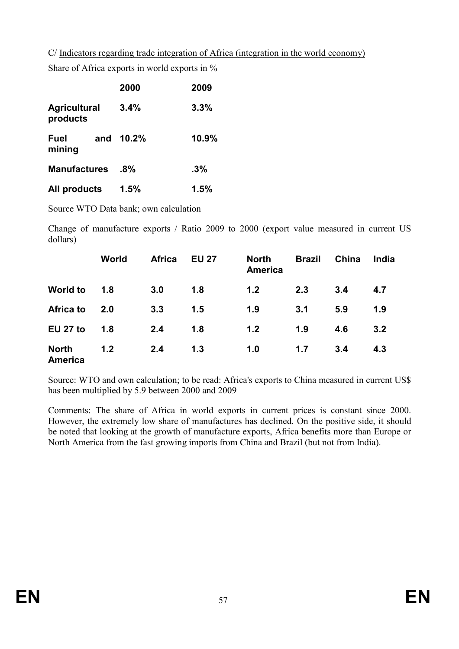C/ Indicators regarding trade integration of Africa (integration in the world economy)

Share of Africa exports in world exports in %

|                                 | 2000   | 2009  |
|---------------------------------|--------|-------|
| <b>Agricultural</b><br>products | 3.4%   | 3.3%  |
| <b>Fuel</b><br>and<br>mining    | 10.2%  | 10.9% |
| <b>Manufactures</b>             | $.8\%$ | .3%   |
| All products                    | 1.5%   | 1.5%  |

Source WTO Data bank; own calculation

Change of manufacture exports / Ratio 2009 to 2000 (export value measured in current US dollars)

|                         | World | <b>Africa</b> | <b>EU 27</b> | <b>North</b><br><b>America</b> | <b>Brazil</b> | China | India |
|-------------------------|-------|---------------|--------------|--------------------------------|---------------|-------|-------|
| <b>World to</b>         | 1.8   | 3.0           | 1.8          | 1.2                            | 2.3           | 3.4   | 4.7   |
| Africa to               | 2.0   | 3.3           | 1.5          | 1.9                            | 3.1           | 5.9   | 1.9   |
| <b>EU 27 to</b>         | 1.8   | 2.4           | 1.8          | 1.2                            | 1.9           | 4.6   | 3.2   |
| <b>North</b><br>America | 1.2   | 2.4           | 1.3          | 1.0                            | 1.7           | 3.4   | 4.3   |

Source: WTO and own calculation; to be read: Africa's exports to China measured in current US\$ has been multiplied by 5.9 between 2000 and 2009

Comments: The share of Africa in world exports in current prices is constant since 2000. However, the extremely low share of manufactures has declined. On the positive side, it should be noted that looking at the growth of manufacture exports, Africa benefits more than Europe or North America from the fast growing imports from China and Brazil (but not from India).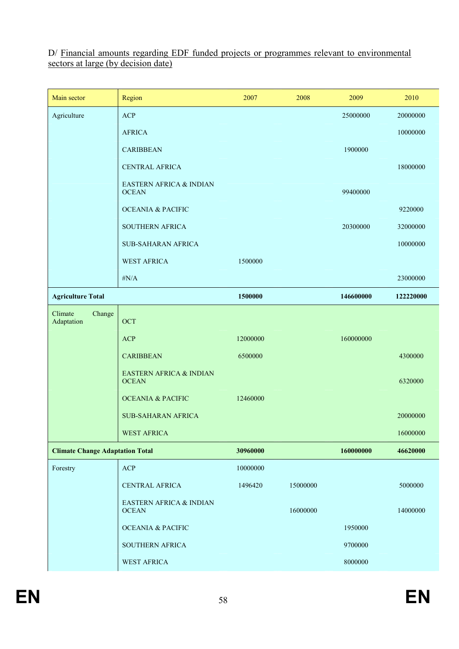D/ Financial amounts regarding EDF funded projects or programmes relevant to environmental sectors at large (by decision date)

| Main sector                            | Region                                  | 2007     | 2008     | 2009      | 2010      |
|----------------------------------------|-----------------------------------------|----------|----------|-----------|-----------|
| Agriculture                            | <b>ACP</b>                              |          |          | 25000000  | 20000000  |
|                                        | <b>AFRICA</b>                           |          |          |           | 10000000  |
|                                        | <b>CARIBBEAN</b>                        |          |          | 1900000   |           |
|                                        | <b>CENTRAL AFRICA</b>                   |          |          |           | 18000000  |
|                                        | EASTERN AFRICA & INDIAN<br><b>OCEAN</b> |          |          | 99400000  |           |
|                                        | <b>OCEANIA &amp; PACIFIC</b>            |          |          |           | 9220000   |
|                                        | <b>SOUTHERN AFRICA</b>                  |          |          | 20300000  | 32000000  |
|                                        | <b>SUB-SAHARAN AFRICA</b>               |          |          |           | 10000000  |
|                                        | <b>WEST AFRICA</b>                      | 1500000  |          |           |           |
|                                        | $\#N/A$                                 |          |          |           | 23000000  |
| <b>Agriculture Total</b>               |                                         | 1500000  |          | 146600000 | 122220000 |
| Climate<br>Change<br>Adaptation        | OCT                                     |          |          |           |           |
|                                        | <b>ACP</b>                              | 12000000 |          | 160000000 |           |
|                                        | <b>CARIBBEAN</b>                        | 6500000  |          |           | 4300000   |
|                                        | EASTERN AFRICA & INDIAN<br><b>OCEAN</b> |          |          |           | 6320000   |
|                                        | <b>OCEANIA &amp; PACIFIC</b>            | 12460000 |          |           |           |
|                                        | <b>SUB-SAHARAN AFRICA</b>               |          |          |           | 20000000  |
|                                        | <b>WEST AFRICA</b>                      |          |          |           | 16000000  |
| <b>Climate Change Adaptation Total</b> |                                         | 30960000 |          | 160000000 | 46620000  |
| Forestry                               | ACP                                     | 10000000 |          |           |           |
|                                        | CENTRAL AFRICA                          | 1496420  | 15000000 |           | 5000000   |
|                                        | EASTERN AFRICA & INDIAN<br><b>OCEAN</b> |          | 16000000 |           | 14000000  |
|                                        | <b>OCEANIA &amp; PACIFIC</b>            |          |          | 1950000   |           |
|                                        | SOUTHERN AFRICA                         |          |          | 9700000   |           |
|                                        | <b>WEST AFRICA</b>                      |          |          | 8000000   |           |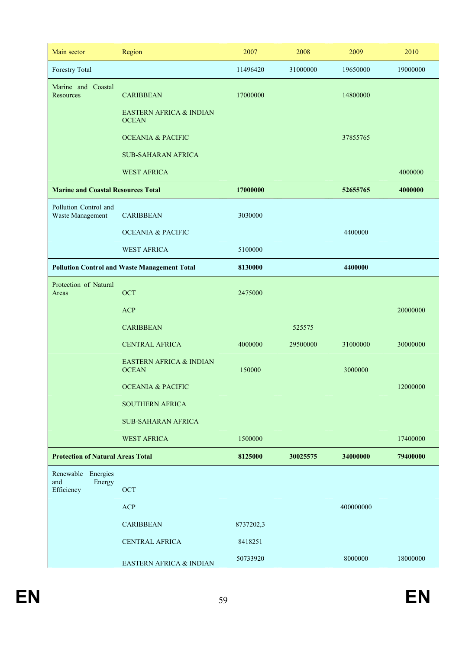| Main sector                                       | Region                                              | 2007      | 2008     | 2009      | 2010     |
|---------------------------------------------------|-----------------------------------------------------|-----------|----------|-----------|----------|
| Forestry Total                                    |                                                     | 11496420  | 31000000 | 19650000  | 19000000 |
| Marine and Coastal<br>Resources                   | <b>CARIBBEAN</b>                                    | 17000000  |          | 14800000  |          |
|                                                   | EASTERN AFRICA & INDIAN<br><b>OCEAN</b>             |           |          |           |          |
|                                                   | <b>OCEANIA &amp; PACIFIC</b>                        |           |          | 37855765  |          |
|                                                   | <b>SUB-SAHARAN AFRICA</b>                           |           |          |           |          |
|                                                   | <b>WEST AFRICA</b>                                  |           |          |           | 4000000  |
| <b>Marine and Coastal Resources Total</b>         |                                                     | 17000000  |          | 52655765  | 4000000  |
| Pollution Control and<br>Waste Management         | <b>CARIBBEAN</b>                                    | 3030000   |          |           |          |
|                                                   | <b>OCEANIA &amp; PACIFIC</b>                        |           |          | 4400000   |          |
|                                                   | <b>WEST AFRICA</b>                                  | 5100000   |          |           |          |
|                                                   | <b>Pollution Control and Waste Management Total</b> | 8130000   |          | 4400000   |          |
| Protection of Natural<br>Areas                    | OCT                                                 | 2475000   |          |           |          |
|                                                   | <b>ACP</b>                                          |           |          |           | 20000000 |
|                                                   | <b>CARIBBEAN</b>                                    |           | 525575   |           |          |
|                                                   | <b>CENTRAL AFRICA</b>                               | 4000000   | 29500000 | 31000000  | 30000000 |
|                                                   | EASTERN AFRICA & INDIAN<br><b>OCEAN</b>             | 150000    |          | 3000000   |          |
|                                                   | <b>OCEANIA &amp; PACIFIC</b>                        |           |          |           | 12000000 |
|                                                   | <b>SOUTHERN AFRICA</b>                              |           |          |           |          |
|                                                   | <b>SUB-SAHARAN AFRICA</b>                           |           |          |           |          |
|                                                   | <b>WEST AFRICA</b>                                  | 1500000   |          |           | 17400000 |
| <b>Protection of Natural Areas Total</b>          |                                                     | 8125000   | 30025575 | 34000000  | 79400000 |
| Renewable Energies<br>and<br>Energy<br>Efficiency | OCT                                                 |           |          |           |          |
|                                                   | <b>ACP</b>                                          |           |          | 400000000 |          |
|                                                   | <b>CARIBBEAN</b>                                    | 8737202,3 |          |           |          |
|                                                   | CENTRAL AFRICA                                      | 8418251   |          |           |          |
|                                                   | EASTERN AFRICA & INDIAN                             | 50733920  |          | 8000000   | 18000000 |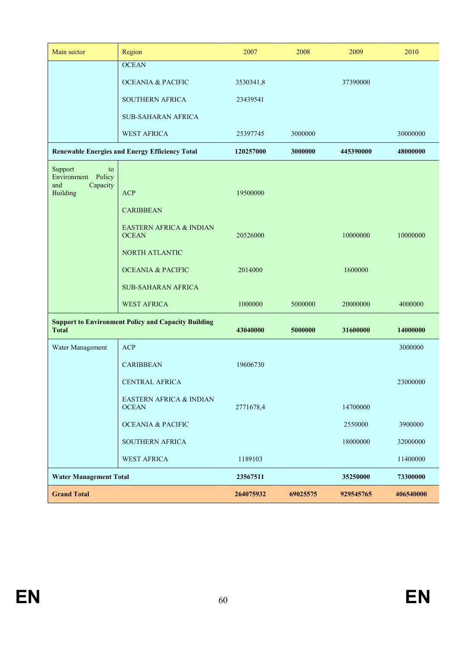| Main sector                            | Region                                                     | 2007      | 2008     | 2009      | 2010      |
|----------------------------------------|------------------------------------------------------------|-----------|----------|-----------|-----------|
|                                        | <b>OCEAN</b>                                               |           |          |           |           |
|                                        | <b>OCEANIA &amp; PACIFIC</b>                               | 3530341,8 |          | 37390000  |           |
|                                        | SOUTHERN AFRICA                                            | 23439541  |          |           |           |
|                                        | <b>SUB-SAHARAN AFRICA</b>                                  |           |          |           |           |
|                                        | <b>WEST AFRICA</b>                                         | 25397745  | 3000000  |           | 30000000  |
|                                        | <b>Renewable Energies and Energy Efficiency Total</b>      | 120257000 | 3000000  | 445390000 | 48000000  |
| Support<br>to<br>Environment<br>Policy |                                                            |           |          |           |           |
| Capacity<br>and<br><b>Building</b>     | <b>ACP</b>                                                 | 19500000  |          |           |           |
|                                        | <b>CARIBBEAN</b>                                           |           |          |           |           |
|                                        | EASTERN AFRICA & INDIAN                                    |           |          |           |           |
|                                        | <b>OCEAN</b>                                               | 20526000  |          | 10000000  | 10000000  |
|                                        | <b>NORTH ATLANTIC</b>                                      |           |          |           |           |
|                                        | <b>OCEANIA &amp; PACIFIC</b>                               | 2014000   |          | 1600000   |           |
|                                        | <b>SUB-SAHARAN AFRICA</b>                                  |           |          |           |           |
|                                        | <b>WEST AFRICA</b>                                         | 1000000   | 5000000  | 20000000  | 4000000   |
| <b>Total</b>                           | <b>Support to Environment Policy and Capacity Building</b> | 43040000  | 5000000  | 31600000  | 14000000  |
|                                        |                                                            |           |          |           |           |
| Water Management                       | <b>ACP</b>                                                 |           |          |           | 3000000   |
|                                        | <b>CARIBBEAN</b>                                           | 19606730  |          |           |           |
|                                        | <b>CENTRAL AFRICA</b>                                      |           |          |           | 23000000  |
|                                        | EASTERN AFRICA & INDIAN<br><b>OCEAN</b>                    | 2771678,4 |          | 14700000  |           |
|                                        | <b>OCEANIA &amp; PACIFIC</b>                               |           |          | 2550000   | 3900000   |
|                                        | SOUTHERN AFRICA                                            |           |          | 18000000  | 32000000  |
|                                        | <b>WEST AFRICA</b>                                         | 1189103   |          |           | 11400000  |
| <b>Water Management Total</b>          |                                                            | 23567511  |          | 35250000  | 73300000  |
| <b>Grand Total</b>                     |                                                            | 264075932 | 69025575 | 929545765 | 406540000 |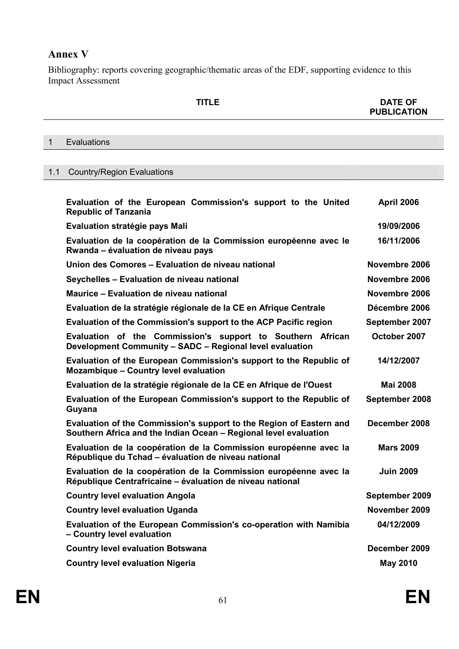## **Annex V**

Bibliography: reports covering geographic/thematic areas of the EDF, supporting evidence to this Impact Assessment

|                                | <b>TITLE</b> | <b>DATE OF</b><br><b>PUBLICATION</b> |
|--------------------------------|--------------|--------------------------------------|
|                                |              |                                      |
| Evaluations                    |              |                                      |
|                                |              |                                      |
| 1.1 Country/Region Evaluations |              |                                      |

| Evaluation of the European Commission's support to the United<br><b>Republic of Tanzania</b>                                            | <b>April 2006</b> |
|-----------------------------------------------------------------------------------------------------------------------------------------|-------------------|
| Evaluation stratégie pays Mali                                                                                                          | 19/09/2006        |
| Evaluation de la coopération de la Commission européenne avec le<br>Rwanda – évaluation de niveau pays                                  | 16/11/2006        |
| Union des Comores - Evaluation de niveau national                                                                                       | Novembre 2006     |
| Seychelles - Evaluation de niveau national                                                                                              | Novembre 2006     |
| Maurice - Evaluation de niveau national                                                                                                 | Novembre 2006     |
| Evaluation de la stratégie régionale de la CE en Afrique Centrale                                                                       | Décembre 2006     |
| Evaluation of the Commission's support to the ACP Pacific region                                                                        | September 2007    |
| Evaluation of the Commission's support to Southern African<br>Development Community - SADC - Regional level evaluation                  | October 2007      |
| Evaluation of the European Commission's support to the Republic of<br><b>Mozambique - Country level evaluation</b>                      | 14/12/2007        |
| Evaluation de la stratégie régionale de la CE en Afrique de l'Ouest                                                                     | <b>Mai 2008</b>   |
| Evaluation of the European Commission's support to the Republic of<br>Guyana                                                            | September 2008    |
| Evaluation of the Commission's support to the Region of Eastern and<br>Southern Africa and the Indian Ocean - Regional level evaluation | December 2008     |
| Evaluation de la coopération de la Commission européenne avec la<br>République du Tchad - évaluation de niveau national                 | <b>Mars 2009</b>  |
| Evaluation de la coopération de la Commission européenne avec la<br>République Centrafricaine - évaluation de niveau national           | <b>Juin 2009</b>  |
| <b>Country level evaluation Angola</b>                                                                                                  | September 2009    |
| <b>Country level evaluation Uganda</b>                                                                                                  | November 2009     |
| Evaluation of the European Commission's co-operation with Namibia<br>- Country level evaluation                                         | 04/12/2009        |
| <b>Country level evaluation Botswana</b>                                                                                                | December 2009     |
| <b>Country level evaluation Nigeria</b>                                                                                                 | <b>May 2010</b>   |
|                                                                                                                                         |                   |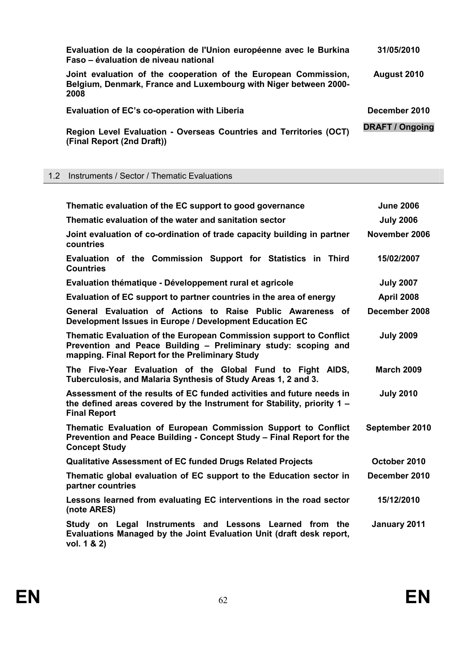| Evaluation de la coopération de l'Union européenne avec le Burkina<br>Faso – évaluation de niveau national                                  | 31/05/2010             |
|---------------------------------------------------------------------------------------------------------------------------------------------|------------------------|
| Joint evaluation of the cooperation of the European Commission,<br>Belgium, Denmark, France and Luxembourg with Niger between 2000-<br>2008 | August 2010            |
| Evaluation of EC's co-operation with Liberia                                                                                                | December 2010          |
| Region Level Evaluation - Overseas Countries and Territories (OCT)<br>(Final Report (2nd Draft))                                            | <b>DRAFT / Ongoing</b> |

### 1.2 Instruments / Sector / Thematic Evaluations

| Thematic evaluation of the EC support to good governance                                                                                                                                | <b>June 2006</b>  |
|-----------------------------------------------------------------------------------------------------------------------------------------------------------------------------------------|-------------------|
| Thematic evaluation of the water and sanitation sector                                                                                                                                  | <b>July 2006</b>  |
| Joint evaluation of co-ordination of trade capacity building in partner<br>countries                                                                                                    | November 2006     |
| Evaluation of the Commission Support for Statistics in Third<br><b>Countries</b>                                                                                                        | 15/02/2007        |
| Evaluation thématique - Développement rural et agricole                                                                                                                                 | <b>July 2007</b>  |
| Evaluation of EC support to partner countries in the area of energy                                                                                                                     | <b>April 2008</b> |
| General Evaluation of Actions to Raise Public Awareness of<br>Development Issues in Europe / Development Education EC                                                                   | December 2008     |
| Thematic Evaluation of the European Commission support to Conflict<br>Prevention and Peace Building - Preliminary study: scoping and<br>mapping. Final Report for the Preliminary Study | <b>July 2009</b>  |
| The Five-Year Evaluation of the Global Fund to Fight AIDS,<br>Tuberculosis, and Malaria Synthesis of Study Areas 1, 2 and 3.                                                            | <b>March 2009</b> |
| Assessment of the results of EC funded activities and future needs in<br>the defined areas covered by the Instrument for Stability, priority $1 -$<br><b>Final Report</b>               | <b>July 2010</b>  |
| Thematic Evaluation of European Commission Support to Conflict<br>Prevention and Peace Building - Concept Study - Final Report for the<br><b>Concept Study</b>                          | September 2010    |
| <b>Qualitative Assessment of EC funded Drugs Related Projects</b>                                                                                                                       | October 2010      |
| Thematic global evaluation of EC support to the Education sector in<br>partner countries                                                                                                | December 2010     |
| Lessons learned from evaluating EC interventions in the road sector<br>(note ARES)                                                                                                      | 15/12/2010        |
| Study on Legal Instruments and Lessons Learned from the<br>Evaluations Managed by the Joint Evaluation Unit (draft desk report,<br>vol. 1 & 2)                                          | January 2011      |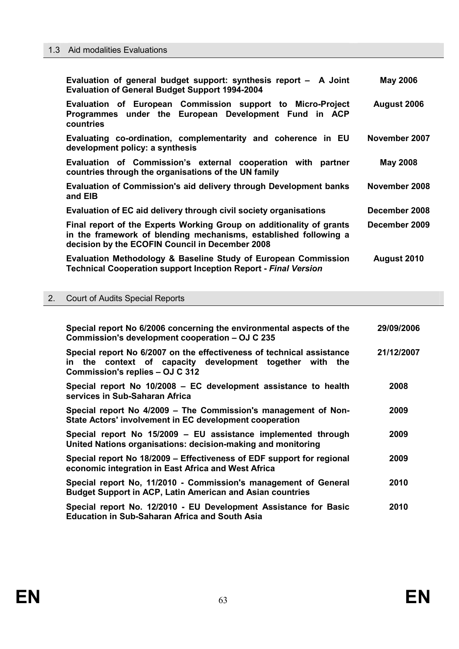| Evaluation of general budget support: synthesis report - A Joint<br><b>Evaluation of General Budget Support 1994-2004</b>                                                                   | <b>May 2006</b> |
|---------------------------------------------------------------------------------------------------------------------------------------------------------------------------------------------|-----------------|
| Evaluation of European Commission support to Micro-Project<br>Programmes under the European Development Fund in ACP<br>countries                                                            | August 2006     |
| Evaluating co-ordination, complementarity and coherence in EU<br>development policy: a synthesis                                                                                            | November 2007   |
| Evaluation of Commission's external cooperation with partner<br>countries through the organisations of the UN family                                                                        | <b>May 2008</b> |
| Evaluation of Commission's aid delivery through Development banks<br>and EIB                                                                                                                | November 2008   |
| Evaluation of EC aid delivery through civil society organisations                                                                                                                           | December 2008   |
| Final report of the Experts Working Group on additionality of grants<br>in the framework of blending mechanisms, established following a<br>decision by the ECOFIN Council in December 2008 | December 2009   |
| Evaluation Methodology & Baseline Study of European Commission<br><b>Technical Cooperation support Inception Report - Final Version</b>                                                     | August 2010     |

### 2. Court of Audits Special Reports

| Special report No 6/2006 concerning the environmental aspects of the<br>Commission's development cooperation - OJ C 235                                              | 29/09/2006 |
|----------------------------------------------------------------------------------------------------------------------------------------------------------------------|------------|
| Special report No 6/2007 on the effectiveness of technical assistance<br>in the context of capacity development together with the<br>Commission's replies - OJ C 312 | 21/12/2007 |
| Special report No 10/2008 – EC development assistance to health<br>services in Sub-Saharan Africa                                                                    | 2008       |
| Special report No 4/2009 – The Commission's management of Non-<br>State Actors' involvement in EC development cooperation                                            | 2009       |
| Special report No 15/2009 - EU assistance implemented through<br>United Nations organisations: decision-making and monitoring                                        | 2009       |
| Special report No 18/2009 – Effectiveness of EDF support for regional<br>economic integration in East Africa and West Africa                                         | 2009       |
| Special report No, 11/2010 - Commission's management of General<br>Budget Support in ACP, Latin American and Asian countries                                         | 2010       |
| Special report No. 12/2010 - EU Development Assistance for Basic<br><b>Education in Sub-Saharan Africa and South Asia</b>                                            | 2010       |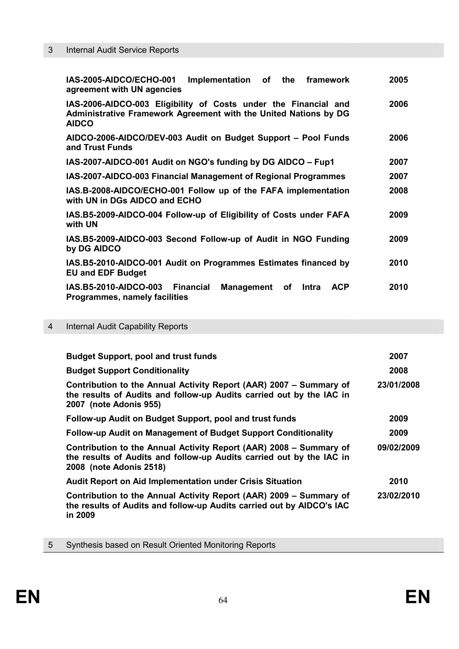## 3 Internal Audit Service Reports

| Implementation of the framework<br>IAS-2005-AIDCO/ECHO-001<br>agreement with UN agencies                                                            | 2005 |
|-----------------------------------------------------------------------------------------------------------------------------------------------------|------|
| IAS-2006-AIDCO-003 Eligibility of Costs under the Financial and<br>Administrative Framework Agreement with the United Nations by DG<br><b>AIDCO</b> | 2006 |
| AIDCO-2006-AIDCO/DEV-003 Audit on Budget Support – Pool Funds<br>and Trust Funds                                                                    | 2006 |
| IAS-2007-AIDCO-001 Audit on NGO's funding by DG AIDCO - Fup1                                                                                        | 2007 |
| IAS-2007-AIDCO-003 Financial Management of Regional Programmes                                                                                      | 2007 |
| IAS.B-2008-AIDCO/ECHO-001 Follow up of the FAFA implementation<br>with UN in DGs AIDCO and ECHO                                                     | 2008 |
| IAS.B5-2009-AIDCO-004 Follow-up of Eligibility of Costs under FAFA<br>with UN                                                                       | 2009 |
| IAS.B5-2009-AIDCO-003 Second Follow-up of Audit in NGO Funding<br>by DG AIDCO                                                                       | 2009 |
| IAS.B5-2010-AIDCO-001 Audit on Programmes Estimates financed by<br><b>EU and EDF Budget</b>                                                         | 2010 |
| IAS.B5-2010-AIDCO-003 Financial<br><b>ACP</b><br>Management<br>оf<br>Intra<br><b>Programmes, namely facilities</b>                                  | 2010 |

## 4 Internal Audit Capability Reports

| <b>Budget Support, pool and trust funds</b>                                                                                                                           | 2007       |
|-----------------------------------------------------------------------------------------------------------------------------------------------------------------------|------------|
| <b>Budget Support Conditionality</b>                                                                                                                                  | 2008       |
| Contribution to the Annual Activity Report (AAR) 2007 – Summary of<br>the results of Audits and follow-up Audits carried out by the IAC in<br>2007 (note Adonis 955)  | 23/01/2008 |
| Follow-up Audit on Budget Support, pool and trust funds                                                                                                               | 2009       |
| Follow-up Audit on Management of Budget Support Conditionality                                                                                                        | 2009       |
| Contribution to the Annual Activity Report (AAR) 2008 - Summary of<br>the results of Audits and follow-up Audits carried out by the IAC in<br>2008 (note Adonis 2518) | 09/02/2009 |
| <b>Audit Report on Aid Implementation under Crisis Situation</b>                                                                                                      | 2010       |
| Contribution to the Annual Activity Report (AAR) 2009 – Summary of<br>the results of Audits and follow-up Audits carried out by AIDCO's IAC<br>in 2009                | 23/02/2010 |

| 5 |  |  |  |  | Synthesis based on Result Oriented Monitoring Reports |  |
|---|--|--|--|--|-------------------------------------------------------|--|
|---|--|--|--|--|-------------------------------------------------------|--|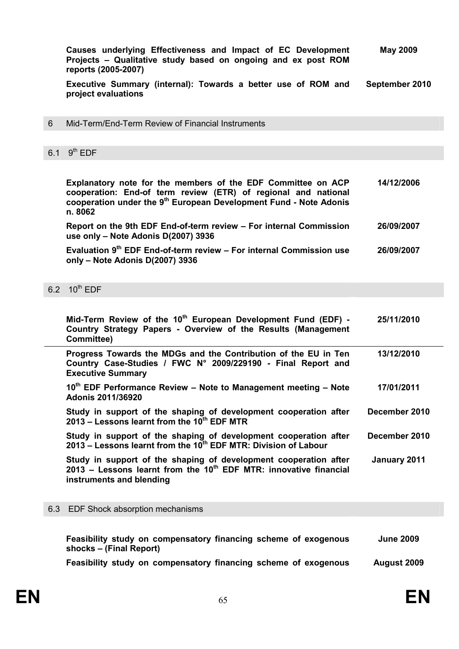|     | Causes underlying Effectiveness and Impact of EC Development<br>Projects - Qualitative study based on ongoing and ex post ROM<br>reports (2005-2007)                                                                       | <b>May 2009</b>  |
|-----|----------------------------------------------------------------------------------------------------------------------------------------------------------------------------------------------------------------------------|------------------|
|     | Executive Summary (internal): Towards a better use of ROM and<br>project evaluations                                                                                                                                       | September 2010   |
| 6   | Mid-Term/End-Term Review of Financial Instruments                                                                                                                                                                          |                  |
| 6.1 | $9th$ EDF                                                                                                                                                                                                                  |                  |
|     |                                                                                                                                                                                                                            |                  |
|     | Explanatory note for the members of the EDF Committee on ACP<br>cooperation: End-of term review (ETR) of regional and national<br>cooperation under the 9 <sup>th</sup> European Development Fund - Note Adonis<br>n. 8062 | 14/12/2006       |
|     | Report on the 9th EDF End-of-term review - For internal Commission<br>use only - Note Adonis D(2007) 3936                                                                                                                  | 26/09/2007       |
|     | Evaluation 9 <sup>th</sup> EDF End-of-term review - For internal Commission use<br>only - Note Adonis D(2007) 3936                                                                                                         | 26/09/2007       |
|     | 6.2 10 <sup>th</sup> EDF                                                                                                                                                                                                   |                  |
|     | Mid-Term Review of the 10 <sup>th</sup> European Development Fund (EDF) -<br>Country Strategy Papers - Overview of the Results (Management<br>Committee)                                                                   | 25/11/2010       |
|     | Progress Towards the MDGs and the Contribution of the EU in Ten<br>Country Case-Studies / FWC N° 2009/229190 - Final Report and<br><b>Executive Summary</b>                                                                | 13/12/2010       |
|     | 10 <sup>th</sup> EDF Performance Review - Note to Management meeting - Note<br><b>Adonis 2011/36920</b>                                                                                                                    | 17/01/2011       |
|     | Study in support of the shaping of development cooperation after<br>2013 – Lessons learnt from the 10 <sup>th</sup> EDF MTR                                                                                                | December 2010    |
|     | Study in support of the shaping of development cooperation after<br>2013 – Lessons learnt from the 10 <sup>th</sup> EDF MTR: Division of Labour                                                                            | December 2010    |
|     | Study in support of the shaping of development cooperation after<br>2013 – Lessons learnt from the 10 <sup>th</sup> EDF MTR: innovative financial<br>instruments and blending                                              | January 2011     |
| 6.3 | EDF Shock absorption mechanisms                                                                                                                                                                                            |                  |
|     |                                                                                                                                                                                                                            |                  |
|     | Feasibility study on compansatory financing schame of exogenous                                                                                                                                                            | <b>Lung 2009</b> |

| <b>Feasibility study on compensatory inidicing scribing or exogenous</b><br>shocks – (Final Report) | <b>JULIE ZUUJ</b>  |
|-----------------------------------------------------------------------------------------------------|--------------------|
| Feasibility study on compensatory financing scheme of exogenous                                     | <b>August 2009</b> |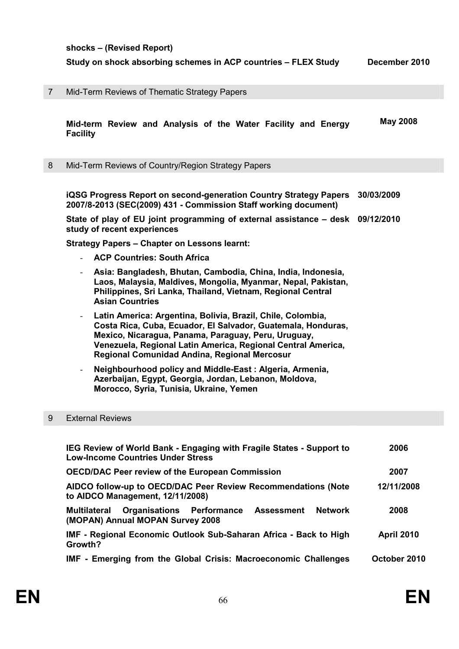**shocks – (Revised Report)** 

**Study on shock absorbing schemes in ACP countries – FLEX Study December 2010** 

| $\overline{7}$ | Mid-Term Reviews of Thematic Strategy Papers |  |  |  |  |
|----------------|----------------------------------------------|--|--|--|--|
|----------------|----------------------------------------------|--|--|--|--|

 **Mid-term Review and Analysis of the Water Facility and Energy Facility May 2008** 

8 Mid-Term Reviews of Country/Region Strategy Papers

 **iQSG Progress Report on second-generation Country Strategy Papers 30/03/2009 2007/8-2013 (SEC(2009) 431 - Commission Staff working document)** 

 **State of play of EU joint programming of external assistance – desk 09/12/2010 study of recent experiences** 

 **Strategy Papers – Chapter on Lessons learnt:** 

- **ACP Countries: South Africa**
- **Asia: Bangladesh, Bhutan, Cambodia, China, India, Indonesia, Laos, Malaysia, Maldives, Mongolia, Myanmar, Nepal, Pakistan, Philippines, Sri Lanka, Thailand, Vietnam, Regional Central Asian Countries**
- **Latin America: Argentina, Bolivia, Brazil, Chile, Colombia, Costa Rica, Cuba, Ecuador, El Salvador, Guatemala, Honduras, Mexico, Nicaragua, Panama, Paraguay, Peru, Uruguay, Venezuela, Regional Latin America, Regional Central America, Regional Comunidad Andina, Regional Mercosur**
- **Neighbourhood policy and Middle-East : Algeria, Armenia, Azerbaijan, Egypt, Georgia, Jordan, Lebanon, Moldova, Morocco, Syria, Tunisia, Ukraine, Yemen**

#### 9 External Reviews

| IEG Review of World Bank - Engaging with Fragile States - Support to<br><b>Low-Income Countries Under Stress</b>            | 2006              |  |
|-----------------------------------------------------------------------------------------------------------------------------|-------------------|--|
| <b>OECD/DAC Peer review of the European Commission</b>                                                                      | 2007              |  |
| AIDCO follow-up to OECD/DAC Peer Review Recommendations (Note<br>to AIDCO Management, 12/11/2008)                           | 12/11/2008        |  |
| <b>Organisations Performance</b><br><b>Network</b><br>Assessment<br><b>Multilateral</b><br>(MOPAN) Annual MOPAN Survey 2008 | 2008              |  |
| IMF - Regional Economic Outlook Sub-Saharan Africa - Back to High<br>Growth?                                                | <b>April 2010</b> |  |
| IMF - Emerging from the Global Crisis: Macroeconomic Challenges                                                             | October 2010      |  |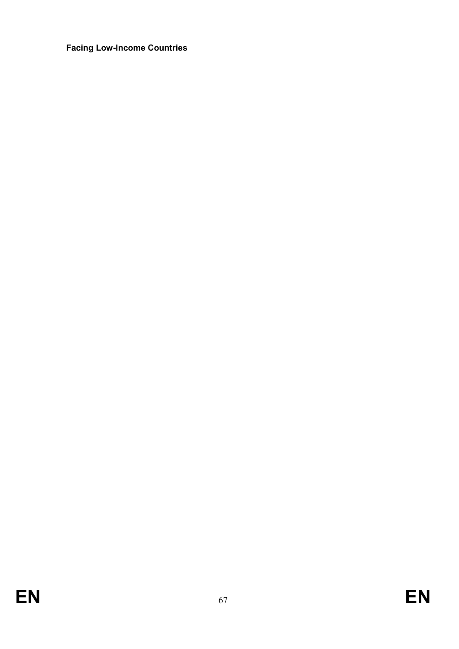### **Facing Low-Income Countries**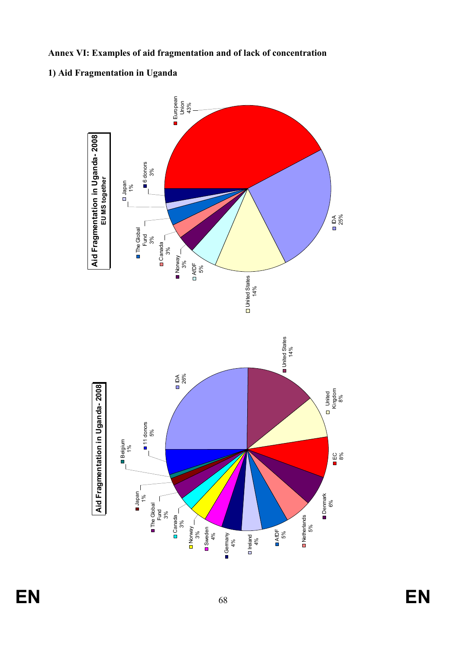**Annex VI: Examples of aid fragmentation and of lack of concentration** 

## **1) Aid Fragmentation in Uganda**



**EN** 68 **EN**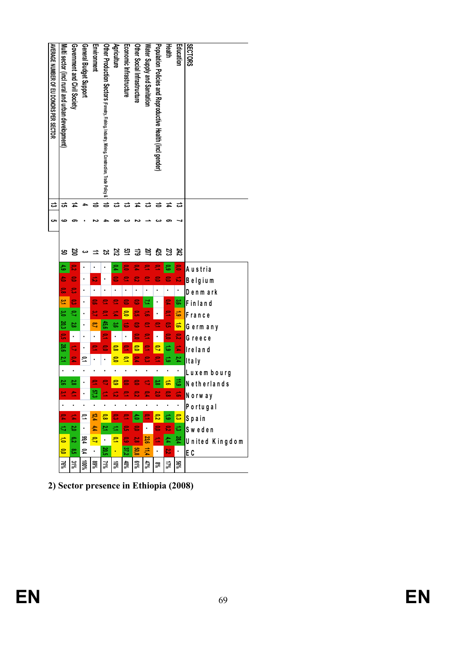| <b>AVERAGE MUNISION OF EID DONORS PER SECTOR</b> | Multi sector (incl rural and urban development) | Government and Civil Society | General Budget Support | Environment   | Other Production Sectors (Forestry, Fishing, Industry, Mining, Construction, Trade Policy & | Agriculture | Economic Infrastructure | Other Social Infrastructure | Water Supply and Sanitation | Population Policies and Reproductive Health (incl gender) | Health | Education       | <b>ISECTORS</b>   |
|--------------------------------------------------|-------------------------------------------------|------------------------------|------------------------|---------------|---------------------------------------------------------------------------------------------|-------------|-------------------------|-----------------------------|-----------------------------|-----------------------------------------------------------|--------|-----------------|-------------------|
| ದ                                                | ಪ                                               |                              |                        |               | ਠੇ                                                                                          | ವ           | ವ                       |                             | ವ                           |                                                           | ᇁ      | ವ               |                   |
| ç                                                |                                                 |                              |                        |               |                                                                                             |             |                         |                             |                             |                                                           |        |                 |                   |
|                                                  | ຮ                                               | జ                            |                        |               | ន                                                                                           | 22          | ಜ್ಞ                     | 귾                           | ន                           | đ,                                                        | 23     | 242             |                   |
|                                                  | ్                                               | g                            |                        |               |                                                                                             |             |                         |                             |                             |                                                           | ్ధ     | ະ               | Austria           |
|                                                  | 승                                               | ξ<br>ន                       |                        | ಸ             |                                                                                             |             |                         |                             |                             |                                                           | Ξ      | ಸ               | Belgium           |
|                                                  | డె<br>یو<br>ح                                   | ្ជ                           |                        | ្ត            |                                                                                             |             |                         | ៊                           | Ξ                           |                                                           | ÷,     | ,<br>မ္မ<br>ဓ   | Denmark           |
|                                                  | ະ                                               | S                            |                        | <u>ب</u><br>پ |                                                                                             |             |                         |                             | Ξ.                          |                                                           |        |                 | Finland           |
|                                                  | 20,3                                            | 2,8                          |                        | δ,            | \$ă                                                                                         | မ္မ         |                         |                             |                             |                                                           | ៊      | ĩ٥<br>$\vec{ }$ | France<br>Germany |
|                                                  | ະ                                               | ï                            |                        |               | $\mathbf{r}$                                                                                |             |                         |                             | s                           |                                                           | ຣ      | ន               | Greece            |
|                                                  | <b>28,6</b>                                     | É,                           |                        | Ξ             |                                                                                             | នី          |                         | ទី                          | Ξ                           | S                                                         | డ      | $\vec{r}$       | Ire la n d        |
|                                                  | 2                                               | $\mathbf{r}$                 | ะ                      |               |                                                                                             |             |                         |                             | ະ                           |                                                           | ್      | 24              | Italy             |
|                                                  |                                                 |                              |                        |               |                                                                                             |             |                         |                             |                             |                                                           |        |                 | Luxem bourg       |
|                                                  | S                                               | 2,9                          |                        |               |                                                                                             | ទី          | Ξ                       | Ξ                           | ÷,                          | ္ဗ                                                        | ត់     | $\frac{11}{2}$  | Netherlands       |
|                                                  | <u>بع</u>                                       |                              |                        |               |                                                                                             | ಸ           |                         |                             | 문                           | 岩                                                         | ၙ      | 름               | Norway            |
|                                                  |                                                 | ٠                            |                        |               |                                                                                             | ı,          |                         |                             | ٠                           | ٠                                                         | ×,     | ٠               | Portugal          |
|                                                  | $\mathbf{r}$                                    |                              | ءِ                     | 12,4          | ្លឹ                                                                                         | င္ယ         | 2                       | ់                           | 2                           | ឹ                                                         | 급.     | $\mathfrak{a}$  | Spain             |
|                                                  |                                                 | 2,0                          | ×,                     | 44            | 적                                                                                           | c           | ្ហ                      | ဠ                           |                             | S                                                         | 忌      | 륞               | Sweden            |
|                                                  | ਛ                                               | చి                           | 99,4                   | ۹,            |                                                                                             | S           | ៊ូ                      | ័័                          | 23,6                        | ÷,                                                        | 44     | 28,4            | United Kingdom    |
|                                                  | ទី                                              | ះី                           | 0,4                    |               | 20,5                                                                                        | ×           | 37,2                    | <b>50,8</b>                 | 這                           | ٠                                                         | Z      | $\cdot$         | E C               |
|                                                  | જૂર                                             | 31%                          | 9,001                  | 89%           | 71%                                                                                         | \$          | 40%                     | e1%                         | 47%                         | 8%                                                        | 17%    | 56%             |                   |
| 2) Sector presence in Ethiopia (2008)            |                                                 |                              |                        |               |                                                                                             |             |                         |                             |                             |                                                           |        |                 |                   |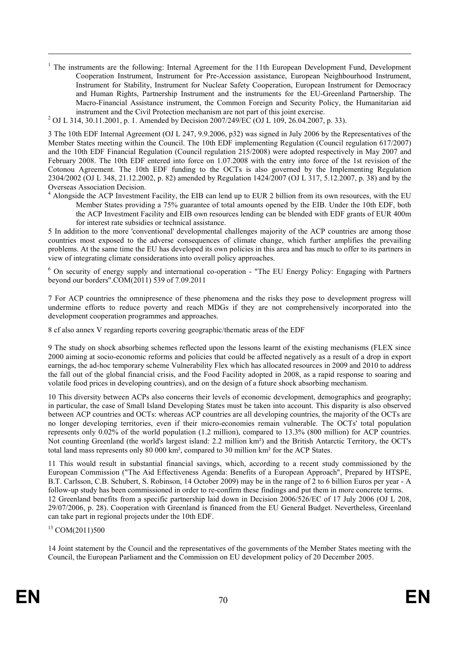<sup>1</sup> The instruments are the following: Internal Agreement for the 11th European Development Fund, Development Cooperation Instrument, Instrument for Pre-Accession assistance, European Neighbourhood Instrument, Instrument for Stability, Instrument for Nuclear Safety Cooperation, European Instrument for Democracy and Human Rights, Partnership Instrument and the instruments for the EU-Greenland Partnership. The Macro-Financial Assistance instrument, the Common Foreign and Security Policy, the Humanitarian aid instrument and the Civil Protection mechanism are not part of this joint exercise.

<sup>2</sup> OJ L 314, 30.11.2001, p. 1. Amended by Decision 2007/249/EC (OJ L 109, 26.04.2007, p. 33).

3 The 10th EDF Internal Agreement (OJ L 247, 9.9.2006, p32) was signed in July 2006 by the Representatives of the Member States meeting within the Council. The 10th EDF implementing Regulation (Council regulation 617/2007) and the 10th EDF Financial Regulation (Council regulation 215/2008) were adopted respectively in May 2007 and February 2008. The 10th EDF entered into force on 1.07.2008 with the entry into force of the 1st revision of the Cotonou Agreement. The 10th EDF funding to the OCTs is also governed by the Implementing Regulation 2304/2002 (OJ L 348, 21.12.2002, p. 82) amended by Regulation 1424/2007 (OJ L 317, 5.12.2007, p. 38) and by the Overseas Association Decision.

<sup>4</sup> Alongside the ACP Investment Facility, the EIB can lend up to EUR 2 billion from its own resources, with the EU Member States providing a 75% guarantee of total amounts opened by the EIB. Under the 10th EDF, both the ACP Investment Facility and EIB own resources lending can be blended with EDF grants of EUR 400m for interest rate subsidies or technical assistance.

5 In addition to the more 'conventional' developmental challenges majority of the ACP countries are among those countries most exposed to the adverse consequences of climate change, which further amplifies the prevailing problems. At the same time the EU has developed its own policies in this area and has much to offer to its partners in view of integrating climate considerations into overall policy approaches.

<sup>6</sup> On security of energy supply and international co-operation - "The EU Energy Policy: Engaging with Partners beyond our borders".COM(2011) 539 of 7.09.2011

7 For ACP countries the omnipresence of these phenomena and the risks they pose to development progress will undermine efforts to reduce poverty and reach MDGs if they are not comprehensively incorporated into the development cooperation programmes and approaches.

8 cf also annex V regarding reports covering geographic/thematic areas of the EDF

9 The study on shock absorbing schemes reflected upon the lessons learnt of the existing mechanisms (FLEX since 2000 aiming at socio-economic reforms and policies that could be affected negatively as a result of a drop in export earnings, the ad-hoc temporary scheme Vulnerability Flex which has allocated resources in 2009 and 2010 to address the fall out of the global financial crisis, and the Food Facility adopted in 2008, as a rapid response to soaring and volatile food prices in developing countries), and on the design of a future shock absorbing mechanism.

10 This diversity between ACPs also concerns their levels of economic development, demographics and geography; in particular, the case of Small Island Developing States must be taken into account. This disparity is also observed between ACP countries and OCTs: whereas ACP countries are all developing countries, the majority of the OCTs are no longer developing territories, even if their micro-economies remain vulnerable. The OCTs' total population represents only 0.02% of the world population (1.2 million), compared to 13.3% (800 million) for ACP countries. Not counting Greenland (the world's largest island: 2.2 million km²) and the British Antarctic Territory, the OCT's total land mass represents only 80 000 km², compared to 30 million km² for the ACP States.

11 This would result in substantial financial savings, which, according to a recent study commissioned by the European Commission ("The Aid Effectiveness Agenda: Benefits of a European Approach", Prepared by HTSPE, B.T. Carlsson, C.B. Schubert, S. Robinson, 14 October 2009) may be in the range of 2 to 6 billion Euros per year - A follow-up study has been commissioned in order to re-confirm these findings and put them in more concrete terms. 12 Greenland benefits from a specific partnership laid down in Decision 2006/526/EC of 17 July 2006 (OJ L 208, 29/07/2006, p. 28). Cooperation with Greenland is financed from the EU General Budget. Nevertheless, Greenland can take part in regional projects under the 10th EDF.

<sup>13</sup> COM(2011)500

 $\overline{a}$ 

14 Joint statement by the Council and the representatives of the governments of the Member States meeting with the Council, the European Parliament and the Commission on EU development policy of 20 December 2005.